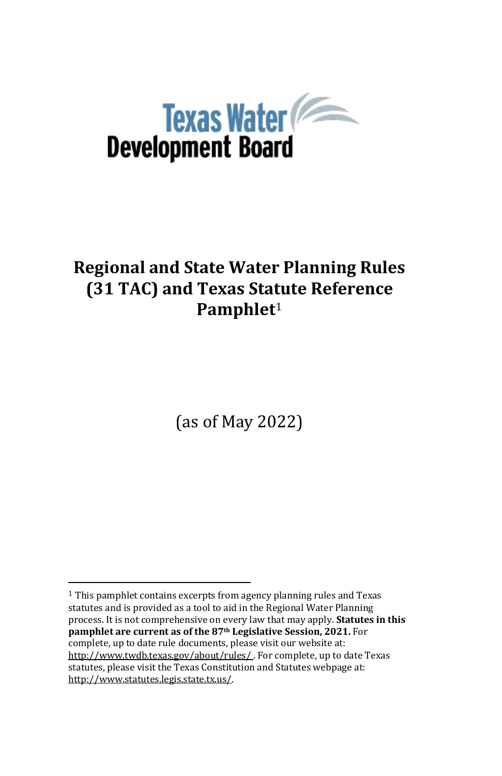<span id="page-0-0"></span>

# **Regional and State Water Planning Rules (31 TAC) and Texas Statute Reference Pamphlet**[1](#page-0-0)

(as of May 2022)

<sup>1</sup> This pamphlet contains excerpts from agency planning rules and Texas statutes and is provided as a tool to aid in the Regional Water Planning process. It is not comprehensive on every law that may apply. **Statutes in this pamphlet are current as of the 87th Legislative Session, 2021.** For complete, up to date rule documents, please visit our website at: <http://www.twdb.texas.gov/about/rules/> . For complete, up to date Texas statutes, please visit the Texas Constitution and Statutes webpage at: http://www.statutes.legis.state.tx.us/.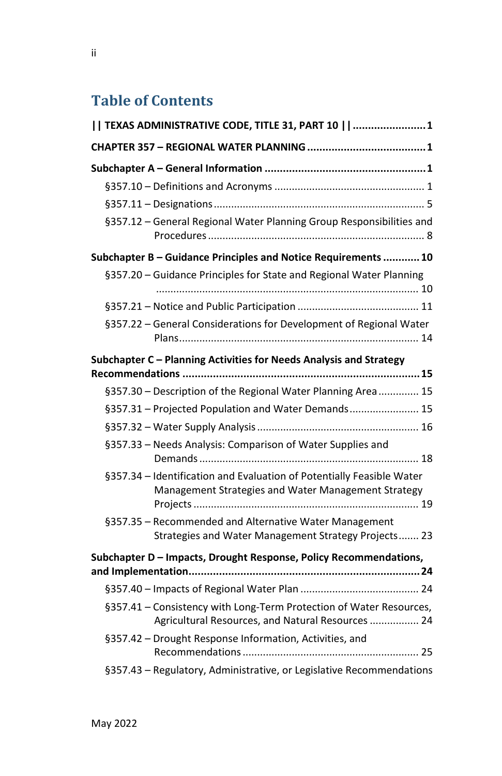# **Table of Contents**

| TEXAS ADMINISTRATIVE CODE, TITLE 31, PART 10     1                                                                           |
|------------------------------------------------------------------------------------------------------------------------------|
|                                                                                                                              |
|                                                                                                                              |
|                                                                                                                              |
|                                                                                                                              |
| §357.12 - General Regional Water Planning Group Responsibilities and                                                         |
| Subchapter B - Guidance Principles and Notice Requirements  10                                                               |
| §357.20 - Guidance Principles for State and Regional Water Planning                                                          |
|                                                                                                                              |
| §357.22 - General Considerations for Development of Regional Water                                                           |
| Subchapter C - Planning Activities for Needs Analysis and Strategy                                                           |
| §357.30 - Description of the Regional Water Planning Area  15                                                                |
| §357.31 - Projected Population and Water Demands 15                                                                          |
|                                                                                                                              |
| §357.33 - Needs Analysis: Comparison of Water Supplies and                                                                   |
| §357.34 - Identification and Evaluation of Potentially Feasible Water<br>Management Strategies and Water Management Strategy |
| §357.35 - Recommended and Alternative Water Management<br>Strategies and Water Management Strategy Projects 23               |
| Subchapter D - Impacts, Drought Response, Policy Recommendations,                                                            |
|                                                                                                                              |
| §357.41 - Consistency with Long-Term Protection of Water Resources,<br>Agricultural Resources, and Natural Resources  24     |
| §357.42 - Drought Response Information, Activities, and                                                                      |
| §357.43 - Regulatory, Administrative, or Legislative Recommendations                                                         |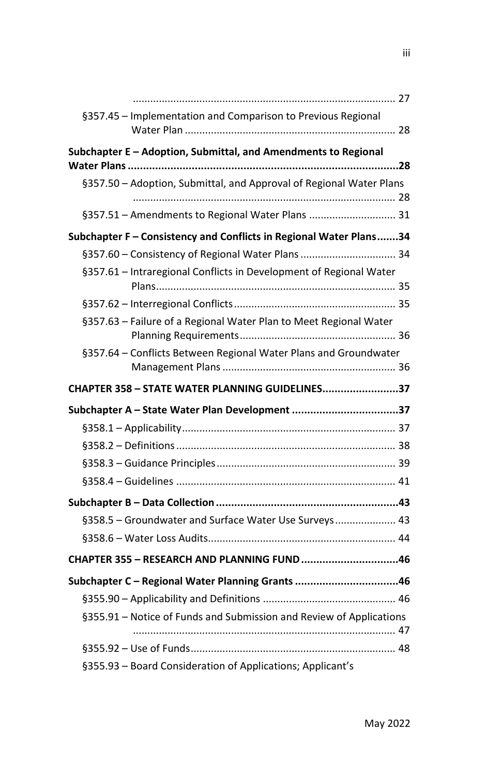| §357.45 - Implementation and Comparison to Previous Regional        |  |
|---------------------------------------------------------------------|--|
| Subchapter E - Adoption, Submittal, and Amendments to Regional      |  |
| §357.50 - Adoption, Submittal, and Approval of Regional Water Plans |  |
|                                                                     |  |
| §357.51 - Amendments to Regional Water Plans  31                    |  |
| Subchapter F - Consistency and Conflicts in Regional Water Plans34  |  |
| §357.60 - Consistency of Regional Water Plans  34                   |  |
| §357.61 - Intraregional Conflicts in Development of Regional Water  |  |
|                                                                     |  |
| §357.63 - Failure of a Regional Water Plan to Meet Regional Water   |  |
| §357.64 - Conflicts Between Regional Water Plans and Groundwater    |  |
|                                                                     |  |
| CHAPTER 358 - STATE WATER PLANNING GUIDELINES37                     |  |
| Subchapter A-State Water Plan Development 37                        |  |
|                                                                     |  |
|                                                                     |  |
|                                                                     |  |
| §358.4 – Guidelines …………………………………………………………………… 41                   |  |
|                                                                     |  |
| §358.5 - Groundwater and Surface Water Use Surveys 43               |  |
|                                                                     |  |
| CHAPTER 355 - RESEARCH AND PLANNING FUND46                          |  |
| Subchapter C - Regional Water Planning Grants 46                    |  |
|                                                                     |  |
| §355.91 - Notice of Funds and Submission and Review of Applications |  |
|                                                                     |  |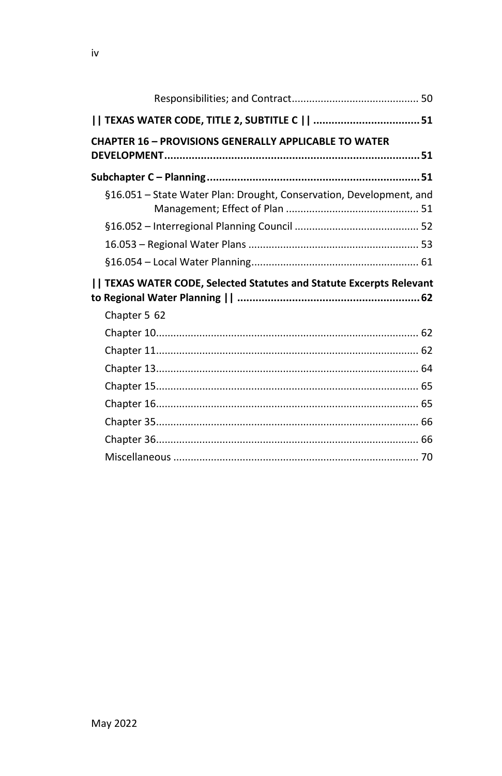| <b>CHAPTER 16 - PROVISIONS GENERALLY APPLICABLE TO WATER</b>        |  |
|---------------------------------------------------------------------|--|
|                                                                     |  |
| §16.051 - State Water Plan: Drought, Conservation, Development, and |  |
|                                                                     |  |
|                                                                     |  |
|                                                                     |  |
| TEXAS WATER CODE, Selected Statutes and Statute Excerpts Relevant   |  |
| Chapter 5 62                                                        |  |
|                                                                     |  |
|                                                                     |  |
|                                                                     |  |
|                                                                     |  |
|                                                                     |  |
|                                                                     |  |
|                                                                     |  |
|                                                                     |  |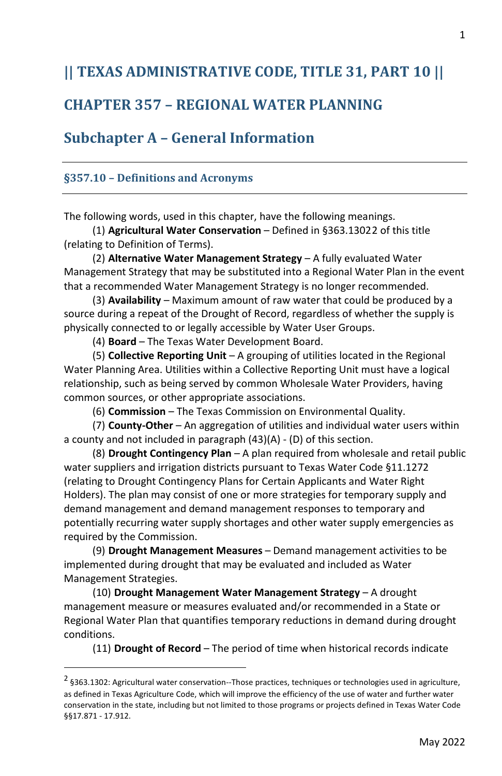## <span id="page-4-4"></span><span id="page-4-0"></span>**|| TEXAS ADMINISTRATIVE CODE, TITLE 31, PART 10 ||**

### <span id="page-4-1"></span>**CHAPTER 357 – REGIONAL WATER PLANNING**

### <span id="page-4-2"></span>**Subchapter A – General Information**

#### <span id="page-4-3"></span>**§357.10 – Definitions and Acronyms**

The following words, used in this chapter, have the following meanings.

(1) **Agricultural Water Conservation** – Defined in §363.1302[2](#page-4-4) of this title (relating to Definition of Terms).

(2) **Alternative Water Management Strategy** – A fully evaluated Water Management Strategy that may be substituted into a Regional Water Plan in the event that a recommended Water Management Strategy is no longer recommended.

(3) **Availability** – Maximum amount of raw water that could be produced by a source during a repeat of the Drought of Record, regardless of whether the supply is physically connected to or legally accessible by Water User Groups.

(4) **Board** – The Texas Water Development Board.

(5) **Collective Reporting Unit** – A grouping of utilities located in the Regional Water Planning Area. Utilities within a Collective Reporting Unit must have a logical relationship, such as being served by common Wholesale Water Providers, having common sources, or other appropriate associations.

(6) **Commission** – The Texas Commission on Environmental Quality.

(7) **County-Other** – An aggregation of utilities and individual water users within a county and not included in paragraph (43)(A) - (D) of this section.

(8) **Drought Contingency Plan** – A plan required from wholesale and retail public water suppliers and irrigation districts pursuant to Texas Water Code §11.1272 (relating to Drought Contingency Plans for Certain Applicants and Water Right Holders). The plan may consist of one or more strategies for temporary supply and demand management and demand management responses to temporary and potentially recurring water supply shortages and other water supply emergencies as required by the Commission.

(9) **Drought Management Measures** – Demand management activities to be implemented during drought that may be evaluated and included as Water Management Strategies.

(10) **Drought Management Water Management Strategy** – A drought management measure or measures evaluated and/or recommended in a State or Regional Water Plan that quantifies temporary reductions in demand during drought conditions.

(11) **Drought of Record** – The period of time when historical records indicate

 $2\,$ §363.1302: Agricultural water conservation--Those practices, techniques or technologies used in agriculture, as defined in Texas Agriculture Code, which will improve the efficiency of the use of water and further water conservation in the state, including but not limited to those programs or projects defined in Texas Water Code §§17.871 - 17.912.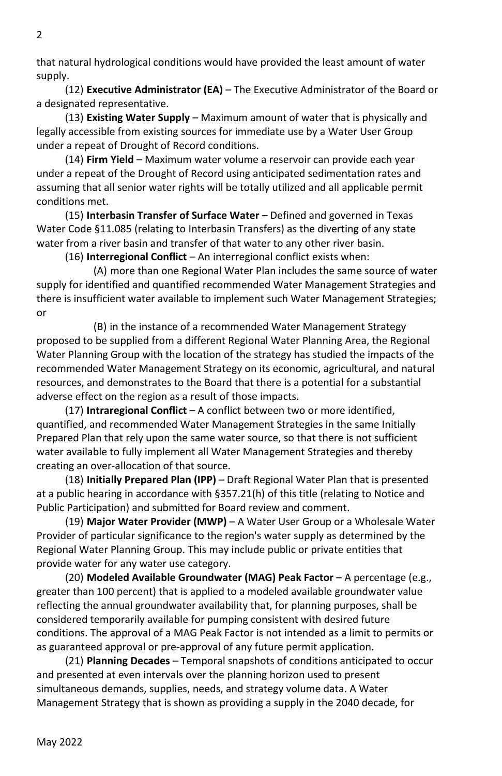that natural hydrological conditions would have provided the least amount of water supply.

(12) **Executive Administrator (EA)** – The Executive Administrator of the Board or a designated representative.

(13) **Existing Water Supply** – Maximum amount of water that is physically and legally accessible from existing sources for immediate use by a Water User Group under a repeat of Drought of Record conditions.

(14) **Firm Yield** – Maximum water volume a reservoir can provide each year under a repeat of the Drought of Record using anticipated sedimentation rates and assuming that all senior water rights will be totally utilized and all applicable permit conditions met.

(15) **Interbasin Transfer of Surface Water** – Defined and governed in Texas Water Code §11.085 (relating to Interbasin Transfers) as the diverting of any state water from a river basin and transfer of that water to any other river basin.

(16) **Interregional Conflict** – An interregional conflict exists when:

(A) more than one Regional Water Plan includes the same source of water supply for identified and quantified recommended Water Management Strategies and there is insufficient water available to implement such Water Management Strategies; or

(B) in the instance of a recommended Water Management Strategy proposed to be supplied from a different Regional Water Planning Area, the Regional Water Planning Group with the location of the strategy has studied the impacts of the recommended Water Management Strategy on its economic, agricultural, and natural resources, and demonstrates to the Board that there is a potential for a substantial adverse effect on the region as a result of those impacts.

(17) **Intraregional Conflict** – A conflict between two or more identified, quantified, and recommended Water Management Strategies in the same Initially Prepared Plan that rely upon the same water source, so that there is not sufficient water available to fully implement all Water Management Strategies and thereby creating an over-allocation of that source.

(18) **Initially Prepared Plan (IPP)** – Draft Regional Water Plan that is presented at a public hearing in accordance with §357.21(h) of this title (relating to Notice and Public Participation) and submitted for Board review and comment.

(19) **Major Water Provider (MWP)** – A Water User Group or a Wholesale Water Provider of particular significance to the region's water supply as determined by the Regional Water Planning Group. This may include public or private entities that provide water for any water use category.

(20) **Modeled Available Groundwater (MAG) Peak Factor** – A percentage (e.g., greater than 100 percent) that is applied to a modeled available groundwater value reflecting the annual groundwater availability that, for planning purposes, shall be considered temporarily available for pumping consistent with desired future conditions. The approval of a MAG Peak Factor is not intended as a limit to permits or as guaranteed approval or pre-approval of any future permit application.

(21) **Planning Decades** – Temporal snapshots of conditions anticipated to occur and presented at even intervals over the planning horizon used to present simultaneous demands, supplies, needs, and strategy volume data. A Water Management Strategy that is shown as providing a supply in the 2040 decade, for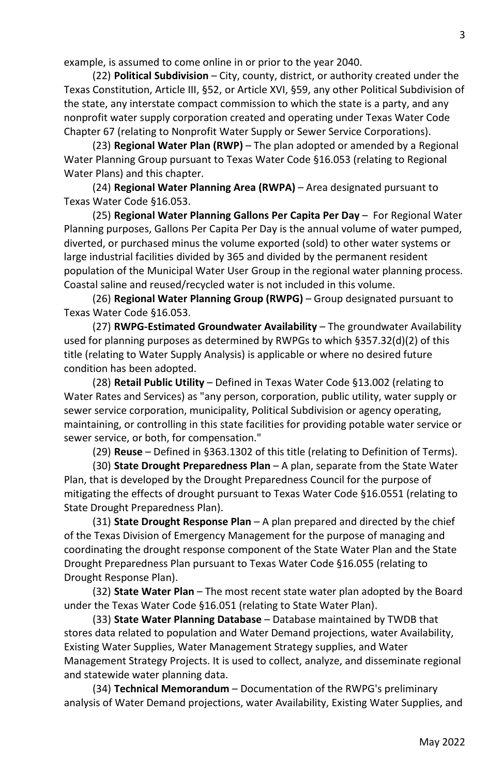example, is assumed to come online in or prior to the year 2040.

(22) **Political Subdivision** – City, county, district, or authority created under the Texas Constitution, Article III, §52, or Article XVI, §59, any other Political Subdivision of the state, any interstate compact commission to which the state is a party, and any nonprofit water supply corporation created and operating under Texas Water Code Chapter 67 (relating to Nonprofit Water Supply or Sewer Service Corporations).

(23) **Regional Water Plan (RWP)** – The plan adopted or amended by a Regional Water Planning Group pursuant to Texas Water Code §16.053 (relating to Regional Water Plans) and this chapter.

(24) **Regional Water Planning Area (RWPA)** – Area designated pursuant to Texas Water Code §16.053.

(25) **Regional Water Planning Gallons Per Capita Per Day** – For Regional Water Planning purposes, Gallons Per Capita Per Day is the annual volume of water pumped, diverted, or purchased minus the volume exported (sold) to other water systems or large industrial facilities divided by 365 and divided by the permanent resident population of the Municipal Water User Group in the regional water planning process. Coastal saline and reused/recycled water is not included in this volume.

(26) **Regional Water Planning Group (RWPG)** – Group designated pursuant to Texas Water Code §16.053.

(27) **RWPG-Estimated Groundwater Availability** – The groundwater Availability used for planning purposes as determined by RWPGs to which §357.32(d)(2) of this title (relating to Water Supply Analysis) is applicable or where no desired future condition has been adopted.

(28) **Retail Public Utility** – Defined in Texas Water Code §13.002 (relating to Water Rates and Services) as "any person, corporation, public utility, water supply or sewer service corporation, municipality, Political Subdivision or agency operating, maintaining, or controlling in this state facilities for providing potable water service or sewer service, or both, for compensation."

(29) **Reuse** – Defined in §363.1302 of this title (relating to Definition of Terms).

(30) **State Drought Preparedness Plan** – A plan, separate from the State Water Plan, that is developed by the Drought Preparedness Council for the purpose of mitigating the effects of drought pursuant to Texas Water Code §16.0551 (relating to State Drought Preparedness Plan).

(31) **State Drought Response Plan** – A plan prepared and directed by the chief of the Texas Division of Emergency Management for the purpose of managing and coordinating the drought response component of the State Water Plan and the State Drought Preparedness Plan pursuant to Texas Water Code §16.055 (relating to Drought Response Plan).

(32) **State Water Plan** – The most recent state water plan adopted by the Board under the Texas Water Code §16.051 (relating to State Water Plan).

(33) **State Water Planning Database** – Database maintained by TWDB that stores data related to population and Water Demand projections, water Availability, Existing Water Supplies, Water Management Strategy supplies, and Water Management Strategy Projects. It is used to collect, analyze, and disseminate regional and statewide water planning data.

(34) **Technical Memorandum** – Documentation of the RWPG's preliminary analysis of Water Demand projections, water Availability, Existing Water Supplies, and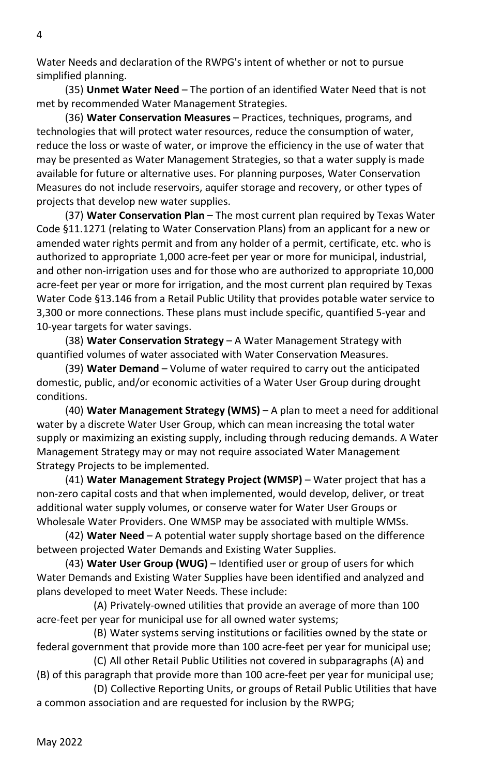Water Needs and declaration of the RWPG's intent of whether or not to pursue simplified planning.

(35) **Unmet Water Need** – The portion of an identified Water Need that is not met by recommended Water Management Strategies.

(36) **Water Conservation Measures** – Practices, techniques, programs, and technologies that will protect water resources, reduce the consumption of water, reduce the loss or waste of water, or improve the efficiency in the use of water that may be presented as Water Management Strategies, so that a water supply is made available for future or alternative uses. For planning purposes, Water Conservation Measures do not include reservoirs, aquifer storage and recovery, or other types of projects that develop new water supplies.

(37) **Water Conservation Plan** – The most current plan required by Texas Water Code §11.1271 (relating to Water Conservation Plans) from an applicant for a new or amended water rights permit and from any holder of a permit, certificate, etc. who is authorized to appropriate 1,000 acre-feet per year or more for municipal, industrial, and other non-irrigation uses and for those who are authorized to appropriate 10,000 acre-feet per year or more for irrigation, and the most current plan required by Texas Water Code §13.146 from a Retail Public Utility that provides potable water service to 3,300 or more connections. These plans must include specific, quantified 5-year and 10-year targets for water savings.

(38) **Water Conservation Strategy** – A Water Management Strategy with quantified volumes of water associated with Water Conservation Measures.

(39) **Water Demand** – Volume of water required to carry out the anticipated domestic, public, and/or economic activities of a Water User Group during drought conditions.

(40) **Water Management Strategy (WMS)** – A plan to meet a need for additional water by a discrete Water User Group, which can mean increasing the total water supply or maximizing an existing supply, including through reducing demands. A Water Management Strategy may or may not require associated Water Management Strategy Projects to be implemented.

(41) **Water Management Strategy Project (WMSP)** – Water project that has a non-zero capital costs and that when implemented, would develop, deliver, or treat additional water supply volumes, or conserve water for Water User Groups or Wholesale Water Providers. One WMSP may be associated with multiple WMSs.

(42) **Water Need** – A potential water supply shortage based on the difference between projected Water Demands and Existing Water Supplies.

(43) **Water User Group (WUG)** – Identified user or group of users for which Water Demands and Existing Water Supplies have been identified and analyzed and plans developed to meet Water Needs. These include:

(A) Privately-owned utilities that provide an average of more than 100 acre-feet per year for municipal use for all owned water systems;

(B) Water systems serving institutions or facilities owned by the state or federal government that provide more than 100 acre-feet per year for municipal use;

(C) All other Retail Public Utilities not covered in subparagraphs (A) and (B) of this paragraph that provide more than 100 acre-feet per year for municipal use;

(D) Collective Reporting Units, or groups of Retail Public Utilities that have a common association and are requested for inclusion by the RWPG;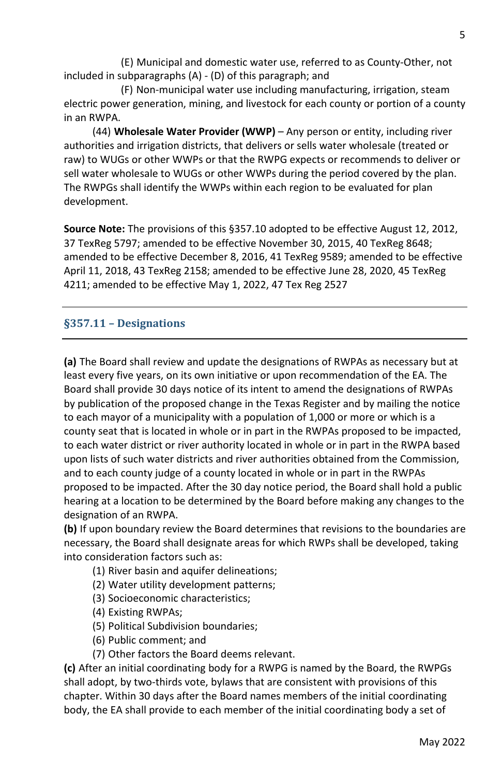(E) Municipal and domestic water use, referred to as County-Other, not included in subparagraphs (A) - (D) of this paragraph; and

(F) Non-municipal water use including manufacturing, irrigation, steam electric power generation, mining, and livestock for each county or portion of a county in an RWPA.

(44) **Wholesale Water Provider (WWP)** – Any person or entity, including river authorities and irrigation districts, that delivers or sells water wholesale (treated or raw) to WUGs or other WWPs or that the RWPG expects or recommends to deliver or sell water wholesale to WUGs or other WWPs during the period covered by the plan. The RWPGs shall identify the WWPs within each region to be evaluated for plan development.

**Source Note:** The provisions of this §357.10 adopted to be effective August 12, 2012, 37 TexReg 5797; amended to be effective November 30, 2015, 40 TexReg 8648; amended to be effective December 8, 2016, 41 TexReg 9589; amended to be effective April 11, 2018, 43 TexReg 2158; amended to be effective June 28, 2020, 45 TexReg 4211; amended to be effective May 1, 2022, 47 Tex Reg 2527

#### <span id="page-8-0"></span>**§357.11 – Designations**

**(a)** The Board shall review and update the designations of RWPAs as necessary but at least every five years, on its own initiative or upon recommendation of the EA. The Board shall provide 30 days notice of its intent to amend the designations of RWPAs by publication of the proposed change in the Texas Register and by mailing the notice to each mayor of a municipality with a population of 1,000 or more or which is a county seat that is located in whole or in part in the RWPAs proposed to be impacted, to each water district or river authority located in whole or in part in the RWPA based upon lists of such water districts and river authorities obtained from the Commission, and to each county judge of a county located in whole or in part in the RWPAs proposed to be impacted. After the 30 day notice period, the Board shall hold a public hearing at a location to be determined by the Board before making any changes to the designation of an RWPA.

**(b)** If upon boundary review the Board determines that revisions to the boundaries are necessary, the Board shall designate areas for which RWPs shall be developed, taking into consideration factors such as:

- (1) River basin and aquifer delineations;
- (2) Water utility development patterns;
- (3) Socioeconomic characteristics;
- (4) Existing RWPAs;
- (5) Political Subdivision boundaries;
- (6) Public comment; and
- (7) Other factors the Board deems relevant.

**(c)** After an initial coordinating body for a RWPG is named by the Board, the RWPGs shall adopt, by two-thirds vote, bylaws that are consistent with provisions of this chapter. Within 30 days after the Board names members of the initial coordinating body, the EA shall provide to each member of the initial coordinating body a set of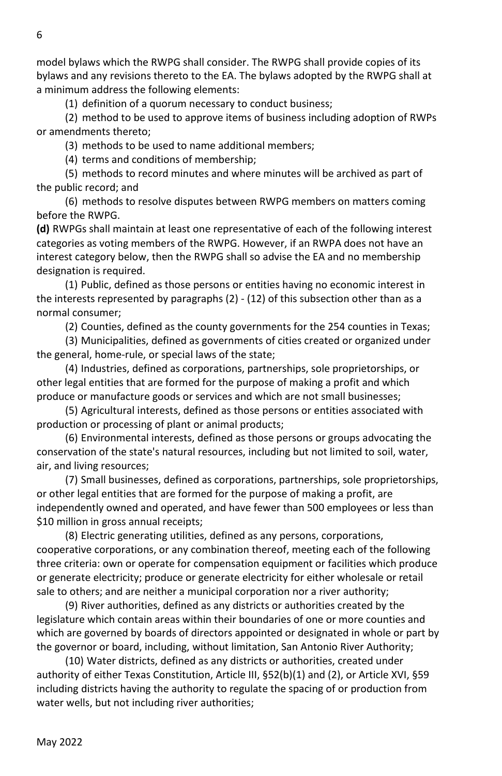model bylaws which the RWPG shall consider. The RWPG shall provide copies of its bylaws and any revisions thereto to the EA. The bylaws adopted by the RWPG shall at a minimum address the following elements:

(1) definition of a quorum necessary to conduct business;

(2) method to be used to approve items of business including adoption of RWPs or amendments thereto;

(3) methods to be used to name additional members;

(4) terms and conditions of membership;

(5) methods to record minutes and where minutes will be archived as part of the public record; and

(6) methods to resolve disputes between RWPG members on matters coming before the RWPG.

**(d)** RWPGs shall maintain at least one representative of each of the following interest categories as voting members of the RWPG. However, if an RWPA does not have an interest category below, then the RWPG shall so advise the EA and no membership designation is required.

(1) Public, defined as those persons or entities having no economic interest in the interests represented by paragraphs (2) - (12) of this subsection other than as a normal consumer;

(2) Counties, defined as the county governments for the 254 counties in Texas;

(3) Municipalities, defined as governments of cities created or organized under the general, home-rule, or special laws of the state;

(4) Industries, defined as corporations, partnerships, sole proprietorships, or other legal entities that are formed for the purpose of making a profit and which produce or manufacture goods or services and which are not small businesses;

(5) Agricultural interests, defined as those persons or entities associated with production or processing of plant or animal products;

(6) Environmental interests, defined as those persons or groups advocating the conservation of the state's natural resources, including but not limited to soil, water, air, and living resources;

(7) Small businesses, defined as corporations, partnerships, sole proprietorships, or other legal entities that are formed for the purpose of making a profit, are independently owned and operated, and have fewer than 500 employees or less than \$10 million in gross annual receipts;

(8) Electric generating utilities, defined as any persons, corporations, cooperative corporations, or any combination thereof, meeting each of the following three criteria: own or operate for compensation equipment or facilities which produce or generate electricity; produce or generate electricity for either wholesale or retail sale to others; and are neither a municipal corporation nor a river authority;

(9) River authorities, defined as any districts or authorities created by the legislature which contain areas within their boundaries of one or more counties and which are governed by boards of directors appointed or designated in whole or part by the governor or board, including, without limitation, San Antonio River Authority;

(10) Water districts, defined as any districts or authorities, created under authority of either Texas Constitution, Article III, §52(b)(1) and (2), or Article XVI, §59 including districts having the authority to regulate the spacing of or production from water wells, but not including river authorities;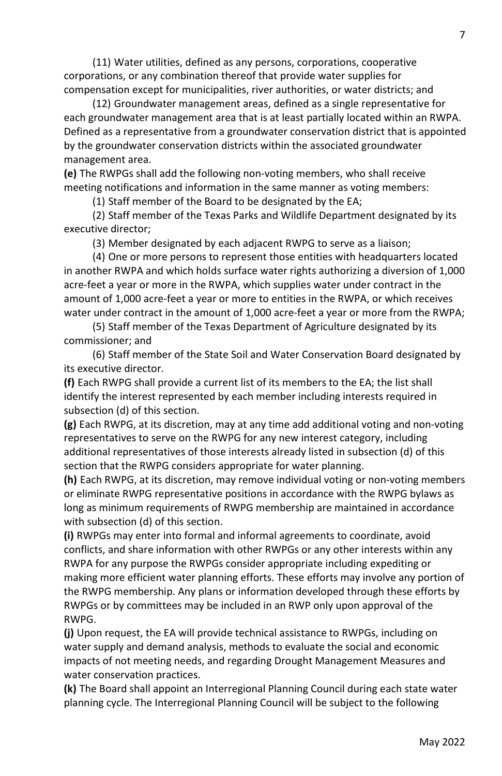(11) Water utilities, defined as any persons, corporations, cooperative corporations, or any combination thereof that provide water supplies for compensation except for municipalities, river authorities, or water districts; and

(12) Groundwater management areas, defined as a single representative for each groundwater management area that is at least partially located within an RWPA. Defined as a representative from a groundwater conservation district that is appointed by the groundwater conservation districts within the associated groundwater management area.

**(e)** The RWPGs shall add the following non-voting members, who shall receive meeting notifications and information in the same manner as voting members:

(1) Staff member of the Board to be designated by the EA;

(2) Staff member of the Texas Parks and Wildlife Department designated by its executive director;

(3) Member designated by each adjacent RWPG to serve as a liaison;

(4) One or more persons to represent those entities with headquarters located in another RWPA and which holds surface water rights authorizing a diversion of 1,000 acre-feet a year or more in the RWPA, which supplies water under contract in the amount of 1,000 acre-feet a year or more to entities in the RWPA, or which receives water under contract in the amount of 1,000 acre-feet a year or more from the RWPA;

(5) Staff member of the Texas Department of Agriculture designated by its commissioner; and

(6) Staff member of the State Soil and Water Conservation Board designated by its executive director.

**(f)** Each RWPG shall provide a current list of its members to the EA; the list shall identify the interest represented by each member including interests required in subsection (d) of this section.

**(g)** Each RWPG, at its discretion, may at any time add additional voting and non-voting representatives to serve on the RWPG for any new interest category, including additional representatives of those interests already listed in subsection (d) of this section that the RWPG considers appropriate for water planning.

**(h)** Each RWPG, at its discretion, may remove individual voting or non-voting members or eliminate RWPG representative positions in accordance with the RWPG bylaws as long as minimum requirements of RWPG membership are maintained in accordance with subsection (d) of this section.

**(i)** RWPGs may enter into formal and informal agreements to coordinate, avoid conflicts, and share information with other RWPGs or any other interests within any RWPA for any purpose the RWPGs consider appropriate including expediting or making more efficient water planning efforts. These efforts may involve any portion of the RWPG membership. Any plans or information developed through these efforts by RWPGs or by committees may be included in an RWP only upon approval of the RWPG.

**(j)** Upon request, the EA will provide technical assistance to RWPGs, including on water supply and demand analysis, methods to evaluate the social and economic impacts of not meeting needs, and regarding Drought Management Measures and water conservation practices.

**(k)** The Board shall appoint an Interregional Planning Council during each state water planning cycle. The Interregional Planning Council will be subject to the following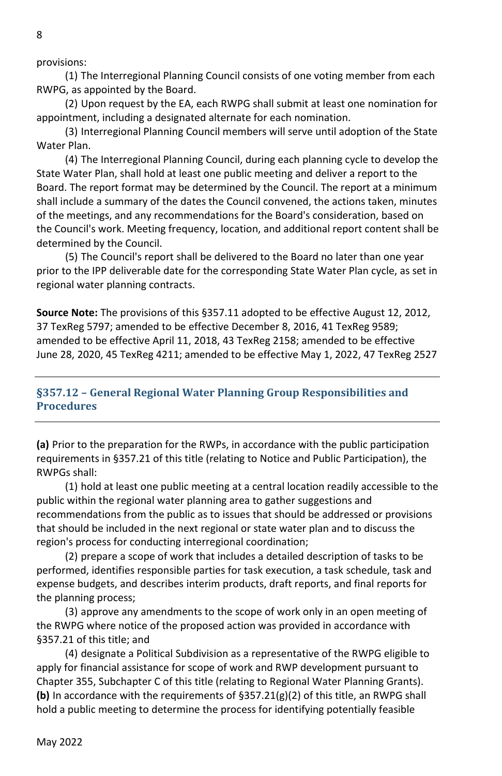provisions:

(1) The Interregional Planning Council consists of one voting member from each RWPG, as appointed by the Board.

(2) Upon request by the EA, each RWPG shall submit at least one nomination for appointment, including a designated alternate for each nomination.

(3) Interregional Planning Council members will serve until adoption of the State Water Plan.

(4) The Interregional Planning Council, during each planning cycle to develop the State Water Plan, shall hold at least one public meeting and deliver a report to the Board. The report format may be determined by the Council. The report at a minimum shall include a summary of the dates the Council convened, the actions taken, minutes of the meetings, and any recommendations for the Board's consideration, based on the Council's work. Meeting frequency, location, and additional report content shall be determined by the Council.

(5) The Council's report shall be delivered to the Board no later than one year prior to the IPP deliverable date for the corresponding State Water Plan cycle, as set in regional water planning contracts.

**Source Note:** The provisions of this §357.11 adopted to be effective August 12, 2012, 37 TexReg 5797; amended to be effective December 8, 2016, 41 TexReg 9589; amended to be effective April 11, 2018, 43 TexReg 2158; amended to be effective June 28, 2020, 45 TexReg 4211; amended to be effective May 1, 2022, 47 TexReg 2527

#### <span id="page-11-0"></span>**§357.12 – General Regional Water Planning Group Responsibilities and Procedures**

**(a)** Prior to the preparation for the RWPs, in accordance with the public participation requirements in §357.21 of this title (relating to Notice and Public Participation), the RWPGs shall:

(1) hold at least one public meeting at a central location readily accessible to the public within the regional water planning area to gather suggestions and recommendations from the public as to issues that should be addressed or provisions that should be included in the next regional or state water plan and to discuss the region's process for conducting interregional coordination;

(2) prepare a scope of work that includes a detailed description of tasks to be performed, identifies responsible parties for task execution, a task schedule, task and expense budgets, and describes interim products, draft reports, and final reports for the planning process;

(3) approve any amendments to the scope of work only in an open meeting of the RWPG where notice of the proposed action was provided in accordance with §357.21 of this title; and

(4) designate a Political Subdivision as a representative of the RWPG eligible to apply for financial assistance for scope of work and RWP development pursuant to Chapter 355, Subchapter C of this title (relating to Regional Water Planning Grants). **(b)** In accordance with the requirements of §357.21(g)(2) of this title, an RWPG shall hold a public meeting to determine the process for identifying potentially feasible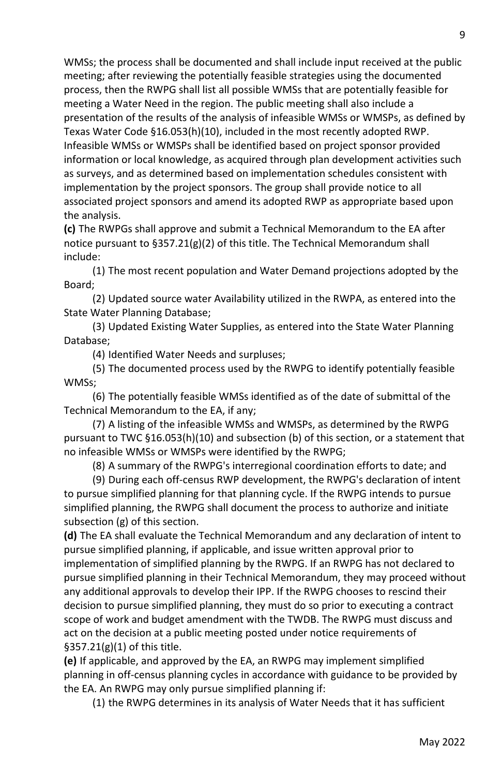WMSs; the process shall be documented and shall include input received at the public meeting; after reviewing the potentially feasible strategies using the documented process, then the RWPG shall list all possible WMSs that are potentially feasible for meeting a Water Need in the region. The public meeting shall also include a presentation of the results of the analysis of infeasible WMSs or WMSPs, as defined by Texas Water Code §16.053(h)(10), included in the most recently adopted RWP. Infeasible WMSs or WMSPs shall be identified based on project sponsor provided information or local knowledge, as acquired through plan development activities such as surveys, and as determined based on implementation schedules consistent with implementation by the project sponsors. The group shall provide notice to all associated project sponsors and amend its adopted RWP as appropriate based upon the analysis.

**(c)** The RWPGs shall approve and submit a Technical Memorandum to the EA after notice pursuant to §357.21(g)(2) of this title. The Technical Memorandum shall include:

(1) The most recent population and Water Demand projections adopted by the Board;

(2) Updated source water Availability utilized in the RWPA, as entered into the State Water Planning Database;

(3) Updated Existing Water Supplies, as entered into the State Water Planning Database;

(4) Identified Water Needs and surpluses;

(5) The documented process used by the RWPG to identify potentially feasible WMSs;

(6) The potentially feasible WMSs identified as of the date of submittal of the Technical Memorandum to the EA, if any;

(7) A listing of the infeasible WMSs and WMSPs, as determined by the RWPG pursuant to TWC §16.053(h)(10) and subsection (b) of this section, or a statement that no infeasible WMSs or WMSPs were identified by the RWPG;

(8) A summary of the RWPG's interregional coordination efforts to date; and

(9) During each off-census RWP development, the RWPG's declaration of intent to pursue simplified planning for that planning cycle. If the RWPG intends to pursue simplified planning, the RWPG shall document the process to authorize and initiate subsection (g) of this section.

**(d)** The EA shall evaluate the Technical Memorandum and any declaration of intent to pursue simplified planning, if applicable, and issue written approval prior to implementation of simplified planning by the RWPG. If an RWPG has not declared to pursue simplified planning in their Technical Memorandum, they may proceed without any additional approvals to develop their IPP. If the RWPG chooses to rescind their decision to pursue simplified planning, they must do so prior to executing a contract scope of work and budget amendment with the TWDB. The RWPG must discuss and act on the decision at a public meeting posted under notice requirements of §357.21(g)(1) of this title.

**(e)** If applicable, and approved by the EA, an RWPG may implement simplified planning in off-census planning cycles in accordance with guidance to be provided by the EA. An RWPG may only pursue simplified planning if:

(1) the RWPG determines in its analysis of Water Needs that it has sufficient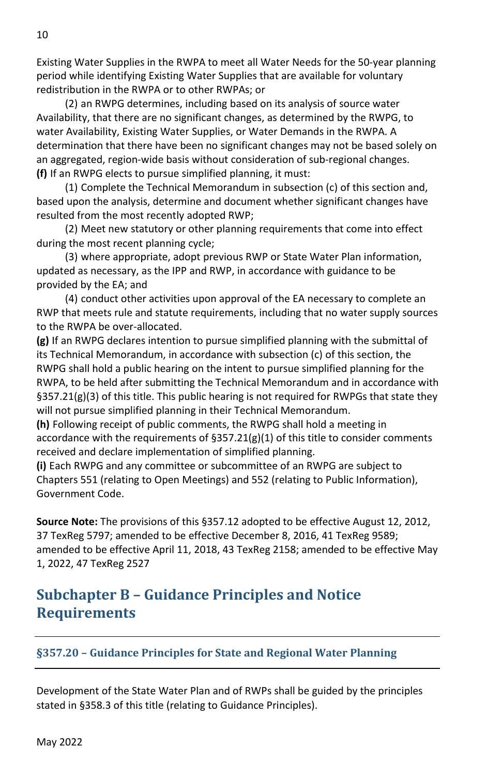Existing Water Supplies in the RWPA to meet all Water Needs for the 50-year planning period while identifying Existing Water Supplies that are available for voluntary redistribution in the RWPA or to other RWPAs; or

(2) an RWPG determines, including based on its analysis of source water Availability, that there are no significant changes, as determined by the RWPG, to water Availability, Existing Water Supplies, or Water Demands in the RWPA. A determination that there have been no significant changes may not be based solely on an aggregated, region-wide basis without consideration of sub-regional changes. **(f)** If an RWPG elects to pursue simplified planning, it must:

(1) Complete the Technical Memorandum in subsection (c) of this section and, based upon the analysis, determine and document whether significant changes have resulted from the most recently adopted RWP;

(2) Meet new statutory or other planning requirements that come into effect during the most recent planning cycle;

(3) where appropriate, adopt previous RWP or State Water Plan information, updated as necessary, as the IPP and RWP, in accordance with guidance to be provided by the EA; and

(4) conduct other activities upon approval of the EA necessary to complete an RWP that meets rule and statute requirements, including that no water supply sources to the RWPA be over-allocated.

**(g)** If an RWPG declares intention to pursue simplified planning with the submittal of its Technical Memorandum, in accordance with subsection (c) of this section, the RWPG shall hold a public hearing on the intent to pursue simplified planning for the RWPA, to be held after submitting the Technical Memorandum and in accordance with §357.21(g)(3) of this title. This public hearing is not required for RWPGs that state they will not pursue simplified planning in their Technical Memorandum.

**(h)** Following receipt of public comments, the RWPG shall hold a meeting in accordance with the requirements of  $\S 357.21(g)(1)$  of this title to consider comments received and declare implementation of simplified planning.

**(i)** Each RWPG and any committee or subcommittee of an RWPG are subject to Chapters 551 (relating to Open Meetings) and 552 (relating to Public Information), Government Code.

**Source Note:** The provisions of this §357.12 adopted to be effective August 12, 2012, 37 TexReg 5797; amended to be effective December 8, 2016, 41 TexReg 9589; amended to be effective April 11, 2018, 43 TexReg 2158; amended to be effective May 1, 2022, 47 TexReg 2527

# <span id="page-13-0"></span>**[Subchapter B](http://info.sos.state.tx.us/pls/pub/readtac$ext.ViewTAC?tac_view=5&ti=31&pt=10&ch=357&sch=B&rl=Y) – Guidance Principles and Notice Requirements**

#### <span id="page-13-1"></span>**§357.20 – Guidance Principles for State and Regional Water Planning**

Development of the State Water Plan and of RWPs shall be guided by the principles stated in §358.3 of this title (relating to Guidance Principles).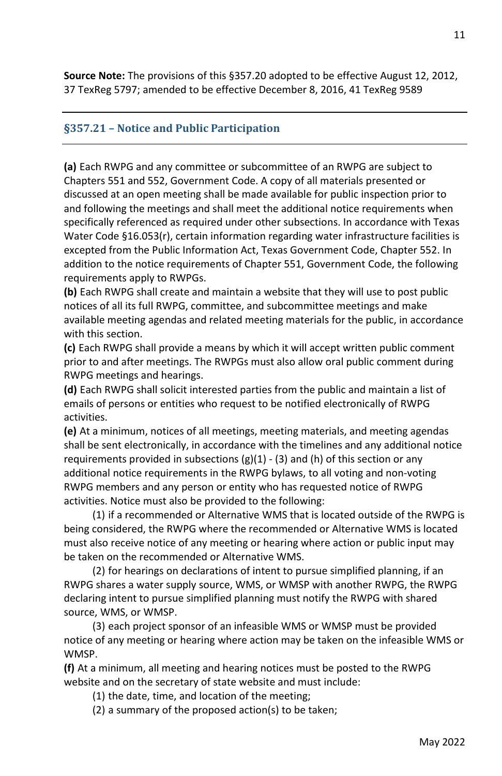<span id="page-14-0"></span>**Source Note:** The provisions of this §357.20 adopted to be effective August 12, 2012, 37 TexReg 5797; amended to be effective December 8, 2016, 41 TexReg 9589

#### **§357.21 – Notice and Public Participation**

**(a)** Each RWPG and any committee or subcommittee of an RWPG are subject to Chapters 551 and 552, Government Code. A copy of all materials presented or discussed at an open meeting shall be made available for public inspection prior to and following the meetings and shall meet the additional notice requirements when specifically referenced as required under other subsections. In accordance with Texas Water Code §16.053(r), certain information regarding water infrastructure facilities is excepted from the Public Information Act, Texas Government Code, Chapter 552. In addition to the notice requirements of Chapter 551, Government Code, the following requirements apply to RWPGs.

**(b)** Each RWPG shall create and maintain a website that they will use to post public notices of all its full RWPG, committee, and subcommittee meetings and make available meeting agendas and related meeting materials for the public, in accordance with this section.

**(c)** Each RWPG shall provide a means by which it will accept written public comment prior to and after meetings. The RWPGs must also allow oral public comment during RWPG meetings and hearings.

**(d)** Each RWPG shall solicit interested parties from the public and maintain a list of emails of persons or entities who request to be notified electronically of RWPG activities.

**(e)** At a minimum, notices of all meetings, meeting materials, and meeting agendas shall be sent electronically, in accordance with the timelines and any additional notice requirements provided in subsections  $(g)(1) - (3)$  and  $(h)$  of this section or any additional notice requirements in the RWPG bylaws, to all voting and non-voting RWPG members and any person or entity who has requested notice of RWPG activities. Notice must also be provided to the following:

(1) if a recommended or Alternative WMS that is located outside of the RWPG is being considered, the RWPG where the recommended or Alternative WMS is located must also receive notice of any meeting or hearing where action or public input may be taken on the recommended or Alternative WMS.

(2) for hearings on declarations of intent to pursue simplified planning, if an RWPG shares a water supply source, WMS, or WMSP with another RWPG, the RWPG declaring intent to pursue simplified planning must notify the RWPG with shared source, WMS, or WMSP.

(3) each project sponsor of an infeasible WMS or WMSP must be provided notice of any meeting or hearing where action may be taken on the infeasible WMS or WMSP.

**(f)** At a minimum, all meeting and hearing notices must be posted to the RWPG website and on the secretary of state website and must include:

- (1) the date, time, and location of the meeting;
- (2) a summary of the proposed action(s) to be taken;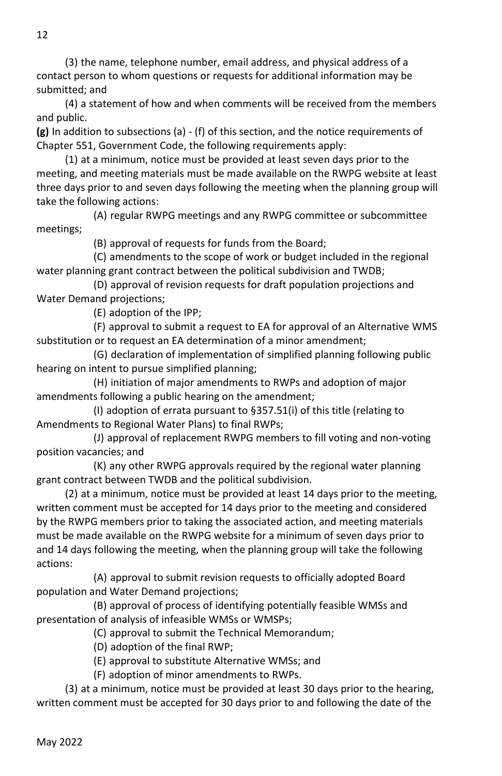(3) the name, telephone number, email address, and physical address of a contact person to whom questions or requests for additional information may be submitted; and

(4) a statement of how and when comments will be received from the members and public.

**(g)** In addition to subsections (a) - (f) of this section, and the notice requirements of Chapter 551, Government Code, the following requirements apply:

(1) at a minimum, notice must be provided at least seven days prior to the meeting, and meeting materials must be made available on the RWPG website at least three days prior to and seven days following the meeting when the planning group will take the following actions:

(A) regular RWPG meetings and any RWPG committee or subcommittee meetings;

(B) approval of requests for funds from the Board;

(C) amendments to the scope of work or budget included in the regional water planning grant contract between the political subdivision and TWDB;

(D) approval of revision requests for draft population projections and Water Demand projections;

(E) adoption of the IPP;

(F) approval to submit a request to EA for approval of an Alternative WMS substitution or to request an EA determination of a minor amendment;

(G) declaration of implementation of simplified planning following public hearing on intent to pursue simplified planning;

(H) initiation of major amendments to RWPs and adoption of major amendments following a public hearing on the amendment;

(I) adoption of errata pursuant to §357.51(i) of this title (relating to Amendments to Regional Water Plans) to final RWPs;

(J) approval of replacement RWPG members to fill voting and non-voting position vacancies; and

(K) any other RWPG approvals required by the regional water planning grant contract between TWDB and the political subdivision.

(2) at a minimum, notice must be provided at least 14 days prior to the meeting, written comment must be accepted for 14 days prior to the meeting and considered by the RWPG members prior to taking the associated action, and meeting materials must be made available on the RWPG website for a minimum of seven days prior to and 14 days following the meeting, when the planning group will take the following actions:

(A) approval to submit revision requests to officially adopted Board population and Water Demand projections;

(B) approval of process of identifying potentially feasible WMSs and presentation of analysis of infeasible WMSs or WMSPs;

(C) approval to submit the Technical Memorandum;

(D) adoption of the final RWP;

(E) approval to substitute Alternative WMSs; and

(F) adoption of minor amendments to RWPs.

(3) at a minimum, notice must be provided at least 30 days prior to the hearing, written comment must be accepted for 30 days prior to and following the date of the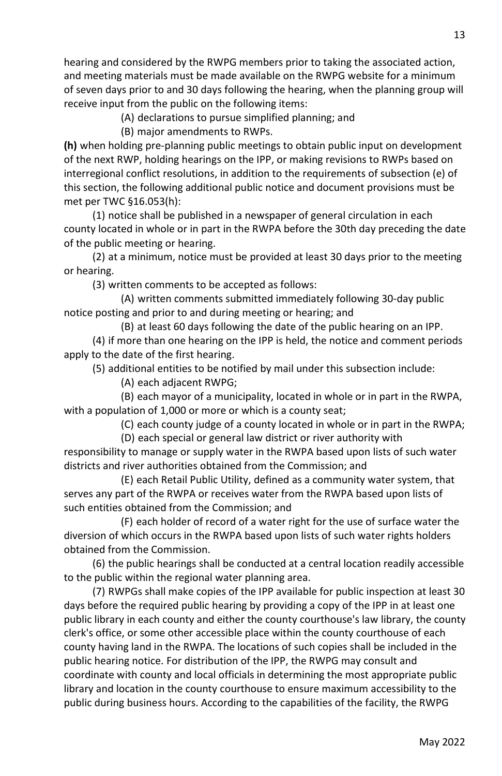hearing and considered by the RWPG members prior to taking the associated action, and meeting materials must be made available on the RWPG website for a minimum of seven days prior to and 30 days following the hearing, when the planning group will receive input from the public on the following items:

(A) declarations to pursue simplified planning; and

(B) major amendments to RWPs.

**(h)** when holding pre-planning public meetings to obtain public input on development of the next RWP, holding hearings on the IPP, or making revisions to RWPs based on interregional conflict resolutions, in addition to the requirements of subsection (e) of this section, the following additional public notice and document provisions must be met per TWC §16.053(h):

(1) notice shall be published in a newspaper of general circulation in each county located in whole or in part in the RWPA before the 30th day preceding the date of the public meeting or hearing.

(2) at a minimum, notice must be provided at least 30 days prior to the meeting or hearing.

(3) written comments to be accepted as follows:

(A) written comments submitted immediately following 30-day public notice posting and prior to and during meeting or hearing; and

(B) at least 60 days following the date of the public hearing on an IPP.

(4) if more than one hearing on the IPP is held, the notice and comment periods apply to the date of the first hearing.

(5) additional entities to be notified by mail under this subsection include:

(A) each adjacent RWPG;

(B) each mayor of a municipality, located in whole or in part in the RWPA, with a population of 1,000 or more or which is a county seat;

(C) each county judge of a county located in whole or in part in the RWPA;

(D) each special or general law district or river authority with responsibility to manage or supply water in the RWPA based upon lists of such water districts and river authorities obtained from the Commission; and

(E) each Retail Public Utility, defined as a community water system, that serves any part of the RWPA or receives water from the RWPA based upon lists of such entities obtained from the Commission; and

(F) each holder of record of a water right for the use of surface water the diversion of which occurs in the RWPA based upon lists of such water rights holders obtained from the Commission.

(6) the public hearings shall be conducted at a central location readily accessible to the public within the regional water planning area.

(7) RWPGs shall make copies of the IPP available for public inspection at least 30 days before the required public hearing by providing a copy of the IPP in at least one public library in each county and either the county courthouse's law library, the county clerk's office, or some other accessible place within the county courthouse of each county having land in the RWPA. The locations of such copies shall be included in the public hearing notice. For distribution of the IPP, the RWPG may consult and coordinate with county and local officials in determining the most appropriate public library and location in the county courthouse to ensure maximum accessibility to the public during business hours. According to the capabilities of the facility, the RWPG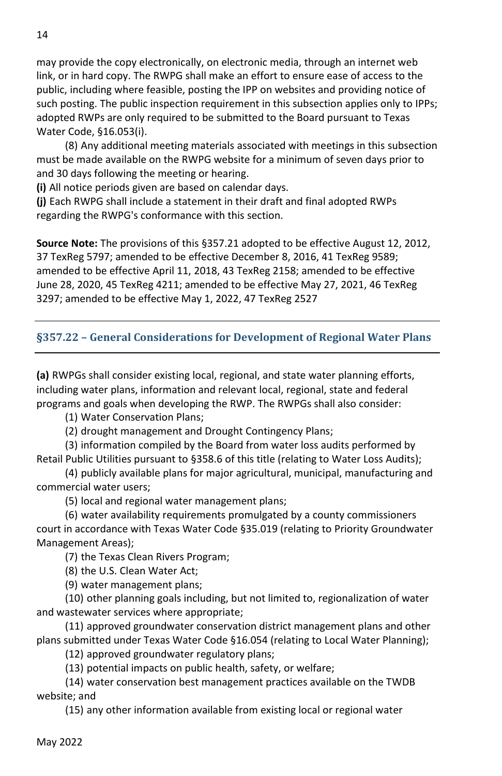may provide the copy electronically, on electronic media, through an internet web link, or in hard copy. The RWPG shall make an effort to ensure ease of access to the public, including where feasible, posting the IPP on websites and providing notice of such posting. The public inspection requirement in this subsection applies only to IPPs; adopted RWPs are only required to be submitted to the Board pursuant to Texas Water Code, §16.053(i).

(8) Any additional meeting materials associated with meetings in this subsection must be made available on the RWPG website for a minimum of seven days prior to and 30 days following the meeting or hearing.

**(i)** All notice periods given are based on calendar days.

**(j)** Each RWPG shall include a statement in their draft and final adopted RWPs regarding the RWPG's conformance with this section.

**Source Note:** The provisions of this §357.21 adopted to be effective August 12, 2012, 37 TexReg 5797; amended to be effective December 8, 2016, 41 TexReg 9589; amended to be effective April 11, 2018, 43 TexReg 2158; amended to be effective June 28, 2020, 45 TexReg 4211; amended to be effective May 27, 2021, 46 TexReg 3297; amended to be effective May 1, 2022, 47 TexReg 2527

#### <span id="page-17-0"></span>**§357.22 – General Considerations for Development of Regional Water Plans**

**(a)** RWPGs shall consider existing local, regional, and state water planning efforts, including water plans, information and relevant local, regional, state and federal programs and goals when developing the RWP. The RWPGs shall also consider:

(1) Water Conservation Plans;

(2) drought management and Drought Contingency Plans;

(3) information compiled by the Board from water loss audits performed by Retail Public Utilities pursuant to §358.6 of this title (relating to Water Loss Audits);

(4) publicly available plans for major agricultural, municipal, manufacturing and commercial water users;

(5) local and regional water management plans;

(6) water availability requirements promulgated by a county commissioners court in accordance with Texas Water Code §35.019 (relating to Priority Groundwater Management Areas);

(7) the Texas Clean Rivers Program;

(8) the U.S. Clean Water Act;

(9) water management plans;

(10) other planning goals including, but not limited to, regionalization of water and wastewater services where appropriate;

(11) approved groundwater conservation district management plans and other plans submitted under Texas Water Code §16.054 (relating to Local Water Planning);

(12) approved groundwater regulatory plans;

(13) potential impacts on public health, safety, or welfare;

(14) water conservation best management practices available on the TWDB website; and

(15) any other information available from existing local or regional water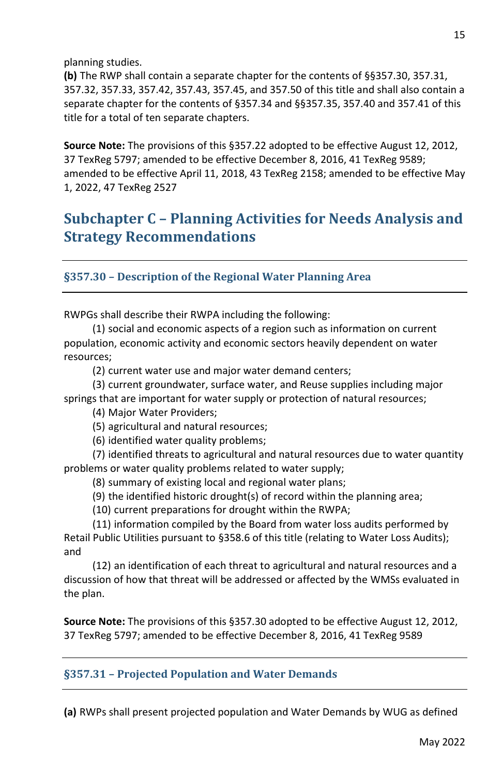planning studies.

**(b)** The RWP shall contain a separate chapter for the contents of §§357.30, 357.31, 357.32, 357.33, 357.42, 357.43, 357.45, and 357.50 of this title and shall also contain a separate chapter for the contents of §357.34 and §§357.35, 357.40 and 357.41 of this title for a total of ten separate chapters.

**Source Note:** The provisions of this §357.22 adopted to be effective August 12, 2012, 37 TexReg 5797; amended to be effective December 8, 2016, 41 TexReg 9589; amended to be effective April 11, 2018, 43 TexReg 2158; amended to be effective May 1, 2022, 47 TexReg 2527

# <span id="page-18-0"></span>**Subchapter C – Planning Activities for Needs Analysis and Strategy Recommendations**

<span id="page-18-1"></span>**§357.30 – Description of the Regional Water Planning Area**

RWPGs shall describe their RWPA including the following:

(1) social and economic aspects of a region such as information on current population, economic activity and economic sectors heavily dependent on water resources;

(2) current water use and major water demand centers;

(3) current groundwater, surface water, and Reuse supplies including major springs that are important for water supply or protection of natural resources;

(4) Major Water Providers;

(5) agricultural and natural resources;

(6) identified water quality problems;

(7) identified threats to agricultural and natural resources due to water quantity problems or water quality problems related to water supply;

(8) summary of existing local and regional water plans;

(9) the identified historic drought(s) of record within the planning area;

(10) current preparations for drought within the RWPA;

(11) information compiled by the Board from water loss audits performed by Retail Public Utilities pursuant to §358.6 of this title (relating to Water Loss Audits); and

(12) an identification of each threat to agricultural and natural resources and a discussion of how that threat will be addressed or affected by the WMSs evaluated in the plan.

<span id="page-18-2"></span>**Source Note:** The provisions of this §357.30 adopted to be effective August 12, 2012, 37 TexReg 5797; amended to be effective December 8, 2016, 41 TexReg 9589

#### **§357.31 – Projected Population and Water Demands**

**(a)** RWPs shall present projected population and Water Demands by WUG as defined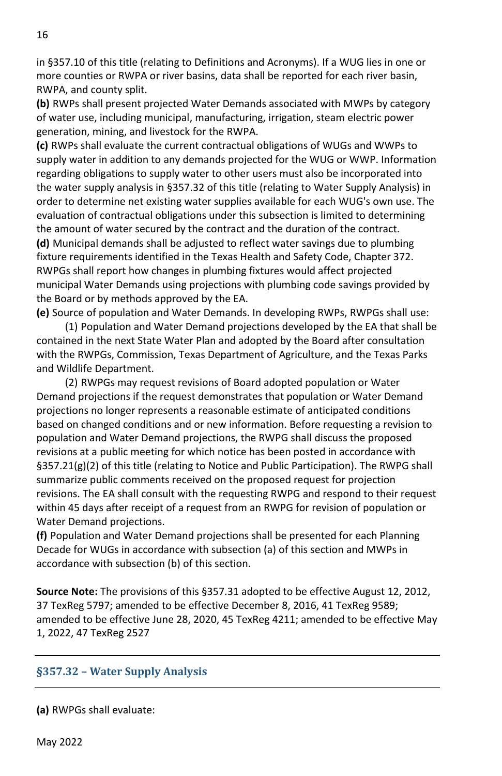in §357.10 of this title (relating to Definitions and Acronyms). If a WUG lies in one or more counties or RWPA or river basins, data shall be reported for each river basin, RWPA, and county split.

**(b)** RWPs shall present projected Water Demands associated with MWPs by category of water use, including municipal, manufacturing, irrigation, steam electric power generation, mining, and livestock for the RWPA.

**(c)** RWPs shall evaluate the current contractual obligations of WUGs and WWPs to supply water in addition to any demands projected for the WUG or WWP. Information regarding obligations to supply water to other users must also be incorporated into the water supply analysis in §357.32 of this title (relating to Water Supply Analysis) in order to determine net existing water supplies available for each WUG's own use. The evaluation of contractual obligations under this subsection is limited to determining the amount of water secured by the contract and the duration of the contract. **(d)** Municipal demands shall be adjusted to reflect water savings due to plumbing fixture requirements identified in the Texas Health and Safety Code, Chapter 372. RWPGs shall report how changes in plumbing fixtures would affect projected municipal Water Demands using projections with plumbing code savings provided by the Board or by methods approved by the EA.

**(e)** Source of population and Water Demands. In developing RWPs, RWPGs shall use:

(1) Population and Water Demand projections developed by the EA that shall be contained in the next State Water Plan and adopted by the Board after consultation with the RWPGs, Commission, Texas Department of Agriculture, and the Texas Parks and Wildlife Department.

(2) RWPGs may request revisions of Board adopted population or Water Demand projections if the request demonstrates that population or Water Demand projections no longer represents a reasonable estimate of anticipated conditions based on changed conditions and or new information. Before requesting a revision to population and Water Demand projections, the RWPG shall discuss the proposed revisions at a public meeting for which notice has been posted in accordance with §357.21(g)(2) of this title (relating to Notice and Public Participation). The RWPG shall summarize public comments received on the proposed request for projection revisions. The EA shall consult with the requesting RWPG and respond to their request within 45 days after receipt of a request from an RWPG for revision of population or Water Demand projections.

**(f)** Population and Water Demand projections shall be presented for each Planning Decade for WUGs in accordance with subsection (a) of this section and MWPs in accordance with subsection (b) of this section.

**Source Note:** The provisions of this §357.31 adopted to be effective August 12, 2012, 37 TexReg 5797; amended to be effective December 8, 2016, 41 TexReg 9589; amended to be effective June 28, 2020, 45 TexReg 4211; amended to be effective May 1, 2022, 47 TexReg 2527

#### <span id="page-19-0"></span>**§357.32 – Water Supply Analysis**

**(a)** RWPGs shall evaluate: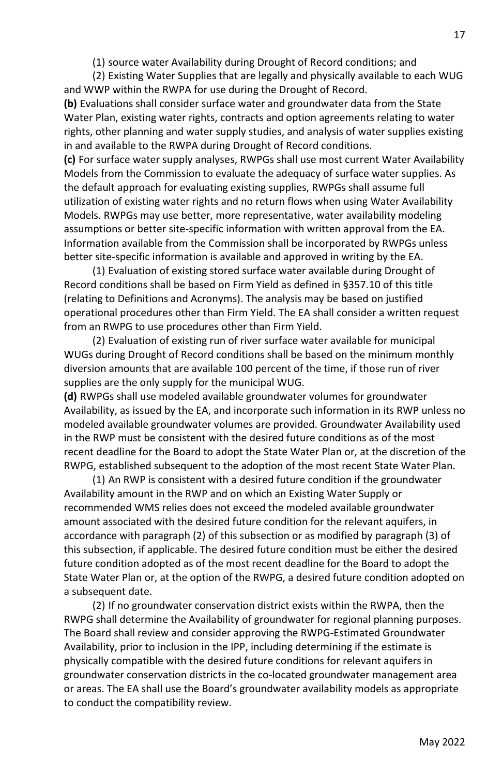(1) source water Availability during Drought of Record conditions; and

(2) Existing Water Supplies that are legally and physically available to each WUG and WWP within the RWPA for use during the Drought of Record.

**(b)** Evaluations shall consider surface water and groundwater data from the State Water Plan, existing water rights, contracts and option agreements relating to water rights, other planning and water supply studies, and analysis of water supplies existing in and available to the RWPA during Drought of Record conditions.

**(c)** For surface water supply analyses, RWPGs shall use most current Water Availability Models from the Commission to evaluate the adequacy of surface water supplies. As the default approach for evaluating existing supplies, RWPGs shall assume full utilization of existing water rights and no return flows when using Water Availability Models. RWPGs may use better, more representative, water availability modeling assumptions or better site-specific information with written approval from the EA. Information available from the Commission shall be incorporated by RWPGs unless better site-specific information is available and approved in writing by the EA.

(1) Evaluation of existing stored surface water available during Drought of Record conditions shall be based on Firm Yield as defined in §357.10 of this title (relating to Definitions and Acronyms). The analysis may be based on justified operational procedures other than Firm Yield. The EA shall consider a written request from an RWPG to use procedures other than Firm Yield.

(2) Evaluation of existing run of river surface water available for municipal WUGs during Drought of Record conditions shall be based on the minimum monthly diversion amounts that are available 100 percent of the time, if those run of river supplies are the only supply for the municipal WUG.

**(d)** RWPGs shall use modeled available groundwater volumes for groundwater Availability, as issued by the EA, and incorporate such information in its RWP unless no modeled available groundwater volumes are provided. Groundwater Availability used in the RWP must be consistent with the desired future conditions as of the most recent deadline for the Board to adopt the State Water Plan or, at the discretion of the RWPG, established subsequent to the adoption of the most recent State Water Plan.

(1) An RWP is consistent with a desired future condition if the groundwater Availability amount in the RWP and on which an Existing Water Supply or recommended WMS relies does not exceed the modeled available groundwater amount associated with the desired future condition for the relevant aquifers, in accordance with paragraph (2) of this subsection or as modified by paragraph (3) of this subsection, if applicable. The desired future condition must be either the desired future condition adopted as of the most recent deadline for the Board to adopt the State Water Plan or, at the option of the RWPG, a desired future condition adopted on a subsequent date.

(2) If no groundwater conservation district exists within the RWPA, then the RWPG shall determine the Availability of groundwater for regional planning purposes. The Board shall review and consider approving the RWPG-Estimated Groundwater Availability, prior to inclusion in the IPP, including determining if the estimate is physically compatible with the desired future conditions for relevant aquifers in groundwater conservation districts in the co-located groundwater management area or areas. The EA shall use the Board's groundwater availability models as appropriate to conduct the compatibility review.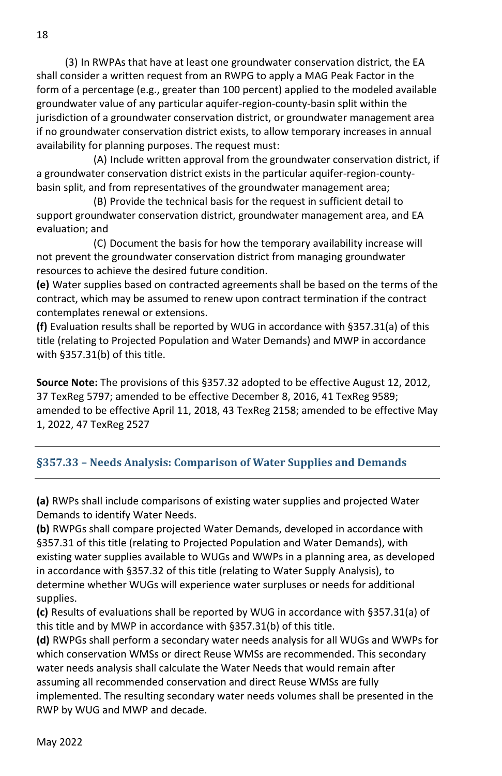(3) In RWPAs that have at least one groundwater conservation district, the EA shall consider a written request from an RWPG to apply a MAG Peak Factor in the form of a percentage (e.g., greater than 100 percent) applied to the modeled available groundwater value of any particular aquifer-region-county-basin split within the jurisdiction of a groundwater conservation district, or groundwater management area if no groundwater conservation district exists, to allow temporary increases in annual availability for planning purposes. The request must:

(A) Include written approval from the groundwater conservation district, if a groundwater conservation district exists in the particular aquifer-region-countybasin split, and from representatives of the groundwater management area;

(B) Provide the technical basis for the request in sufficient detail to support groundwater conservation district, groundwater management area, and EA evaluation; and

(C) Document the basis for how the temporary availability increase will not prevent the groundwater conservation district from managing groundwater resources to achieve the desired future condition.

**(e)** Water supplies based on contracted agreements shall be based on the terms of the contract, which may be assumed to renew upon contract termination if the contract contemplates renewal or extensions.

**(f)** Evaluation results shall be reported by WUG in accordance with §357.31(a) of this title (relating to Projected Population and Water Demands) and MWP in accordance with §357.31(b) of this title.

**Source Note:** The provisions of this §357.32 adopted to be effective August 12, 2012, 37 TexReg 5797; amended to be effective December 8, 2016, 41 TexReg 9589; amended to be effective April 11, 2018, 43 TexReg 2158; amended to be effective May 1, 2022, 47 TexReg 2527

#### <span id="page-21-0"></span>**§357.33 – Needs Analysis: Comparison of Water Supplies and Demands**

**(a)** RWPs shall include comparisons of existing water supplies and projected Water Demands to identify Water Needs.

**(b)** RWPGs shall compare projected Water Demands, developed in accordance with §357.31 of this title (relating to Projected Population and Water Demands), with existing water supplies available to WUGs and WWPs in a planning area, as developed in accordance with §357.32 of this title (relating to Water Supply Analysis), to determine whether WUGs will experience water surpluses or needs for additional supplies.

**(c)** Results of evaluations shall be reported by WUG in accordance with §357.31(a) of this title and by MWP in accordance with §357.31(b) of this title.

**(d)** RWPGs shall perform a secondary water needs analysis for all WUGs and WWPs for which conservation WMSs or direct Reuse WMSs are recommended. This secondary water needs analysis shall calculate the Water Needs that would remain after assuming all recommended conservation and direct Reuse WMSs are fully implemented. The resulting secondary water needs volumes shall be presented in the RWP by WUG and MWP and decade.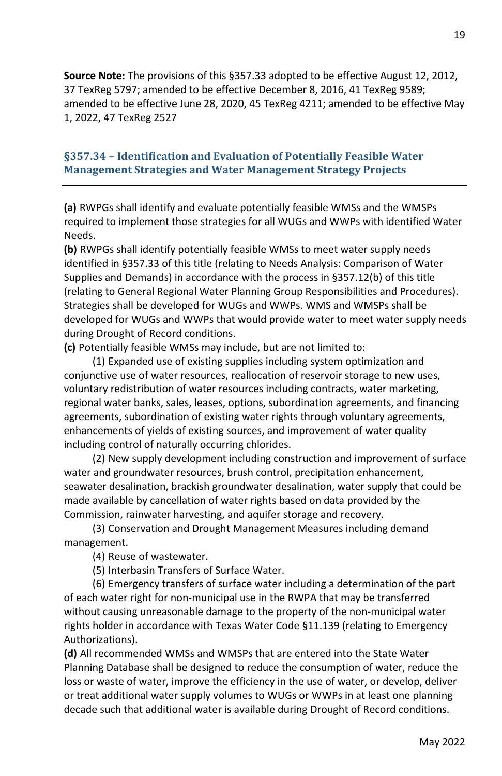**Source Note:** The provisions of this §357.33 adopted to be effective August 12, 2012, 37 TexReg 5797; amended to be effective December 8, 2016, 41 TexReg 9589; amended to be effective June 28, 2020, 45 TexReg 4211; amended to be effective May 1, 2022, 47 TexReg 2527

#### <span id="page-22-0"></span>**§357.34 – Identification and Evaluation of Potentially Feasible Water Management Strategies and Water Management Strategy Projects**

**(a)** RWPGs shall identify and evaluate potentially feasible WMSs and the WMSPs required to implement those strategies for all WUGs and WWPs with identified Water Needs.

**(b)** RWPGs shall identify potentially feasible WMSs to meet water supply needs identified in §357.33 of this title (relating to Needs Analysis: Comparison of Water Supplies and Demands) in accordance with the process in §357.12(b) of this title (relating to General Regional Water Planning Group Responsibilities and Procedures). Strategies shall be developed for WUGs and WWPs. WMS and WMSPs shall be developed for WUGs and WWPs that would provide water to meet water supply needs during Drought of Record conditions.

**(c)** Potentially feasible WMSs may include, but are not limited to:

(1) Expanded use of existing supplies including system optimization and conjunctive use of water resources, reallocation of reservoir storage to new uses, voluntary redistribution of water resources including contracts, water marketing, regional water banks, sales, leases, options, subordination agreements, and financing agreements, subordination of existing water rights through voluntary agreements, enhancements of yields of existing sources, and improvement of water quality including control of naturally occurring chlorides.

(2) New supply development including construction and improvement of surface water and groundwater resources, brush control, precipitation enhancement, seawater desalination, brackish groundwater desalination, water supply that could be made available by cancellation of water rights based on data provided by the Commission, rainwater harvesting, and aquifer storage and recovery.

(3) Conservation and Drought Management Measures including demand management.

(4) Reuse of wastewater.

(5) Interbasin Transfers of Surface Water.

(6) Emergency transfers of surface water including a determination of the part of each water right for non-municipal use in the RWPA that may be transferred without causing unreasonable damage to the property of the non-municipal water rights holder in accordance with Texas Water Code §11.139 (relating to Emergency Authorizations).

**(d)** All recommended WMSs and WMSPs that are entered into the State Water Planning Database shall be designed to reduce the consumption of water, reduce the loss or waste of water, improve the efficiency in the use of water, or develop, deliver or treat additional water supply volumes to WUGs or WWPs in at least one planning decade such that additional water is available during Drought of Record conditions.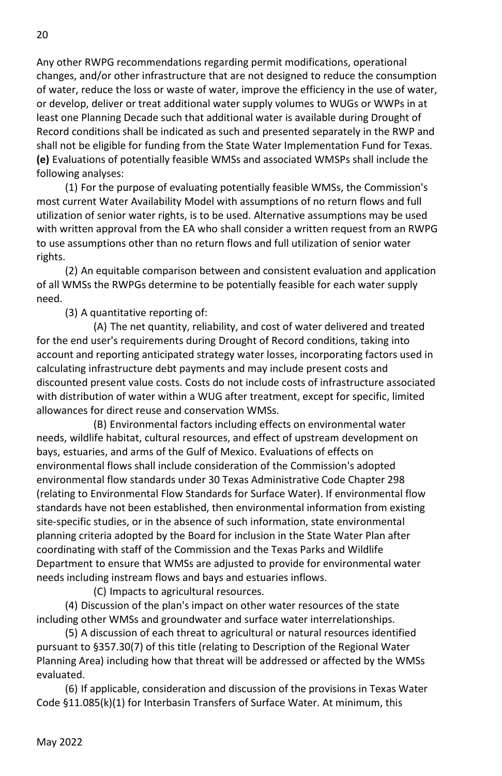Any other RWPG recommendations regarding permit modifications, operational changes, and/or other infrastructure that are not designed to reduce the consumption of water, reduce the loss or waste of water, improve the efficiency in the use of water, or develop, deliver or treat additional water supply volumes to WUGs or WWPs in at least one Planning Decade such that additional water is available during Drought of Record conditions shall be indicated as such and presented separately in the RWP and shall not be eligible for funding from the State Water Implementation Fund for Texas. **(e)** Evaluations of potentially feasible WMSs and associated WMSPs shall include the following analyses:

(1) For the purpose of evaluating potentially feasible WMSs, the Commission's most current Water Availability Model with assumptions of no return flows and full utilization of senior water rights, is to be used. Alternative assumptions may be used with written approval from the EA who shall consider a written request from an RWPG to use assumptions other than no return flows and full utilization of senior water rights.

(2) An equitable comparison between and consistent evaluation and application of all WMSs the RWPGs determine to be potentially feasible for each water supply need.

(3) A quantitative reporting of:

(A) The net quantity, reliability, and cost of water delivered and treated for the end user's requirements during Drought of Record conditions, taking into account and reporting anticipated strategy water losses, incorporating factors used in calculating infrastructure debt payments and may include present costs and discounted present value costs. Costs do not include costs of infrastructure associated with distribution of water within a WUG after treatment, except for specific, limited allowances for direct reuse and conservation WMSs.

(B) Environmental factors including effects on environmental water needs, wildlife habitat, cultural resources, and effect of upstream development on bays, estuaries, and arms of the Gulf of Mexico. Evaluations of effects on environmental flows shall include consideration of the Commission's adopted environmental flow standards under 30 Texas Administrative Code Chapter 298 (relating to Environmental Flow Standards for Surface Water). If environmental flow standards have not been established, then environmental information from existing site-specific studies, or in the absence of such information, state environmental planning criteria adopted by the Board for inclusion in the State Water Plan after coordinating with staff of the Commission and the Texas Parks and Wildlife Department to ensure that WMSs are adjusted to provide for environmental water needs including instream flows and bays and estuaries inflows.

(C) Impacts to agricultural resources.

(4) Discussion of the plan's impact on other water resources of the state including other WMSs and groundwater and surface water interrelationships.

(5) A discussion of each threat to agricultural or natural resources identified pursuant to §357.30(7) of this title (relating to Description of the Regional Water Planning Area) including how that threat will be addressed or affected by the WMSs evaluated.

(6) If applicable, consideration and discussion of the provisions in Texas Water Code §11.085(k)(1) for Interbasin Transfers of Surface Water. At minimum, this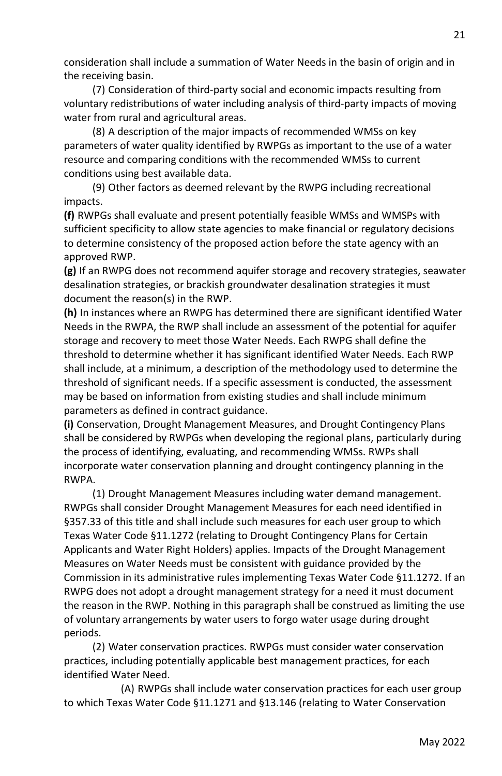consideration shall include a summation of Water Needs in the basin of origin and in the receiving basin.

(7) Consideration of third-party social and economic impacts resulting from voluntary redistributions of water including analysis of third-party impacts of moving water from rural and agricultural areas.

(8) A description of the major impacts of recommended WMSs on key parameters of water quality identified by RWPGs as important to the use of a water resource and comparing conditions with the recommended WMSs to current conditions using best available data.

(9) Other factors as deemed relevant by the RWPG including recreational impacts.

**(f)** RWPGs shall evaluate and present potentially feasible WMSs and WMSPs with sufficient specificity to allow state agencies to make financial or regulatory decisions to determine consistency of the proposed action before the state agency with an approved RWP.

**(g)** If an RWPG does not recommend aquifer storage and recovery strategies, seawater desalination strategies, or brackish groundwater desalination strategies it must document the reason(s) in the RWP.

**(h)** In instances where an RWPG has determined there are significant identified Water Needs in the RWPA, the RWP shall include an assessment of the potential for aquifer storage and recovery to meet those Water Needs. Each RWPG shall define the threshold to determine whether it has significant identified Water Needs. Each RWP shall include, at a minimum, a description of the methodology used to determine the threshold of significant needs. If a specific assessment is conducted, the assessment may be based on information from existing studies and shall include minimum parameters as defined in contract guidance.

**(i)** Conservation, Drought Management Measures, and Drought Contingency Plans shall be considered by RWPGs when developing the regional plans, particularly during the process of identifying, evaluating, and recommending WMSs. RWPs shall incorporate water conservation planning and drought contingency planning in the RWPA.

(1) Drought Management Measures including water demand management. RWPGs shall consider Drought Management Measures for each need identified in §357.33 of this title and shall include such measures for each user group to which Texas Water Code §11.1272 (relating to Drought Contingency Plans for Certain Applicants and Water Right Holders) applies. Impacts of the Drought Management Measures on Water Needs must be consistent with guidance provided by the Commission in its administrative rules implementing Texas Water Code §11.1272. If an RWPG does not adopt a drought management strategy for a need it must document the reason in the RWP. Nothing in this paragraph shall be construed as limiting the use of voluntary arrangements by water users to forgo water usage during drought periods.

(2) Water conservation practices. RWPGs must consider water conservation practices, including potentially applicable best management practices, for each identified Water Need.

(A) RWPGs shall include water conservation practices for each user group to which Texas Water Code §11.1271 and §13.146 (relating to Water Conservation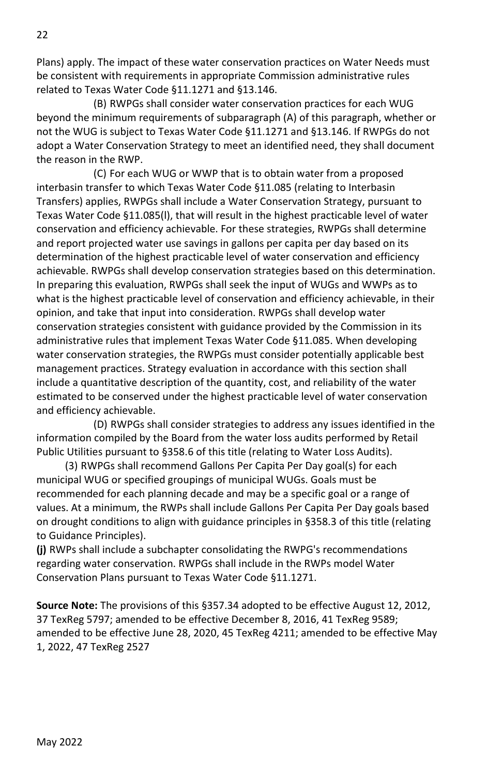Plans) apply. The impact of these water conservation practices on Water Needs must be consistent with requirements in appropriate Commission administrative rules related to Texas Water Code §11.1271 and §13.146.

(B) RWPGs shall consider water conservation practices for each WUG beyond the minimum requirements of subparagraph (A) of this paragraph, whether or not the WUG is subject to Texas Water Code §11.1271 and §13.146. If RWPGs do not adopt a Water Conservation Strategy to meet an identified need, they shall document the reason in the RWP.

(C) For each WUG or WWP that is to obtain water from a proposed interbasin transfer to which Texas Water Code §11.085 (relating to Interbasin Transfers) applies, RWPGs shall include a Water Conservation Strategy, pursuant to Texas Water Code §11.085(l), that will result in the highest practicable level of water conservation and efficiency achievable. For these strategies, RWPGs shall determine and report projected water use savings in gallons per capita per day based on its determination of the highest practicable level of water conservation and efficiency achievable. RWPGs shall develop conservation strategies based on this determination. In preparing this evaluation, RWPGs shall seek the input of WUGs and WWPs as to what is the highest practicable level of conservation and efficiency achievable, in their opinion, and take that input into consideration. RWPGs shall develop water conservation strategies consistent with guidance provided by the Commission in its administrative rules that implement Texas Water Code §11.085. When developing water conservation strategies, the RWPGs must consider potentially applicable best management practices. Strategy evaluation in accordance with this section shall include a quantitative description of the quantity, cost, and reliability of the water estimated to be conserved under the highest practicable level of water conservation and efficiency achievable.

(D) RWPGs shall consider strategies to address any issues identified in the information compiled by the Board from the water loss audits performed by Retail Public Utilities pursuant to §358.6 of this title (relating to Water Loss Audits).

(3) RWPGs shall recommend Gallons Per Capita Per Day goal(s) for each municipal WUG or specified groupings of municipal WUGs. Goals must be recommended for each planning decade and may be a specific goal or a range of values. At a minimum, the RWPs shall include Gallons Per Capita Per Day goals based on drought conditions to align with guidance principles in §358.3 of this title (relating to Guidance Principles).

**(j)** RWPs shall include a subchapter consolidating the RWPG's recommendations regarding water conservation. RWPGs shall include in the RWPs model Water Conservation Plans pursuant to Texas Water Code §11.1271.

**Source Note:** The provisions of this §357.34 adopted to be effective August 12, 2012, 37 TexReg 5797; amended to be effective December 8, 2016, 41 TexReg 9589; amended to be effective June 28, 2020, 45 TexReg 4211; amended to be effective May 1, 2022, 47 TexReg 2527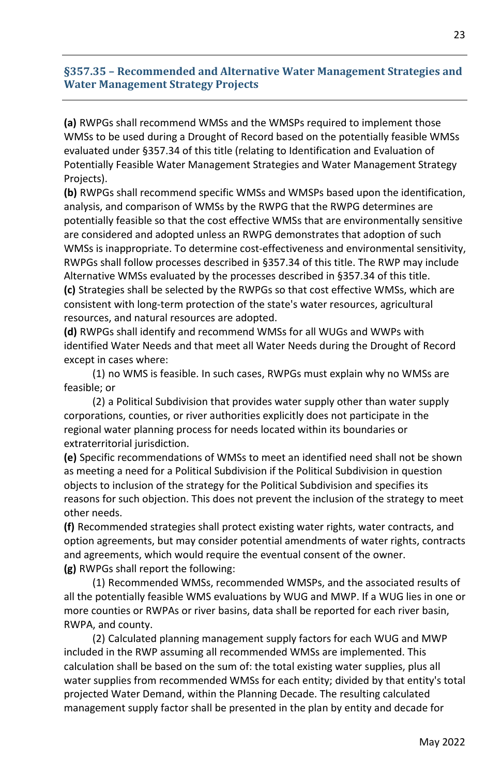#### <span id="page-26-0"></span>**§357.35 – Recommended and Alternative Water Management Strategies and Water Management Strategy Projects**

**(a)** RWPGs shall recommend WMSs and the WMSPs required to implement those WMSs to be used during a Drought of Record based on the potentially feasible WMSs evaluated under §357.34 of this title (relating to Identification and Evaluation of Potentially Feasible Water Management Strategies and Water Management Strategy Projects).

**(b)** RWPGs shall recommend specific WMSs and WMSPs based upon the identification, analysis, and comparison of WMSs by the RWPG that the RWPG determines are potentially feasible so that the cost effective WMSs that are environmentally sensitive are considered and adopted unless an RWPG demonstrates that adoption of such WMSs is inappropriate. To determine cost-effectiveness and environmental sensitivity, RWPGs shall follow processes described in §357.34 of this title. The RWP may include Alternative WMSs evaluated by the processes described in §357.34 of this title. **(c)** Strategies shall be selected by the RWPGs so that cost effective WMSs, which are consistent with long-term protection of the state's water resources, agricultural resources, and natural resources are adopted.

**(d)** RWPGs shall identify and recommend WMSs for all WUGs and WWPs with identified Water Needs and that meet all Water Needs during the Drought of Record except in cases where:

(1) no WMS is feasible. In such cases, RWPGs must explain why no WMSs are feasible; or

(2) a Political Subdivision that provides water supply other than water supply corporations, counties, or river authorities explicitly does not participate in the regional water planning process for needs located within its boundaries or extraterritorial jurisdiction.

**(e)** Specific recommendations of WMSs to meet an identified need shall not be shown as meeting a need for a Political Subdivision if the Political Subdivision in question objects to inclusion of the strategy for the Political Subdivision and specifies its reasons for such objection. This does not prevent the inclusion of the strategy to meet other needs.

**(f)** Recommended strategies shall protect existing water rights, water contracts, and option agreements, but may consider potential amendments of water rights, contracts and agreements, which would require the eventual consent of the owner. **(g)** RWPGs shall report the following:

(1) Recommended WMSs, recommended WMSPs, and the associated results of all the potentially feasible WMS evaluations by WUG and MWP. If a WUG lies in one or more counties or RWPAs or river basins, data shall be reported for each river basin, RWPA, and county.

(2) Calculated planning management supply factors for each WUG and MWP included in the RWP assuming all recommended WMSs are implemented. This calculation shall be based on the sum of: the total existing water supplies, plus all water supplies from recommended WMSs for each entity; divided by that entity's total projected Water Demand, within the Planning Decade. The resulting calculated management supply factor shall be presented in the plan by entity and decade for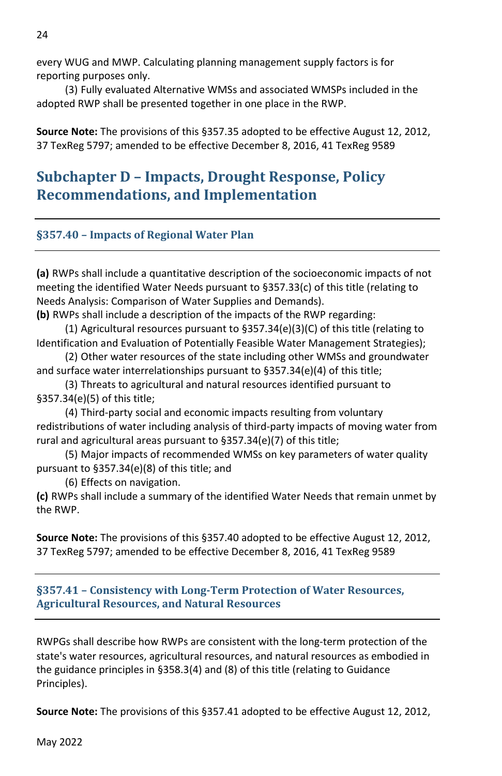every WUG and MWP. Calculating planning management supply factors is for reporting purposes only.

(3) Fully evaluated Alternative WMSs and associated WMSPs included in the adopted RWP shall be presented together in one place in the RWP.

**Source Note:** The provisions of this §357.35 adopted to be effective August 12, 2012, 37 TexReg 5797; amended to be effective December 8, 2016, 41 TexReg 9589

# <span id="page-27-0"></span>**Subchapter D – Impacts, Drought Response, Policy Recommendations, and Implementation**

#### <span id="page-27-1"></span>**§357.40 – Impacts of Regional Water Plan**

**(a)** RWPs shall include a quantitative description of the socioeconomic impacts of not meeting the identified Water Needs pursuant to §357.33(c) of this title (relating to Needs Analysis: Comparison of Water Supplies and Demands).

**(b)** RWPs shall include a description of the impacts of the RWP regarding:

(1) Agricultural resources pursuant to §357.34(e)(3)(C) of this title (relating to Identification and Evaluation of Potentially Feasible Water Management Strategies);

(2) Other water resources of the state including other WMSs and groundwater and surface water interrelationships pursuant to §357.34(e)(4) of this title;

(3) Threats to agricultural and natural resources identified pursuant to §357.34(e)(5) of this title;

(4) Third-party social and economic impacts resulting from voluntary redistributions of water including analysis of third-party impacts of moving water from rural and agricultural areas pursuant to §357.34(e)(7) of this title;

(5) Major impacts of recommended WMSs on key parameters of water quality pursuant to §357.34(e)(8) of this title; and

(6) Effects on navigation.

**(c)** RWPs shall include a summary of the identified Water Needs that remain unmet by the RWP.

**Source Note:** The provisions of this §357.40 adopted to be effective August 12, 2012, 37 TexReg 5797; amended to be effective December 8, 2016, 41 TexReg 9589

#### <span id="page-27-2"></span>**§357.41 – Consistency with Long-Term Protection of Water Resources, Agricultural Resources, and Natural Resources**

RWPGs shall describe how RWPs are consistent with the long-term protection of the state's water resources, agricultural resources, and natural resources as embodied in the guidance principles in §358.3(4) and (8) of this title (relating to Guidance Principles).

**Source Note:** The provisions of this §357.41 adopted to be effective August 12, 2012,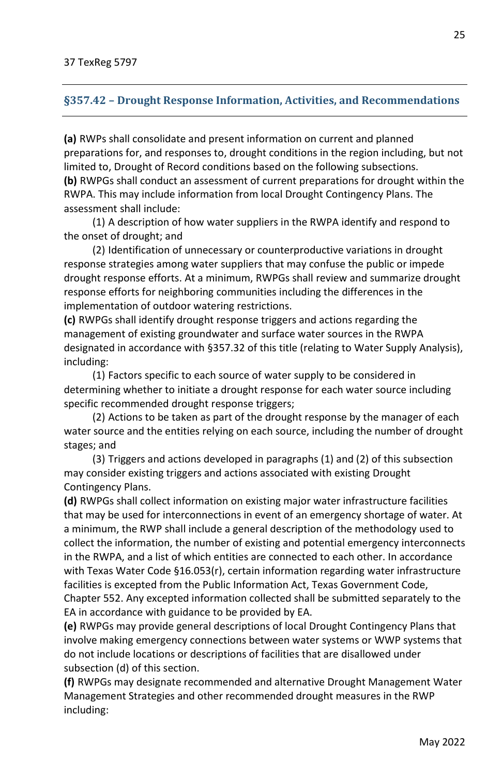#### <span id="page-28-0"></span>**§357.42 – Drought Response Information, Activities, and Recommendations**

**(a)** RWPs shall consolidate and present information on current and planned preparations for, and responses to, drought conditions in the region including, but not limited to, Drought of Record conditions based on the following subsections. **(b)** RWPGs shall conduct an assessment of current preparations for drought within the RWPA. This may include information from local Drought Contingency Plans. The assessment shall include:

(1) A description of how water suppliers in the RWPA identify and respond to the onset of drought; and

(2) Identification of unnecessary or counterproductive variations in drought response strategies among water suppliers that may confuse the public or impede drought response efforts. At a minimum, RWPGs shall review and summarize drought response efforts for neighboring communities including the differences in the implementation of outdoor watering restrictions.

**(c)** RWPGs shall identify drought response triggers and actions regarding the management of existing groundwater and surface water sources in the RWPA designated in accordance with §357.32 of this title (relating to Water Supply Analysis), including:

(1) Factors specific to each source of water supply to be considered in determining whether to initiate a drought response for each water source including specific recommended drought response triggers;

(2) Actions to be taken as part of the drought response by the manager of each water source and the entities relying on each source, including the number of drought stages; and

(3) Triggers and actions developed in paragraphs (1) and (2) of this subsection may consider existing triggers and actions associated with existing Drought Contingency Plans.

**(d)** RWPGs shall collect information on existing major water infrastructure facilities that may be used for interconnections in event of an emergency shortage of water. At a minimum, the RWP shall include a general description of the methodology used to collect the information, the number of existing and potential emergency interconnects in the RWPA, and a list of which entities are connected to each other. In accordance with Texas Water Code §16.053(r), certain information regarding water infrastructure facilities is excepted from the Public Information Act, Texas Government Code, Chapter 552. Any excepted information collected shall be submitted separately to the EA in accordance with guidance to be provided by EA.

**(e)** RWPGs may provide general descriptions of local Drought Contingency Plans that involve making emergency connections between water systems or WWP systems that do not include locations or descriptions of facilities that are disallowed under subsection (d) of this section.

**(f)** RWPGs may designate recommended and alternative Drought Management Water Management Strategies and other recommended drought measures in the RWP including: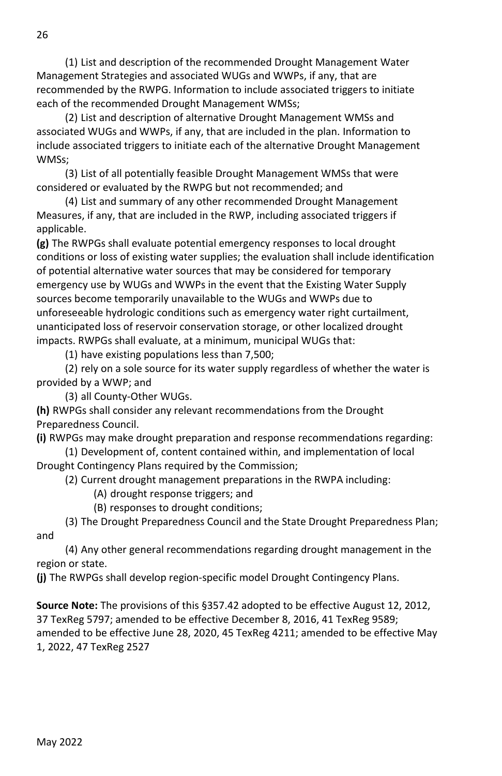(1) List and description of the recommended Drought Management Water Management Strategies and associated WUGs and WWPs, if any, that are recommended by the RWPG. Information to include associated triggers to initiate each of the recommended Drought Management WMSs;

(2) List and description of alternative Drought Management WMSs and associated WUGs and WWPs, if any, that are included in the plan. Information to include associated triggers to initiate each of the alternative Drought Management WMSs;

(3) List of all potentially feasible Drought Management WMSs that were considered or evaluated by the RWPG but not recommended; and

(4) List and summary of any other recommended Drought Management Measures, if any, that are included in the RWP, including associated triggers if applicable.

**(g)** The RWPGs shall evaluate potential emergency responses to local drought conditions or loss of existing water supplies; the evaluation shall include identification of potential alternative water sources that may be considered for temporary emergency use by WUGs and WWPs in the event that the Existing Water Supply sources become temporarily unavailable to the WUGs and WWPs due to unforeseeable hydrologic conditions such as emergency water right curtailment, unanticipated loss of reservoir conservation storage, or other localized drought impacts. RWPGs shall evaluate, at a minimum, municipal WUGs that:

(1) have existing populations less than 7,500;

(2) rely on a sole source for its water supply regardless of whether the water is provided by a WWP; and

(3) all County-Other WUGs.

**(h)** RWPGs shall consider any relevant recommendations from the Drought Preparedness Council.

**(i)** RWPGs may make drought preparation and response recommendations regarding:

(1) Development of, content contained within, and implementation of local Drought Contingency Plans required by the Commission;

(2) Current drought management preparations in the RWPA including:

- (A) drought response triggers; and
- (B) responses to drought conditions;

(3) The Drought Preparedness Council and the State Drought Preparedness Plan; and

(4) Any other general recommendations regarding drought management in the region or state.

**(j)** The RWPGs shall develop region-specific model Drought Contingency Plans.

**Source Note:** The provisions of this §357.42 adopted to be effective August 12, 2012, 37 TexReg 5797; amended to be effective December 8, 2016, 41 TexReg 9589; amended to be effective June 28, 2020, 45 TexReg 4211; amended to be effective May 1, 2022, 47 TexReg 2527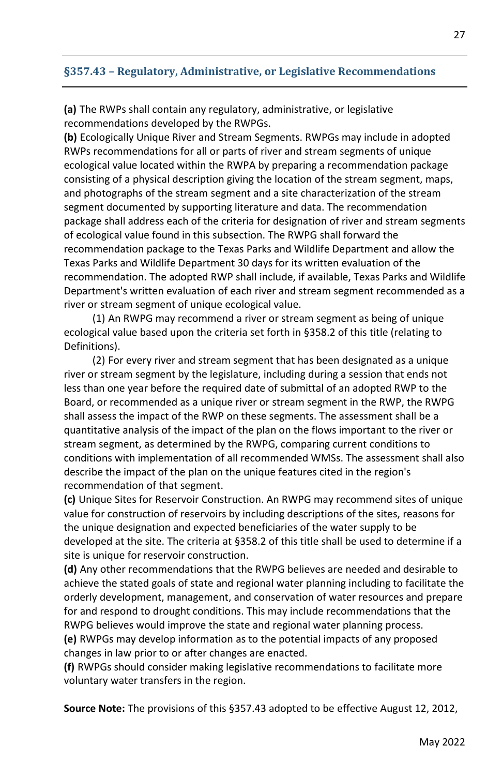#### <span id="page-30-0"></span>**§357.43 – Regulatory, Administrative, or Legislative Recommendations**

**(a)** The RWPs shall contain any regulatory, administrative, or legislative recommendations developed by the RWPGs.

**(b)** Ecologically Unique River and Stream Segments. RWPGs may include in adopted RWPs recommendations for all or parts of river and stream segments of unique ecological value located within the RWPA by preparing a recommendation package consisting of a physical description giving the location of the stream segment, maps, and photographs of the stream segment and a site characterization of the stream segment documented by supporting literature and data. The recommendation package shall address each of the criteria for designation of river and stream segments of ecological value found in this subsection. The RWPG shall forward the recommendation package to the Texas Parks and Wildlife Department and allow the Texas Parks and Wildlife Department 30 days for its written evaluation of the recommendation. The adopted RWP shall include, if available, Texas Parks and Wildlife Department's written evaluation of each river and stream segment recommended as a river or stream segment of unique ecological value.

(1) An RWPG may recommend a river or stream segment as being of unique ecological value based upon the criteria set forth in §358.2 of this title (relating to Definitions).

(2) For every river and stream segment that has been designated as a unique river or stream segment by the legislature, including during a session that ends not less than one year before the required date of submittal of an adopted RWP to the Board, or recommended as a unique river or stream segment in the RWP, the RWPG shall assess the impact of the RWP on these segments. The assessment shall be a quantitative analysis of the impact of the plan on the flows important to the river or stream segment, as determined by the RWPG, comparing current conditions to conditions with implementation of all recommended WMSs. The assessment shall also describe the impact of the plan on the unique features cited in the region's recommendation of that segment.

**(c)** Unique Sites for Reservoir Construction. An RWPG may recommend sites of unique value for construction of reservoirs by including descriptions of the sites, reasons for the unique designation and expected beneficiaries of the water supply to be developed at the site. The criteria at §358.2 of this title shall be used to determine if a site is unique for reservoir construction.

**(d)** Any other recommendations that the RWPG believes are needed and desirable to achieve the stated goals of state and regional water planning including to facilitate the orderly development, management, and conservation of water resources and prepare for and respond to drought conditions. This may include recommendations that the RWPG believes would improve the state and regional water planning process.

**(e)** RWPGs may develop information as to the potential impacts of any proposed changes in law prior to or after changes are enacted.

**(f)** RWPGs should consider making legislative recommendations to facilitate more voluntary water transfers in the region.

**Source Note:** The provisions of this §357.43 adopted to be effective August 12, 2012,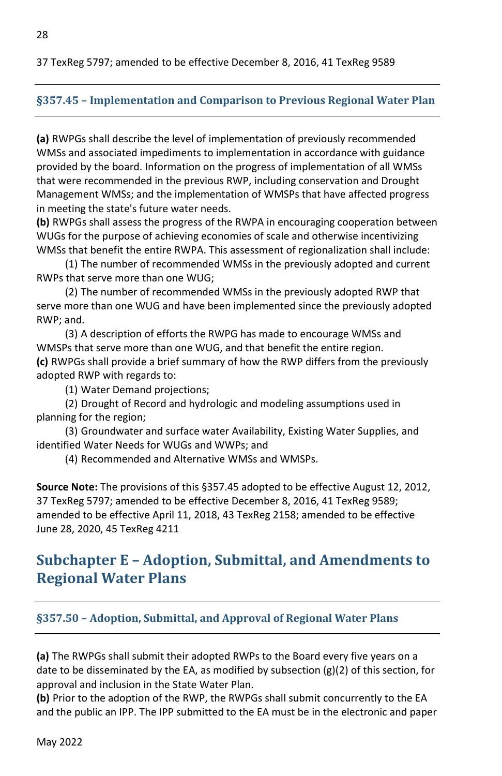#### <span id="page-31-0"></span>37 TexReg 5797; amended to be effective December 8, 2016, 41 TexReg 9589

#### **§357.45 – Implementation and Comparison to Previous Regional Water Plan**

**(a)** RWPGs shall describe the level of implementation of previously recommended WMSs and associated impediments to implementation in accordance with guidance provided by the board. Information on the progress of implementation of all WMSs that were recommended in the previous RWP, including conservation and Drought Management WMSs; and the implementation of WMSPs that have affected progress in meeting the state's future water needs.

**(b)** RWPGs shall assess the progress of the RWPA in encouraging cooperation between WUGs for the purpose of achieving economies of scale and otherwise incentivizing WMSs that benefit the entire RWPA. This assessment of regionalization shall include:

(1) The number of recommended WMSs in the previously adopted and current RWPs that serve more than one WUG;

(2) The number of recommended WMSs in the previously adopted RWP that serve more than one WUG and have been implemented since the previously adopted RWP; and.

(3) A description of efforts the RWPG has made to encourage WMSs and WMSPs that serve more than one WUG, and that benefit the entire region. **(c)** RWPGs shall provide a brief summary of how the RWP differs from the previously adopted RWP with regards to:

(1) Water Demand projections;

(2) Drought of Record and hydrologic and modeling assumptions used in planning for the region;

(3) Groundwater and surface water Availability, Existing Water Supplies, and identified Water Needs for WUGs and WWPs; and

(4) Recommended and Alternative WMSs and WMSPs.

**Source Note:** The provisions of this §357.45 adopted to be effective August 12, 2012, 37 TexReg 5797; amended to be effective December 8, 2016, 41 TexReg 9589; amended to be effective April 11, 2018, 43 TexReg 2158; amended to be effective June 28, 2020, 45 TexReg 4211

## <span id="page-31-1"></span>**Subchapter E – Adoption, Submittal, and Amendments to Regional Water Plans**

#### <span id="page-31-2"></span>**§357.50 – Adoption, Submittal, and Approval of Regional Water Plans**

**(a)** The RWPGs shall submit their adopted RWPs to the Board every five years on a date to be disseminated by the EA, as modified by subsection  $(g)(2)$  of this section, for approval and inclusion in the State Water Plan.

**(b)** Prior to the adoption of the RWP, the RWPGs shall submit concurrently to the EA and the public an IPP. The IPP submitted to the EA must be in the electronic and paper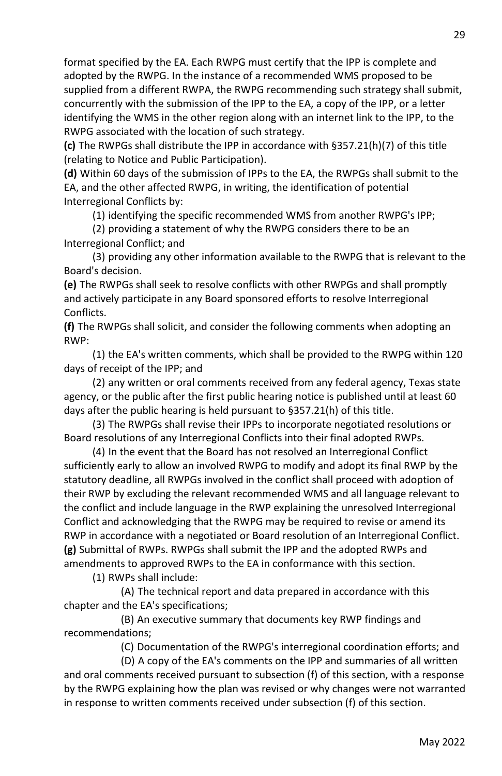format specified by the EA. Each RWPG must certify that the IPP is complete and adopted by the RWPG. In the instance of a recommended WMS proposed to be supplied from a different RWPA, the RWPG recommending such strategy shall submit, concurrently with the submission of the IPP to the EA, a copy of the IPP, or a letter identifying the WMS in the other region along with an internet link to the IPP, to the RWPG associated with the location of such strategy.

**(c)** The RWPGs shall distribute the IPP in accordance with §357.21(h)(7) of this title (relating to Notice and Public Participation).

**(d)** Within 60 days of the submission of IPPs to the EA, the RWPGs shall submit to the EA, and the other affected RWPG, in writing, the identification of potential Interregional Conflicts by:

(1) identifying the specific recommended WMS from another RWPG's IPP;

(2) providing a statement of why the RWPG considers there to be an Interregional Conflict; and

(3) providing any other information available to the RWPG that is relevant to the Board's decision.

**(e)** The RWPGs shall seek to resolve conflicts with other RWPGs and shall promptly and actively participate in any Board sponsored efforts to resolve Interregional Conflicts.

**(f)** The RWPGs shall solicit, and consider the following comments when adopting an RWP:

(1) the EA's written comments, which shall be provided to the RWPG within 120 days of receipt of the IPP; and

(2) any written or oral comments received from any federal agency, Texas state agency, or the public after the first public hearing notice is published until at least 60 days after the public hearing is held pursuant to §357.21(h) of this title.

(3) The RWPGs shall revise their IPPs to incorporate negotiated resolutions or Board resolutions of any Interregional Conflicts into their final adopted RWPs.

(4) In the event that the Board has not resolved an Interregional Conflict sufficiently early to allow an involved RWPG to modify and adopt its final RWP by the statutory deadline, all RWPGs involved in the conflict shall proceed with adoption of their RWP by excluding the relevant recommended WMS and all language relevant to the conflict and include language in the RWP explaining the unresolved Interregional Conflict and acknowledging that the RWPG may be required to revise or amend its RWP in accordance with a negotiated or Board resolution of an Interregional Conflict. **(g)** Submittal of RWPs. RWPGs shall submit the IPP and the adopted RWPs and amendments to approved RWPs to the EA in conformance with this section.

(1) RWPs shall include:

(A) The technical report and data prepared in accordance with this chapter and the EA's specifications;

(B) An executive summary that documents key RWP findings and recommendations;

(C) Documentation of the RWPG's interregional coordination efforts; and

(D) A copy of the EA's comments on the IPP and summaries of all written and oral comments received pursuant to subsection (f) of this section, with a response by the RWPG explaining how the plan was revised or why changes were not warranted in response to written comments received under subsection (f) of this section.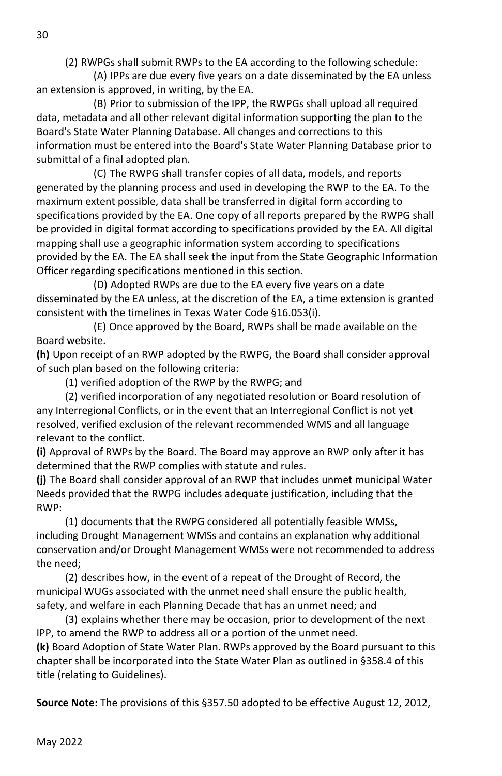(2) RWPGs shall submit RWPs to the EA according to the following schedule:

(A) IPPs are due every five years on a date disseminated by the EA unless an extension is approved, in writing, by the EA.

(B) Prior to submission of the IPP, the RWPGs shall upload all required data, metadata and all other relevant digital information supporting the plan to the Board's State Water Planning Database. All changes and corrections to this information must be entered into the Board's State Water Planning Database prior to submittal of a final adopted plan.

(C) The RWPG shall transfer copies of all data, models, and reports generated by the planning process and used in developing the RWP to the EA. To the maximum extent possible, data shall be transferred in digital form according to specifications provided by the EA. One copy of all reports prepared by the RWPG shall be provided in digital format according to specifications provided by the EA. All digital mapping shall use a geographic information system according to specifications provided by the EA. The EA shall seek the input from the State Geographic Information Officer regarding specifications mentioned in this section.

(D) Adopted RWPs are due to the EA every five years on a date disseminated by the EA unless, at the discretion of the EA, a time extension is granted consistent with the timelines in Texas Water Code §16.053(i).

(E) Once approved by the Board, RWPs shall be made available on the Board website.

**(h)** Upon receipt of an RWP adopted by the RWPG, the Board shall consider approval of such plan based on the following criteria:

(1) verified adoption of the RWP by the RWPG; and

(2) verified incorporation of any negotiated resolution or Board resolution of any Interregional Conflicts, or in the event that an Interregional Conflict is not yet resolved, verified exclusion of the relevant recommended WMS and all language relevant to the conflict.

**(i)** Approval of RWPs by the Board. The Board may approve an RWP only after it has determined that the RWP complies with statute and rules.

**(j)** The Board shall consider approval of an RWP that includes unmet municipal Water Needs provided that the RWPG includes adequate justification, including that the RWP:

(1) documents that the RWPG considered all potentially feasible WMSs, including Drought Management WMSs and contains an explanation why additional conservation and/or Drought Management WMSs were not recommended to address the need;

(2) describes how, in the event of a repeat of the Drought of Record, the municipal WUGs associated with the unmet need shall ensure the public health, safety, and welfare in each Planning Decade that has an unmet need; and

(3) explains whether there may be occasion, prior to development of the next IPP, to amend the RWP to address all or a portion of the unmet need. **(k)** Board Adoption of State Water Plan. RWPs approved by the Board pursuant to this chapter shall be incorporated into the State Water Plan as outlined in §358.4 of this title (relating to Guidelines).

**Source Note:** The provisions of this §357.50 adopted to be effective August 12, 2012,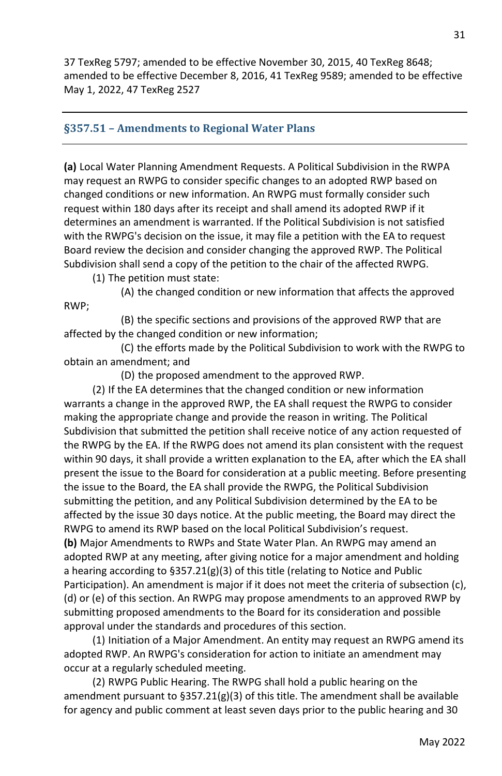37 TexReg 5797; amended to be effective November 30, 2015, 40 TexReg 8648; amended to be effective December 8, 2016, 41 TexReg 9589; amended to be effective May 1, 2022, 47 TexReg 2527

#### <span id="page-34-0"></span>**§357.51 – Amendments to Regional Water Plans**

**(a)** Local Water Planning Amendment Requests. A Political Subdivision in the RWPA may request an RWPG to consider specific changes to an adopted RWP based on changed conditions or new information. An RWPG must formally consider such request within 180 days after its receipt and shall amend its adopted RWP if it determines an amendment is warranted. If the Political Subdivision is not satisfied with the RWPG's decision on the issue, it may file a petition with the EA to request Board review the decision and consider changing the approved RWP. The Political Subdivision shall send a copy of the petition to the chair of the affected RWPG.

(1) The petition must state:

(A) the changed condition or new information that affects the approved RWP;

(B) the specific sections and provisions of the approved RWP that are affected by the changed condition or new information;

(C) the efforts made by the Political Subdivision to work with the RWPG to obtain an amendment; and

(D) the proposed amendment to the approved RWP.

(2) If the EA determines that the changed condition or new information warrants a change in the approved RWP, the EA shall request the RWPG to consider making the appropriate change and provide the reason in writing. The Political Subdivision that submitted the petition shall receive notice of any action requested of the RWPG by the EA. If the RWPG does not amend its plan consistent with the request within 90 days, it shall provide a written explanation to the EA, after which the EA shall present the issue to the Board for consideration at a public meeting. Before presenting the issue to the Board, the EA shall provide the RWPG, the Political Subdivision submitting the petition, and any Political Subdivision determined by the EA to be affected by the issue 30 days notice. At the public meeting, the Board may direct the RWPG to amend its RWP based on the local Political Subdivision's request. **(b)** Major Amendments to RWPs and State Water Plan. An RWPG may amend an

adopted RWP at any meeting, after giving notice for a major amendment and holding a hearing according to §357.21(g)(3) of this title (relating to Notice and Public Participation). An amendment is major if it does not meet the criteria of subsection (c), (d) or (e) of this section. An RWPG may propose amendments to an approved RWP by submitting proposed amendments to the Board for its consideration and possible approval under the standards and procedures of this section.

(1) Initiation of a Major Amendment. An entity may request an RWPG amend its adopted RWP. An RWPG's consideration for action to initiate an amendment may occur at a regularly scheduled meeting.

(2) RWPG Public Hearing. The RWPG shall hold a public hearing on the amendment pursuant to  $§357.21(g)(3)$  of this title. The amendment shall be available for agency and public comment at least seven days prior to the public hearing and 30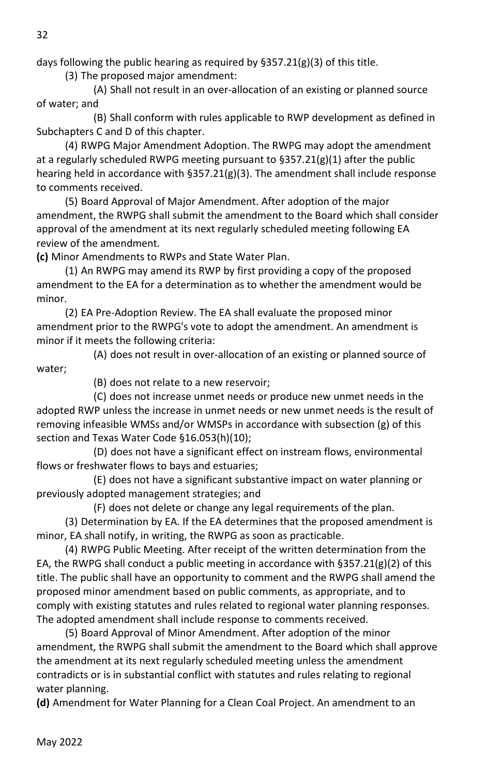days following the public hearing as required by  $\S 357.21(g)(3)$  of this title.

(3) The proposed major amendment:

(A) Shall not result in an over-allocation of an existing or planned source of water; and

(B) Shall conform with rules applicable to RWP development as defined in Subchapters C and D of this chapter.

(4) RWPG Major Amendment Adoption. The RWPG may adopt the amendment at a regularly scheduled RWPG meeting pursuant to §357.21(g)(1) after the public hearing held in accordance with §357.21(g)(3). The amendment shall include response to comments received.

(5) Board Approval of Major Amendment. After adoption of the major amendment, the RWPG shall submit the amendment to the Board which shall consider approval of the amendment at its next regularly scheduled meeting following EA review of the amendment.

**(c)** Minor Amendments to RWPs and State Water Plan.

(1) An RWPG may amend its RWP by first providing a copy of the proposed amendment to the EA for a determination as to whether the amendment would be minor.

(2) EA Pre-Adoption Review. The EA shall evaluate the proposed minor amendment prior to the RWPG's vote to adopt the amendment. An amendment is minor if it meets the following criteria:

(A) does not result in over-allocation of an existing or planned source of

(B) does not relate to a new reservoir;

(C) does not increase unmet needs or produce new unmet needs in the adopted RWP unless the increase in unmet needs or new unmet needs is the result of removing infeasible WMSs and/or WMSPs in accordance with subsection (g) of this section and Texas Water Code §16.053(h)(10);

(D) does not have a significant effect on instream flows, environmental flows or freshwater flows to bays and estuaries;

(E) does not have a significant substantive impact on water planning or previously adopted management strategies; and

(F) does not delete or change any legal requirements of the plan.

(3) Determination by EA. If the EA determines that the proposed amendment is minor, EA shall notify, in writing, the RWPG as soon as practicable.

(4) RWPG Public Meeting. After receipt of the written determination from the EA, the RWPG shall conduct a public meeting in accordance with  $\S 357.21(g)(2)$  of this title. The public shall have an opportunity to comment and the RWPG shall amend the proposed minor amendment based on public comments, as appropriate, and to comply with existing statutes and rules related to regional water planning responses. The adopted amendment shall include response to comments received.

(5) Board Approval of Minor Amendment. After adoption of the minor amendment, the RWPG shall submit the amendment to the Board which shall approve the amendment at its next regularly scheduled meeting unless the amendment contradicts or is in substantial conflict with statutes and rules relating to regional water planning.

**(d)** Amendment for Water Planning for a Clean Coal Project. An amendment to an

water;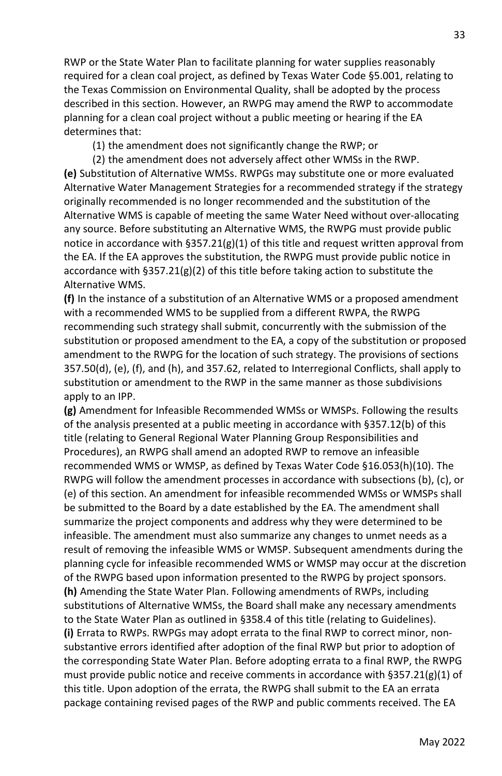RWP or the State Water Plan to facilitate planning for water supplies reasonably required for a clean coal project, as defined by Texas Water Code §5.001, relating to the Texas Commission on Environmental Quality, shall be adopted by the process described in this section. However, an RWPG may amend the RWP to accommodate planning for a clean coal project without a public meeting or hearing if the EA determines that:

(1) the amendment does not significantly change the RWP; or

(2) the amendment does not adversely affect other WMSs in the RWP. **(e)** Substitution of Alternative WMSs. RWPGs may substitute one or more evaluated Alternative Water Management Strategies for a recommended strategy if the strategy originally recommended is no longer recommended and the substitution of the Alternative WMS is capable of meeting the same Water Need without over-allocating any source. Before substituting an Alternative WMS, the RWPG must provide public notice in accordance with  $\S 357.21(g)(1)$  of this title and request written approval from the EA. If the EA approves the substitution, the RWPG must provide public notice in accordance with §357.21(g)(2) of this title before taking action to substitute the Alternative WMS.

**(f)** In the instance of a substitution of an Alternative WMS or a proposed amendment with a recommended WMS to be supplied from a different RWPA, the RWPG recommending such strategy shall submit, concurrently with the submission of the substitution or proposed amendment to the EA, a copy of the substitution or proposed amendment to the RWPG for the location of such strategy. The provisions of sections 357.50(d), (e), (f), and (h), and 357.62, related to Interregional Conflicts, shall apply to substitution or amendment to the RWP in the same manner as those subdivisions apply to an IPP.

**(g)** Amendment for Infeasible Recommended WMSs or WMSPs. Following the results of the analysis presented at a public meeting in accordance with §357.12(b) of this title (relating to General Regional Water Planning Group Responsibilities and Procedures), an RWPG shall amend an adopted RWP to remove an infeasible recommended WMS or WMSP, as defined by Texas Water Code §16.053(h)(10). The RWPG will follow the amendment processes in accordance with subsections (b), (c), or (e) of this section. An amendment for infeasible recommended WMSs or WMSPs shall be submitted to the Board by a date established by the EA. The amendment shall summarize the project components and address why they were determined to be infeasible. The amendment must also summarize any changes to unmet needs as a result of removing the infeasible WMS or WMSP. Subsequent amendments during the planning cycle for infeasible recommended WMS or WMSP may occur at the discretion of the RWPG based upon information presented to the RWPG by project sponsors. **(h)** Amending the State Water Plan. Following amendments of RWPs, including substitutions of Alternative WMSs, the Board shall make any necessary amendments to the State Water Plan as outlined in §358.4 of this title (relating to Guidelines). **(i)** Errata to RWPs. RWPGs may adopt errata to the final RWP to correct minor, nonsubstantive errors identified after adoption of the final RWP but prior to adoption of the corresponding State Water Plan. Before adopting errata to a final RWP, the RWPG must provide public notice and receive comments in accordance with  $\S 357.21(g)(1)$  of this title. Upon adoption of the errata, the RWPG shall submit to the EA an errata package containing revised pages of the RWP and public comments received. The EA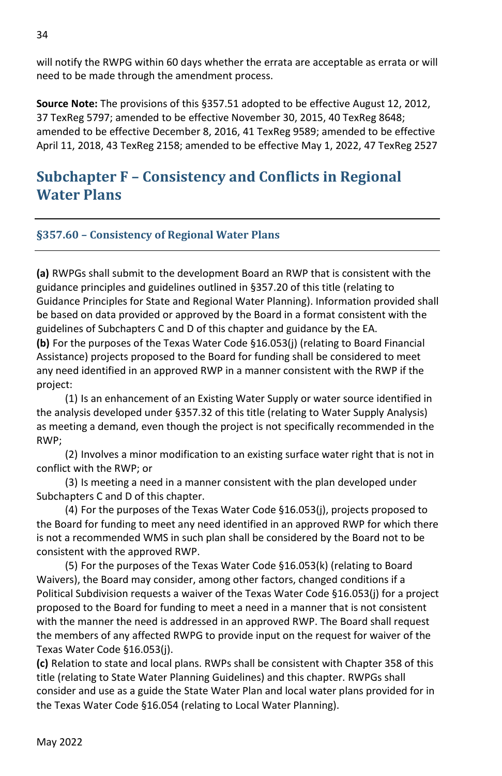will notify the RWPG within 60 days whether the errata are acceptable as errata or will need to be made through the amendment process.

**Source Note:** The provisions of this §357.51 adopted to be effective August 12, 2012, 37 TexReg 5797; amended to be effective November 30, 2015, 40 TexReg 8648; amended to be effective December 8, 2016, 41 TexReg 9589; amended to be effective April 11, 2018, 43 TexReg 2158; amended to be effective May 1, 2022, 47 TexReg 2527

# **Subchapter F – Consistency and Conflicts in Regional Water Plans**

**§357.60 – Consistency of Regional Water Plans**

**(a)** RWPGs shall submit to the development Board an RWP that is consistent with the guidance principles and guidelines outlined in §357.20 of this title (relating to Guidance Principles for State and Regional Water Planning). Information provided shall be based on data provided or approved by the Board in a format consistent with the guidelines of Subchapters C and D of this chapter and guidance by the EA.

**(b)** For the purposes of the Texas Water Code §16.053(j) (relating to Board Financial Assistance) projects proposed to the Board for funding shall be considered to meet any need identified in an approved RWP in a manner consistent with the RWP if the project:

(1) Is an enhancement of an Existing Water Supply or water source identified in the analysis developed under §357.32 of this title (relating to Water Supply Analysis) as meeting a demand, even though the project is not specifically recommended in the RWP;

(2) Involves a minor modification to an existing surface water right that is not in conflict with the RWP; or

(3) Is meeting a need in a manner consistent with the plan developed under Subchapters C and D of this chapter.

(4) For the purposes of the Texas Water Code §16.053(j), projects proposed to the Board for funding to meet any need identified in an approved RWP for which there is not a recommended WMS in such plan shall be considered by the Board not to be consistent with the approved RWP.

(5) For the purposes of the Texas Water Code §16.053(k) (relating to Board Waivers), the Board may consider, among other factors, changed conditions if a Political Subdivision requests a waiver of the Texas Water Code §16.053(j) for a project proposed to the Board for funding to meet a need in a manner that is not consistent with the manner the need is addressed in an approved RWP. The Board shall request the members of any affected RWPG to provide input on the request for waiver of the Texas Water Code §16.053(j).

**(c)** Relation to state and local plans. RWPs shall be consistent with Chapter 358 of this title (relating to State Water Planning Guidelines) and this chapter. RWPGs shall consider and use as a guide the State Water Plan and local water plans provided for in the Texas Water Code §16.054 (relating to Local Water Planning).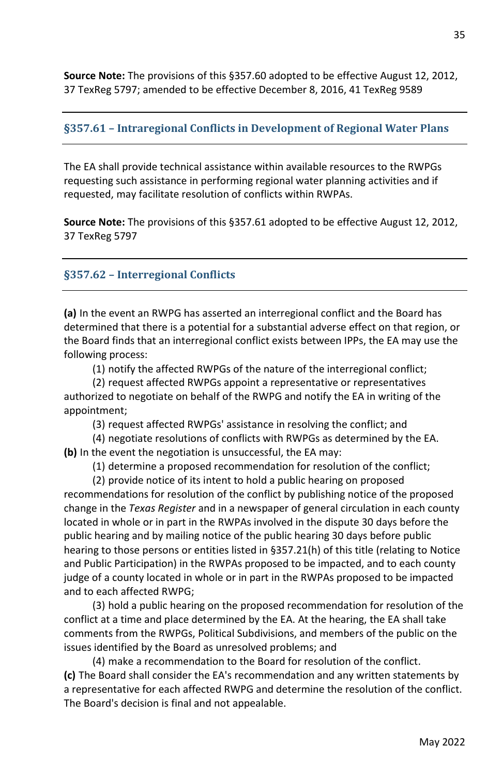**Source Note:** The provisions of this §357.60 adopted to be effective August 12, 2012, 37 TexReg 5797; amended to be effective December 8, 2016, 41 TexReg 9589

### **§357.61 – Intraregional Conflicts in Development of Regional Water Plans**

The EA shall provide technical assistance within available resources to the RWPGs requesting such assistance in performing regional water planning activities and if requested, may facilitate resolution of conflicts within RWPAs.

**Source Note:** The provisions of this §357.61 adopted to be effective August 12, 2012, 37 TexReg 5797

### **§357.62 – Interregional Conflicts**

**(a)** In the event an RWPG has asserted an interregional conflict and the Board has determined that there is a potential for a substantial adverse effect on that region, or the Board finds that an interregional conflict exists between IPPs, the EA may use the following process:

(1) notify the affected RWPGs of the nature of the interregional conflict;

(2) request affected RWPGs appoint a representative or representatives authorized to negotiate on behalf of the RWPG and notify the EA in writing of the appointment;

(3) request affected RWPGs' assistance in resolving the conflict; and

(4) negotiate resolutions of conflicts with RWPGs as determined by the EA. **(b)** In the event the negotiation is unsuccessful, the EA may:

(1) determine a proposed recommendation for resolution of the conflict;

(2) provide notice of its intent to hold a public hearing on proposed recommendations for resolution of the conflict by publishing notice of the proposed change in the *Texas Register* and in a newspaper of general circulation in each county located in whole or in part in the RWPAs involved in the dispute 30 days before the public hearing and by mailing notice of the public hearing 30 days before public hearing to those persons or entities listed in §357.21(h) of this title (relating to Notice and Public Participation) in the RWPAs proposed to be impacted, and to each county judge of a county located in whole or in part in the RWPAs proposed to be impacted and to each affected RWPG;

(3) hold a public hearing on the proposed recommendation for resolution of the conflict at a time and place determined by the EA. At the hearing, the EA shall take comments from the RWPGs, Political Subdivisions, and members of the public on the issues identified by the Board as unresolved problems; and

(4) make a recommendation to the Board for resolution of the conflict. **(c)** The Board shall consider the EA's recommendation and any written statements by a representative for each affected RWPG and determine the resolution of the conflict. The Board's decision is final and not appealable.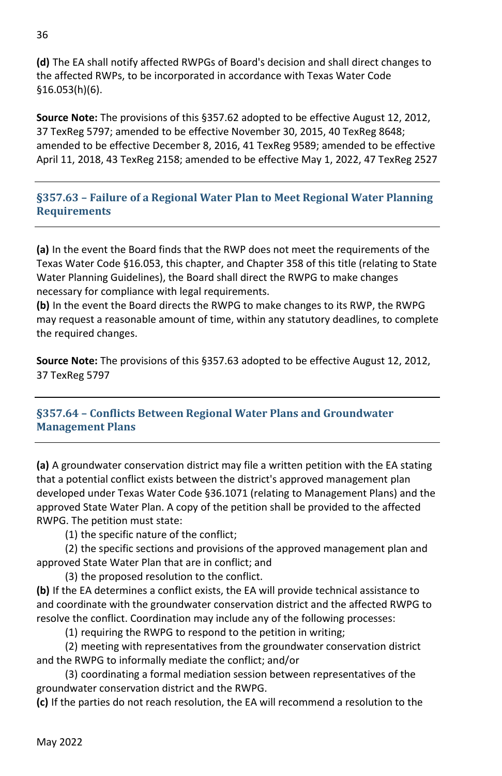**(d)** The EA shall notify affected RWPGs of Board's decision and shall direct changes to the affected RWPs, to be incorporated in accordance with Texas Water Code §16.053(h)(6).

**Source Note:** The provisions of this §357.62 adopted to be effective August 12, 2012, 37 TexReg 5797; amended to be effective November 30, 2015, 40 TexReg 8648; amended to be effective December 8, 2016, 41 TexReg 9589; amended to be effective April 11, 2018, 43 TexReg 2158; amended to be effective May 1, 2022, 47 TexReg 2527

## **§357.63 – Failure of a Regional Water Plan to Meet Regional Water Planning Requirements**

**(a)** In the event the Board finds that the RWP does not meet the requirements of the Texas Water Code §16.053, this chapter, and Chapter 358 of this title (relating to State Water Planning Guidelines), the Board shall direct the RWPG to make changes necessary for compliance with legal requirements.

**(b)** In the event the Board directs the RWPG to make changes to its RWP, the RWPG may request a reasonable amount of time, within any statutory deadlines, to complete the required changes.

**Source Note:** The provisions of this §357.63 adopted to be effective August 12, 2012, 37 TexReg 5797

## **§357.64 – Conflicts Between Regional Water Plans and Groundwater Management Plans**

**(a)** A groundwater conservation district may file a written petition with the EA stating that a potential conflict exists between the district's approved management plan developed under Texas Water Code §36.1071 (relating to Management Plans) and the approved State Water Plan. A copy of the petition shall be provided to the affected RWPG. The petition must state:

(1) the specific nature of the conflict;

(2) the specific sections and provisions of the approved management plan and approved State Water Plan that are in conflict; and

(3) the proposed resolution to the conflict.

**(b)** If the EA determines a conflict exists, the EA will provide technical assistance to and coordinate with the groundwater conservation district and the affected RWPG to resolve the conflict. Coordination may include any of the following processes:

(1) requiring the RWPG to respond to the petition in writing;

(2) meeting with representatives from the groundwater conservation district and the RWPG to informally mediate the conflict; and/or

(3) coordinating a formal mediation session between representatives of the groundwater conservation district and the RWPG.

**(c)** If the parties do not reach resolution, the EA will recommend a resolution to the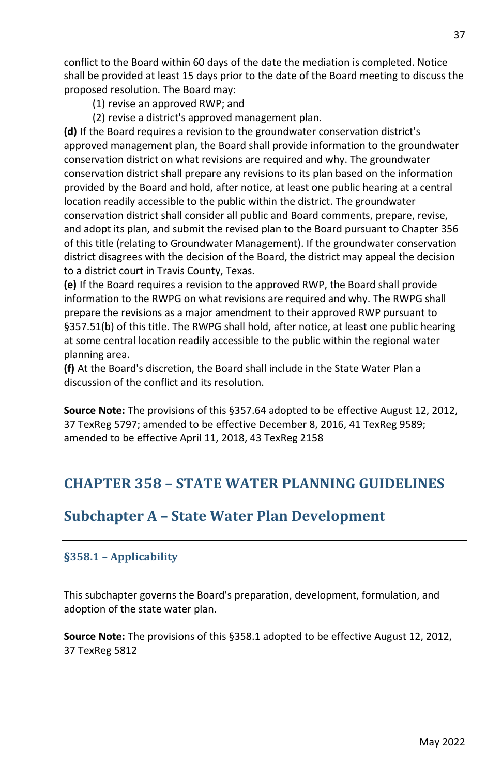conflict to the Board within 60 days of the date the mediation is completed. Notice shall be provided at least 15 days prior to the date of the Board meeting to discuss the proposed resolution. The Board may:

- (1) revise an approved RWP; and
- (2) revise a district's approved management plan.

**(d)** If the Board requires a revision to the groundwater conservation district's approved management plan, the Board shall provide information to the groundwater conservation district on what revisions are required and why. The groundwater conservation district shall prepare any revisions to its plan based on the information provided by the Board and hold, after notice, at least one public hearing at a central location readily accessible to the public within the district. The groundwater conservation district shall consider all public and Board comments, prepare, revise, and adopt its plan, and submit the revised plan to the Board pursuant to Chapter 356 of this title (relating to Groundwater Management). If the groundwater conservation district disagrees with the decision of the Board, the district may appeal the decision to a district court in Travis County, Texas.

**(e)** If the Board requires a revision to the approved RWP, the Board shall provide information to the RWPG on what revisions are required and why. The RWPG shall prepare the revisions as a major amendment to their approved RWP pursuant to §357.51(b) of this title. The RWPG shall hold, after notice, at least one public hearing at some central location readily accessible to the public within the regional water planning area.

**(f)** At the Board's discretion, the Board shall include in the State Water Plan a discussion of the conflict and its resolution.

**Source Note:** The provisions of this §357.64 adopted to be effective August 12, 2012, 37 TexReg 5797; amended to be effective December 8, 2016, 41 TexReg 9589; amended to be effective April 11, 2018, 43 TexReg 2158

## **[CHAPTER 358](http://info.sos.state.tx.us/pls/pub/readtac$ext.ViewTAC?tac_view=4&ti=31&pt=10&ch=357) – STATE WATER PLANNING GUIDELINES**

## **Subchapter A – State Water Plan Development**

### **§358.1 – Applicability**

This subchapter governs the Board's preparation, development, formulation, and adoption of the state water plan.

**Source Note:** The provisions of this §358.1 adopted to be effective August 12, 2012, 37 TexReg 5812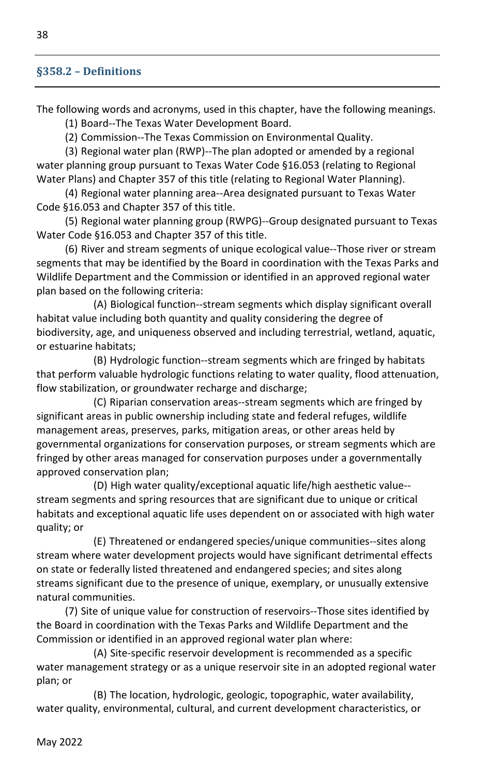### **§358.2 – Definitions**

The following words and acronyms, used in this chapter, have the following meanings.

(1) Board--The Texas Water Development Board.

(2) Commission--The Texas Commission on Environmental Quality.

(3) Regional water plan (RWP)--The plan adopted or amended by a regional water planning group pursuant to Texas Water Code §16.053 (relating to Regional Water Plans) and Chapter 357 of this title (relating to Regional Water Planning).

(4) Regional water planning area--Area designated pursuant to Texas Water Code §16.053 and Chapter 357 of this title.

(5) Regional water planning group (RWPG)--Group designated pursuant to Texas Water Code §16.053 and Chapter 357 of this title.

(6) River and stream segments of unique ecological value--Those river or stream segments that may be identified by the Board in coordination with the Texas Parks and Wildlife Department and the Commission or identified in an approved regional water plan based on the following criteria:

(A) Biological function--stream segments which display significant overall habitat value including both quantity and quality considering the degree of biodiversity, age, and uniqueness observed and including terrestrial, wetland, aquatic, or estuarine habitats;

(B) Hydrologic function--stream segments which are fringed by habitats that perform valuable hydrologic functions relating to water quality, flood attenuation, flow stabilization, or groundwater recharge and discharge;

(C) Riparian conservation areas--stream segments which are fringed by significant areas in public ownership including state and federal refuges, wildlife management areas, preserves, parks, mitigation areas, or other areas held by governmental organizations for conservation purposes, or stream segments which are fringed by other areas managed for conservation purposes under a governmentally approved conservation plan;

(D) High water quality/exceptional aquatic life/high aesthetic value- stream segments and spring resources that are significant due to unique or critical habitats and exceptional aquatic life uses dependent on or associated with high water quality; or

(E) Threatened or endangered species/unique communities--sites along stream where water development projects would have significant detrimental effects on state or federally listed threatened and endangered species; and sites along streams significant due to the presence of unique, exemplary, or unusually extensive natural communities.

(7) Site of unique value for construction of reservoirs--Those sites identified by the Board in coordination with the Texas Parks and Wildlife Department and the Commission or identified in an approved regional water plan where:

(A) Site-specific reservoir development is recommended as a specific water management strategy or as a unique reservoir site in an adopted regional water plan; or

(B) The location, hydrologic, geologic, topographic, water availability, water quality, environmental, cultural, and current development characteristics, or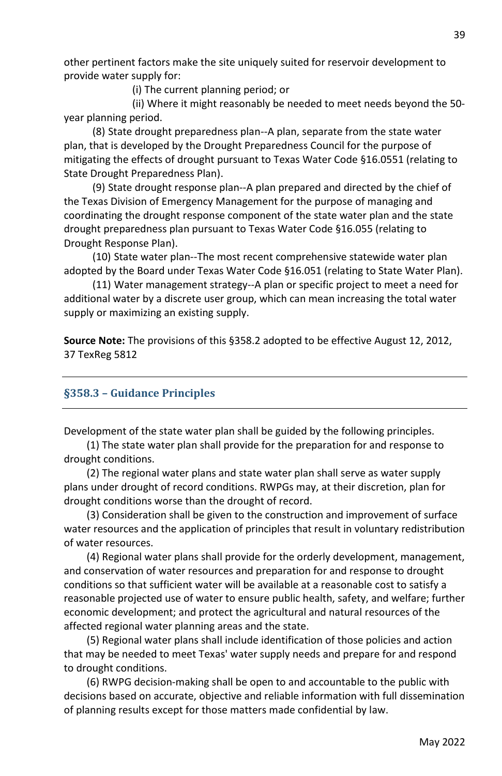other pertinent factors make the site uniquely suited for reservoir development to provide water supply for:

(i) The current planning period; or

 (ii) Where it might reasonably be needed to meet needs beyond the 50 year planning period.

(8) State drought preparedness plan--A plan, separate from the state water plan, that is developed by the Drought Preparedness Council for the purpose of mitigating the effects of drought pursuant to Texas Water Code §16.0551 (relating to State Drought Preparedness Plan).

(9) State drought response plan--A plan prepared and directed by the chief of the Texas Division of Emergency Management for the purpose of managing and coordinating the drought response component of the state water plan and the state drought preparedness plan pursuant to Texas Water Code §16.055 (relating to Drought Response Plan).

(10) State water plan--The most recent comprehensive statewide water plan adopted by the Board under Texas Water Code §16.051 (relating to State Water Plan).

(11) Water management strategy--A plan or specific project to meet a need for additional water by a discrete user group, which can mean increasing the total water supply or maximizing an existing supply.

**Source Note:** The provisions of this §358.2 adopted to be effective August 12, 2012, 37 TexReg 5812

## **§358.3 – Guidance Principles**

Development of the state water plan shall be guided by the following principles.

(1) The state water plan shall provide for the preparation for and response to drought conditions.

(2) The regional water plans and state water plan shall serve as water supply plans under drought of record conditions. RWPGs may, at their discretion, plan for drought conditions worse than the drought of record.

(3) Consideration shall be given to the construction and improvement of surface water resources and the application of principles that result in voluntary redistribution of water resources.

(4) Regional water plans shall provide for the orderly development, management, and conservation of water resources and preparation for and response to drought conditions so that sufficient water will be available at a reasonable cost to satisfy a reasonable projected use of water to ensure public health, safety, and welfare; further economic development; and protect the agricultural and natural resources of the affected regional water planning areas and the state.

(5) Regional water plans shall include identification of those policies and action that may be needed to meet Texas' water supply needs and prepare for and respond to drought conditions.

(6) RWPG decision-making shall be open to and accountable to the public with decisions based on accurate, objective and reliable information with full dissemination of planning results except for those matters made confidential by law.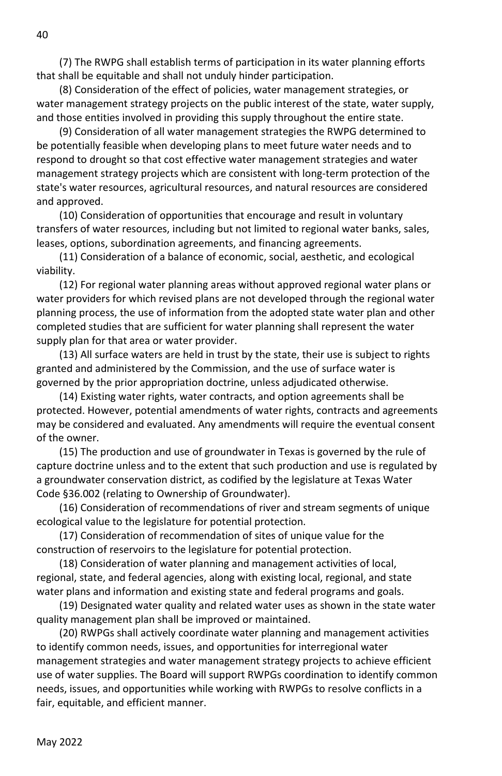(7) The RWPG shall establish terms of participation in its water planning efforts that shall be equitable and shall not unduly hinder participation.

(8) Consideration of the effect of policies, water management strategies, or water management strategy projects on the public interest of the state, water supply, and those entities involved in providing this supply throughout the entire state.

(9) Consideration of all water management strategies the RWPG determined to be potentially feasible when developing plans to meet future water needs and to respond to drought so that cost effective water management strategies and water management strategy projects which are consistent with long-term protection of the state's water resources, agricultural resources, and natural resources are considered and approved.

(10) Consideration of opportunities that encourage and result in voluntary transfers of water resources, including but not limited to regional water banks, sales, leases, options, subordination agreements, and financing agreements.

(11) Consideration of a balance of economic, social, aesthetic, and ecological viability.

(12) For regional water planning areas without approved regional water plans or water providers for which revised plans are not developed through the regional water planning process, the use of information from the adopted state water plan and other completed studies that are sufficient for water planning shall represent the water supply plan for that area or water provider.

(13) All surface waters are held in trust by the state, their use is subject to rights granted and administered by the Commission, and the use of surface water is governed by the prior appropriation doctrine, unless adjudicated otherwise.

(14) Existing water rights, water contracts, and option agreements shall be protected. However, potential amendments of water rights, contracts and agreements may be considered and evaluated. Any amendments will require the eventual consent of the owner.

(15) The production and use of groundwater in Texas is governed by the rule of capture doctrine unless and to the extent that such production and use is regulated by a groundwater conservation district, as codified by the legislature at Texas Water Code §36.002 (relating to Ownership of Groundwater).

(16) Consideration of recommendations of river and stream segments of unique ecological value to the legislature for potential protection.

(17) Consideration of recommendation of sites of unique value for the construction of reservoirs to the legislature for potential protection.

(18) Consideration of water planning and management activities of local, regional, state, and federal agencies, along with existing local, regional, and state water plans and information and existing state and federal programs and goals.

(19) Designated water quality and related water uses as shown in the state water quality management plan shall be improved or maintained.

(20) RWPGs shall actively coordinate water planning and management activities to identify common needs, issues, and opportunities for interregional water management strategies and water management strategy projects to achieve efficient use of water supplies. The Board will support RWPGs coordination to identify common needs, issues, and opportunities while working with RWPGs to resolve conflicts in a fair, equitable, and efficient manner.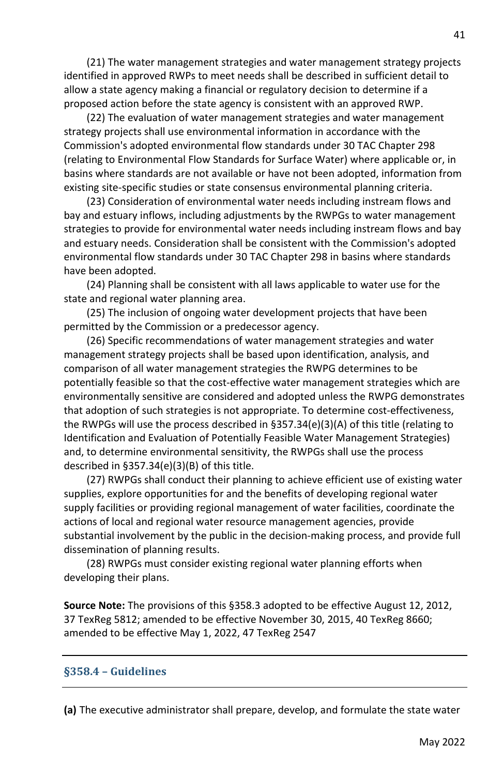(21) The water management strategies and water management strategy projects identified in approved RWPs to meet needs shall be described in sufficient detail to allow a state agency making a financial or regulatory decision to determine if a proposed action before the state agency is consistent with an approved RWP.

 (22) The evaluation of water management strategies and water management strategy projects shall use environmental information in accordance with the Commission's adopted environmental flow standards under 30 TAC Chapter 298 (relating to Environmental Flow Standards for Surface Water) where applicable or, in basins where standards are not available or have not been adopted, information from existing site-specific studies or state consensus environmental planning criteria.

(23) Consideration of environmental water needs including instream flows and bay and estuary inflows, including adjustments by the RWPGs to water management strategies to provide for environmental water needs including instream flows and bay and estuary needs. Consideration shall be consistent with the Commission's adopted environmental flow standards under 30 TAC Chapter 298 in basins where standards have been adopted.

(24) Planning shall be consistent with all laws applicable to water use for the state and regional water planning area.

(25) The inclusion of ongoing water development projects that have been permitted by the Commission or a predecessor agency.

 (26) Specific recommendations of water management strategies and water management strategy projects shall be based upon identification, analysis, and comparison of all water management strategies the RWPG determines to be potentially feasible so that the cost-effective water management strategies which are environmentally sensitive are considered and adopted unless the RWPG demonstrates that adoption of such strategies is not appropriate. To determine cost-effectiveness, the RWPGs will use the process described in §357.34(e)(3)(A) of this title (relating to Identification and Evaluation of Potentially Feasible Water Management Strategies) and, to determine environmental sensitivity, the RWPGs shall use the process described in §357.34(e)(3)(B) of this title.

(27) RWPGs shall conduct their planning to achieve efficient use of existing water supplies, explore opportunities for and the benefits of developing regional water supply facilities or providing regional management of water facilities, coordinate the actions of local and regional water resource management agencies, provide substantial involvement by the public in the decision-making process, and provide full dissemination of planning results.

(28) RWPGs must consider existing regional water planning efforts when developing their plans.

**Source Note:** The provisions of this §358.3 adopted to be effective August 12, 2012, 37 TexReg 5812; amended to be effective November 30, 2015, 40 TexReg 8660; amended to be effective May 1, 2022, 47 TexReg 2547

#### **§358.4 – Guidelines**

**(a)** The executive administrator shall prepare, develop, and formulate the state water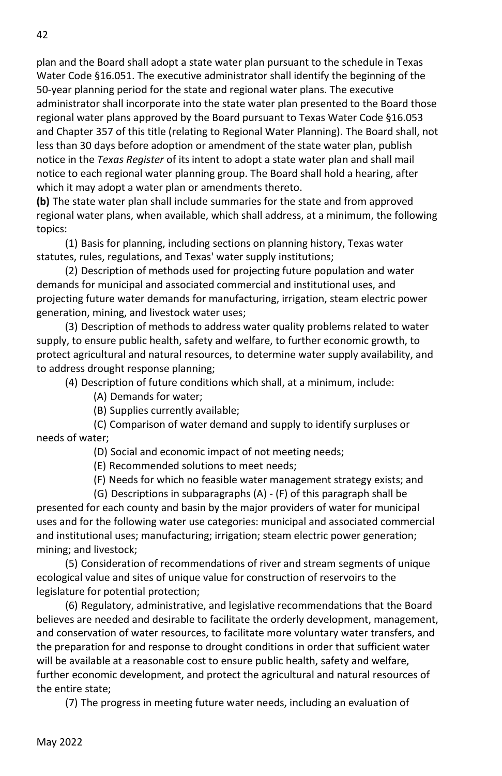plan and the Board shall adopt a state water plan pursuant to the schedule in Texas Water Code §16.051. The executive administrator shall identify the beginning of the 50-year planning period for the state and regional water plans. The executive administrator shall incorporate into the state water plan presented to the Board those regional water plans approved by the Board pursuant to Texas Water Code §16.053 and Chapter 357 of this title (relating to Regional Water Planning). The Board shall, not less than 30 days before adoption or amendment of the state water plan, publish notice in the *Texas Register* of its intent to adopt a state water plan and shall mail notice to each regional water planning group. The Board shall hold a hearing, after which it may adopt a water plan or amendments thereto.

**(b)** The state water plan shall include summaries for the state and from approved regional water plans, when available, which shall address, at a minimum, the following topics:

(1) Basis for planning, including sections on planning history, Texas water statutes, rules, regulations, and Texas' water supply institutions;

(2) Description of methods used for projecting future population and water demands for municipal and associated commercial and institutional uses, and projecting future water demands for manufacturing, irrigation, steam electric power generation, mining, and livestock water uses;

(3) Description of methods to address water quality problems related to water supply, to ensure public health, safety and welfare, to further economic growth, to protect agricultural and natural resources, to determine water supply availability, and to address drought response planning;

(4) Description of future conditions which shall, at a minimum, include:

(A) Demands for water;

(B) Supplies currently available;

(C) Comparison of water demand and supply to identify surpluses or needs of water;

(D) Social and economic impact of not meeting needs;

(E) Recommended solutions to meet needs;

(F) Needs for which no feasible water management strategy exists; and

(G) Descriptions in subparagraphs (A) - (F) of this paragraph shall be presented for each county and basin by the major providers of water for municipal uses and for the following water use categories: municipal and associated commercial and institutional uses; manufacturing; irrigation; steam electric power generation; mining; and livestock;

(5) Consideration of recommendations of river and stream segments of unique ecological value and sites of unique value for construction of reservoirs to the legislature for potential protection;

(6) Regulatory, administrative, and legislative recommendations that the Board believes are needed and desirable to facilitate the orderly development, management, and conservation of water resources, to facilitate more voluntary water transfers, and the preparation for and response to drought conditions in order that sufficient water will be available at a reasonable cost to ensure public health, safety and welfare, further economic development, and protect the agricultural and natural resources of the entire state;

(7) The progress in meeting future water needs, including an evaluation of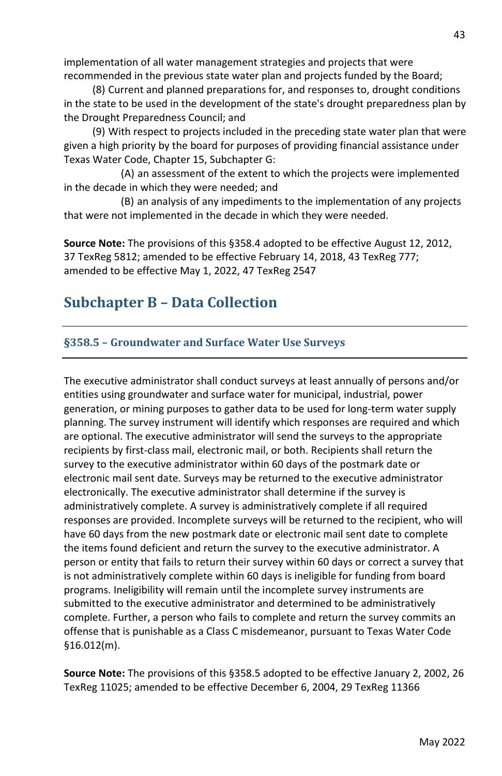implementation of all water management strategies and projects that were recommended in the previous state water plan and projects funded by the Board;

(8) Current and planned preparations for, and responses to, drought conditions in the state to be used in the development of the state's drought preparedness plan by the Drought Preparedness Council; and

(9) With respect to projects included in the preceding state water plan that were given a high priority by the board for purposes of providing financial assistance under Texas Water Code, Chapter 15, Subchapter G:

(A) an assessment of the extent to which the projects were implemented in the decade in which they were needed; and

(B) an analysis of any impediments to the implementation of any projects that were not implemented in the decade in which they were needed.

**Source Note:** The provisions of this §358.4 adopted to be effective August 12, 2012, 37 TexReg 5812; amended to be effective February 14, 2018, 43 TexReg 777; amended to be effective May 1, 2022, 47 TexReg 2547

# **Subchapter B – Data Collection**

## **§358.5 – Groundwater and Surface Water Use Surveys**

The executive administrator shall conduct surveys at least annually of persons and/or entities using groundwater and surface water for municipal, industrial, power generation, or mining purposes to gather data to be used for long-term water supply planning. The survey instrument will identify which responses are required and which are optional. The executive administrator will send the surveys to the appropriate recipients by first-class mail, electronic mail, or both. Recipients shall return the survey to the executive administrator within 60 days of the postmark date or electronic mail sent date. Surveys may be returned to the executive administrator electronically. The executive administrator shall determine if the survey is administratively complete. A survey is administratively complete if all required responses are provided. Incomplete surveys will be returned to the recipient, who will have 60 days from the new postmark date or electronic mail sent date to complete the items found deficient and return the survey to the executive administrator. A person or entity that fails to return their survey within 60 days or correct a survey that is not administratively complete within 60 days is ineligible for funding from board programs. Ineligibility will remain until the incomplete survey instruments are submitted to the executive administrator and determined to be administratively complete. Further, a person who fails to complete and return the survey commits an offense that is punishable as a Class C misdemeanor, pursuant to Texas Water Code §16.012(m).

**Source Note:** The provisions of this §358.5 adopted to be effective January 2, 2002, 26 TexReg 11025; amended to be effective December 6, 2004, 29 TexReg 11366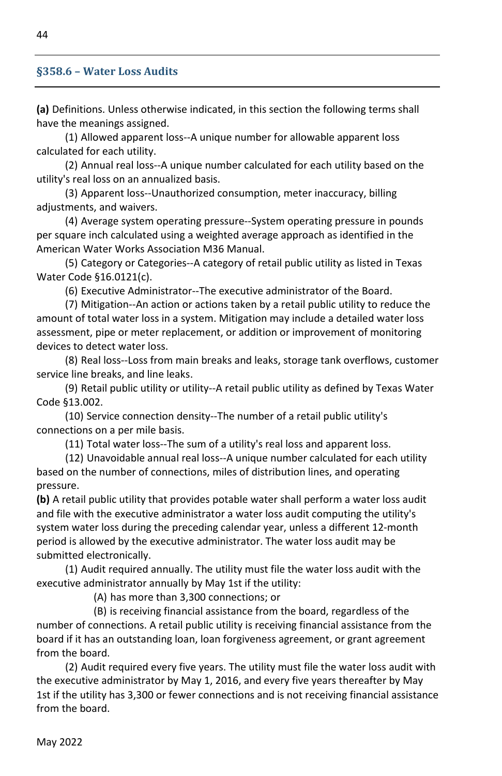### **§358.6 – Water Loss Audits**

**(a)** Definitions. Unless otherwise indicated, in this section the following terms shall have the meanings assigned.

(1) Allowed apparent loss--A unique number for allowable apparent loss calculated for each utility.

(2) Annual real loss--A unique number calculated for each utility based on the utility's real loss on an annualized basis.

(3) Apparent loss--Unauthorized consumption, meter inaccuracy, billing adjustments, and waivers.

(4) Average system operating pressure--System operating pressure in pounds per square inch calculated using a weighted average approach as identified in the American Water Works Association M36 Manual.

(5) Category or Categories--A category of retail public utility as listed in Texas Water Code §16.0121(c).

(6) Executive Administrator--The executive administrator of the Board.

(7) Mitigation--An action or actions taken by a retail public utility to reduce the amount of total water loss in a system. Mitigation may include a detailed water loss assessment, pipe or meter replacement, or addition or improvement of monitoring devices to detect water loss.

(8) Real loss--Loss from main breaks and leaks, storage tank overflows, customer service line breaks, and line leaks.

(9) Retail public utility or utility--A retail public utility as defined by Texas Water Code §13.002.

(10) Service connection density--The number of a retail public utility's connections on a per mile basis.

(11) Total water loss--The sum of a utility's real loss and apparent loss.

(12) Unavoidable annual real loss--A unique number calculated for each utility based on the number of connections, miles of distribution lines, and operating pressure.

**(b)** A retail public utility that provides potable water shall perform a water loss audit and file with the executive administrator a water loss audit computing the utility's system water loss during the preceding calendar year, unless a different 12-month period is allowed by the executive administrator. The water loss audit may be submitted electronically.

(1) Audit required annually. The utility must file the water loss audit with the executive administrator annually by May 1st if the utility:

(A) has more than 3,300 connections; or

(B) is receiving financial assistance from the board, regardless of the number of connections. A retail public utility is receiving financial assistance from the board if it has an outstanding loan, loan forgiveness agreement, or grant agreement from the board.

(2) Audit required every five years. The utility must file the water loss audit with the executive administrator by May 1, 2016, and every five years thereafter by May 1st if the utility has 3,300 or fewer connections and is not receiving financial assistance from the board.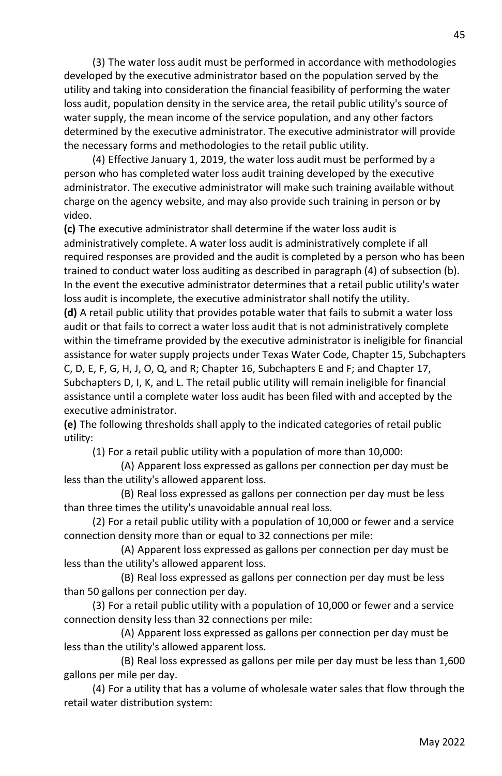(3) The water loss audit must be performed in accordance with methodologies developed by the executive administrator based on the population served by the utility and taking into consideration the financial feasibility of performing the water loss audit, population density in the service area, the retail public utility's source of water supply, the mean income of the service population, and any other factors determined by the executive administrator. The executive administrator will provide the necessary forms and methodologies to the retail public utility.

(4) Effective January 1, 2019, the water loss audit must be performed by a person who has completed water loss audit training developed by the executive administrator. The executive administrator will make such training available without charge on the agency website, and may also provide such training in person or by video.

**(c)** The executive administrator shall determine if the water loss audit is administratively complete. A water loss audit is administratively complete if all required responses are provided and the audit is completed by a person who has been trained to conduct water loss auditing as described in paragraph (4) of subsection (b). In the event the executive administrator determines that a retail public utility's water loss audit is incomplete, the executive administrator shall notify the utility.

**(d)** A retail public utility that provides potable water that fails to submit a water loss audit or that fails to correct a water loss audit that is not administratively complete within the timeframe provided by the executive administrator is ineligible for financial assistance for water supply projects under Texas Water Code, Chapter 15, Subchapters C, D, E, F, G, H, J, O, Q, and R; Chapter 16, Subchapters E and F; and Chapter 17, Subchapters D, I, K, and L. The retail public utility will remain ineligible for financial assistance until a complete water loss audit has been filed with and accepted by the executive administrator.

**(e)** The following thresholds shall apply to the indicated categories of retail public utility:

(1) For a retail public utility with a population of more than 10,000:

(A) Apparent loss expressed as gallons per connection per day must be less than the utility's allowed apparent loss.

(B) Real loss expressed as gallons per connection per day must be less than three times the utility's unavoidable annual real loss.

(2) For a retail public utility with a population of 10,000 or fewer and a service connection density more than or equal to 32 connections per mile:

(A) Apparent loss expressed as gallons per connection per day must be less than the utility's allowed apparent loss.

(B) Real loss expressed as gallons per connection per day must be less than 50 gallons per connection per day.

(3) For a retail public utility with a population of 10,000 or fewer and a service connection density less than 32 connections per mile:

(A) Apparent loss expressed as gallons per connection per day must be less than the utility's allowed apparent loss.

(B) Real loss expressed as gallons per mile per day must be less than 1,600 gallons per mile per day.

(4) For a utility that has a volume of wholesale water sales that flow through the retail water distribution system: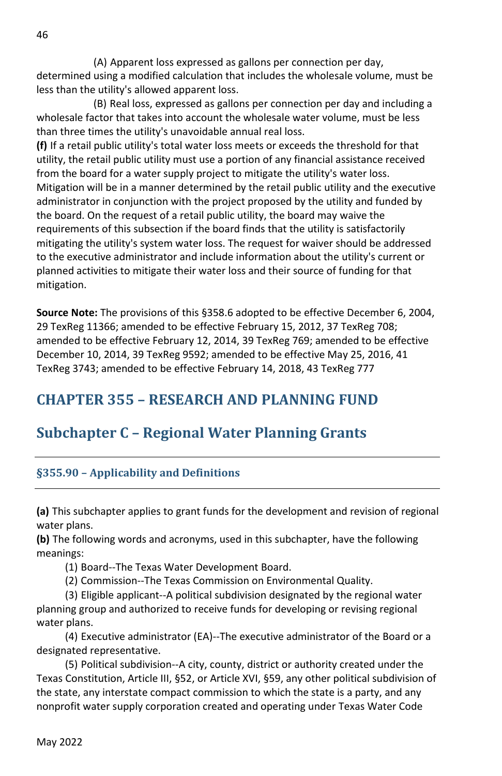(A) Apparent loss expressed as gallons per connection per day, determined using a modified calculation that includes the wholesale volume, must be less than the utility's allowed apparent loss.

(B) Real loss, expressed as gallons per connection per day and including a wholesale factor that takes into account the wholesale water volume, must be less than three times the utility's unavoidable annual real loss.

**(f)** If a retail public utility's total water loss meets or exceeds the threshold for that utility, the retail public utility must use a portion of any financial assistance received from the board for a water supply project to mitigate the utility's water loss. Mitigation will be in a manner determined by the retail public utility and the executive administrator in conjunction with the project proposed by the utility and funded by the board. On the request of a retail public utility, the board may waive the requirements of this subsection if the board finds that the utility is satisfactorily mitigating the utility's system water loss. The request for waiver should be addressed to the executive administrator and include information about the utility's current or planned activities to mitigate their water loss and their source of funding for that mitigation.

**Source Note:** The provisions of this §358.6 adopted to be effective December 6, 2004, 29 TexReg 11366; amended to be effective February 15, 2012, 37 TexReg 708; amended to be effective February 12, 2014, 39 TexReg 769; amended to be effective December 10, 2014, 39 TexReg 9592; amended to be effective May 25, 2016, 41 TexReg 3743; amended to be effective February 14, 2018, 43 TexReg 777

# **[CHAPTER 355](http://info.sos.state.tx.us/pls/pub/readtac$ext.ViewTAC?tac_view=4&ti=31&pt=10&ch=357) – RESEARCH AND PLANNING FUND**

## **Subchapter C – Regional Water Planning Grants**

## **§355.90 – Applicability and Definitions**

**(a)** This subchapter applies to grant funds for the development and revision of regional water plans.

**(b)** The following words and acronyms, used in this subchapter, have the following meanings:

(1) Board--The Texas Water Development Board.

(2) Commission--The Texas Commission on Environmental Quality.

(3) Eligible applicant--A political subdivision designated by the regional water planning group and authorized to receive funds for developing or revising regional water plans.

(4) Executive administrator (EA)--The executive administrator of the Board or a designated representative.

(5) Political subdivision--A city, county, district or authority created under the Texas Constitution, Article III, §52, or Article XVI, §59, any other political subdivision of the state, any interstate compact commission to which the state is a party, and any nonprofit water supply corporation created and operating under Texas Water Code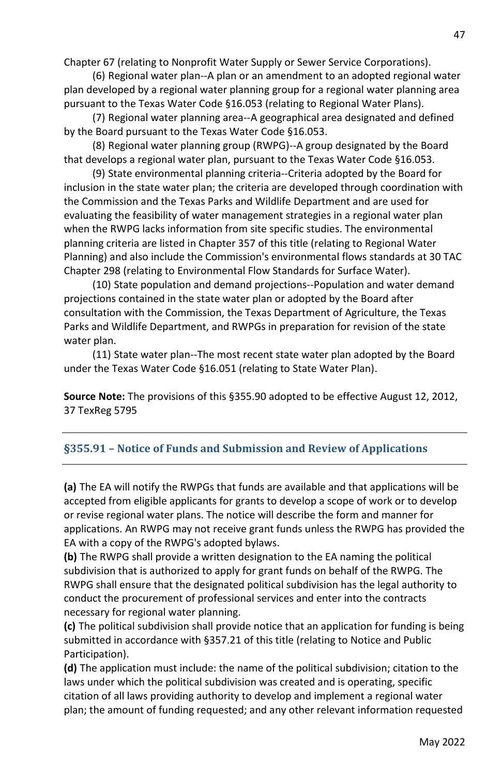Chapter 67 (relating to Nonprofit Water Supply or Sewer Service Corporations).

(6) Regional water plan--A plan or an amendment to an adopted regional water plan developed by a regional water planning group for a regional water planning area pursuant to the Texas Water Code §16.053 (relating to Regional Water Plans).

(7) Regional water planning area--A geographical area designated and defined by the Board pursuant to the Texas Water Code §16.053.

(8) Regional water planning group (RWPG)--A group designated by the Board that develops a regional water plan, pursuant to the Texas Water Code §16.053.

(9) State environmental planning criteria--Criteria adopted by the Board for inclusion in the state water plan; the criteria are developed through coordination with the Commission and the Texas Parks and Wildlife Department and are used for evaluating the feasibility of water management strategies in a regional water plan when the RWPG lacks information from site specific studies. The environmental planning criteria are listed in Chapter 357 of this title (relating to Regional Water Planning) and also include the Commission's environmental flows standards at 30 TAC Chapter 298 (relating to Environmental Flow Standards for Surface Water).

(10) State population and demand projections--Population and water demand projections contained in the state water plan or adopted by the Board after consultation with the Commission, the Texas Department of Agriculture, the Texas Parks and Wildlife Department, and RWPGs in preparation for revision of the state water plan.

(11) State water plan--The most recent state water plan adopted by the Board under the Texas Water Code §16.051 (relating to State Water Plan).

**Source Note:** The provisions of this §355.90 adopted to be effective August 12, 2012, 37 TexReg 5795

## **§355.91 – Notice of Funds and Submission and Review of Applications**

**(a)** The EA will notify the RWPGs that funds are available and that applications will be accepted from eligible applicants for grants to develop a scope of work or to develop or revise regional water plans. The notice will describe the form and manner for applications. An RWPG may not receive grant funds unless the RWPG has provided the EA with a copy of the RWPG's adopted bylaws.

**(b)** The RWPG shall provide a written designation to the EA naming the political subdivision that is authorized to apply for grant funds on behalf of the RWPG. The RWPG shall ensure that the designated political subdivision has the legal authority to conduct the procurement of professional services and enter into the contracts necessary for regional water planning.

**(c)** The political subdivision shall provide notice that an application for funding is being submitted in accordance with §357.21 of this title (relating to Notice and Public Participation).

**(d)** The application must include: the name of the political subdivision; citation to the laws under which the political subdivision was created and is operating, specific citation of all laws providing authority to develop and implement a regional water plan; the amount of funding requested; and any other relevant information requested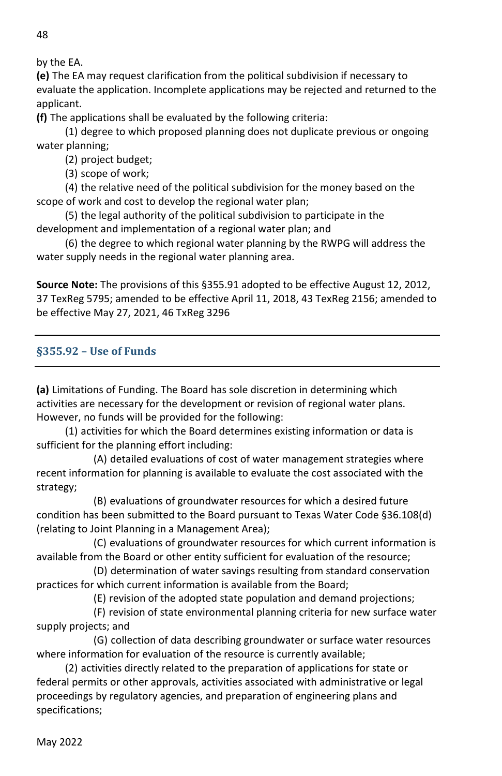by the EA.

**(e)** The EA may request clarification from the political subdivision if necessary to evaluate the application. Incomplete applications may be rejected and returned to the applicant.

**(f)** The applications shall be evaluated by the following criteria:

(1) degree to which proposed planning does not duplicate previous or ongoing water planning;

(2) project budget;

(3) scope of work;

(4) the relative need of the political subdivision for the money based on the scope of work and cost to develop the regional water plan;

(5) the legal authority of the political subdivision to participate in the development and implementation of a regional water plan; and

(6) the degree to which regional water planning by the RWPG will address the water supply needs in the regional water planning area.

**Source Note:** The provisions of this §355.91 adopted to be effective August 12, 2012, 37 TexReg 5795; amended to be effective April 11, 2018, 43 TexReg 2156; amended to be effective May 27, 2021, 46 TxReg 3296

## **§355.92 – Use of Funds**

**(a)** Limitations of Funding. The Board has sole discretion in determining which activities are necessary for the development or revision of regional water plans. However, no funds will be provided for the following:

(1) activities for which the Board determines existing information or data is sufficient for the planning effort including:

(A) detailed evaluations of cost of water management strategies where recent information for planning is available to evaluate the cost associated with the strategy;

(B) evaluations of groundwater resources for which a desired future condition has been submitted to the Board pursuant to Texas Water Code §36.108(d) (relating to Joint Planning in a Management Area);

(C) evaluations of groundwater resources for which current information is available from the Board or other entity sufficient for evaluation of the resource;

(D) determination of water savings resulting from standard conservation practices for which current information is available from the Board;

(E) revision of the adopted state population and demand projections;

(F) revision of state environmental planning criteria for new surface water supply projects; and

(G) collection of data describing groundwater or surface water resources where information for evaluation of the resource is currently available;

(2) activities directly related to the preparation of applications for state or federal permits or other approvals, activities associated with administrative or legal proceedings by regulatory agencies, and preparation of engineering plans and specifications;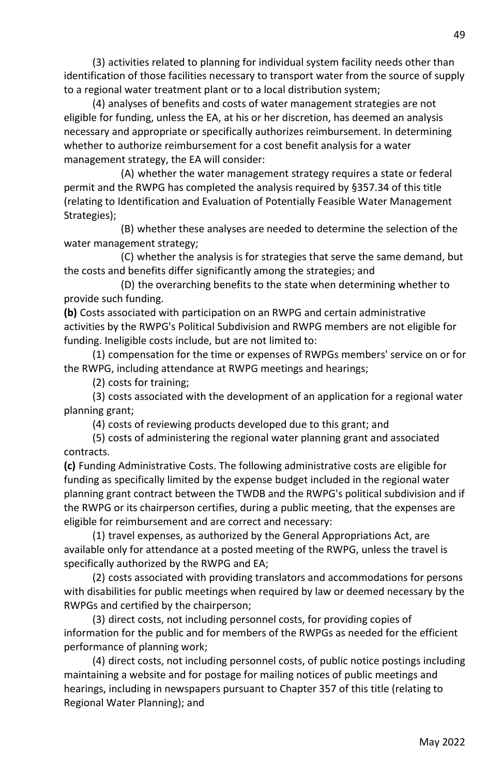(3) activities related to planning for individual system facility needs other than identification of those facilities necessary to transport water from the source of supply to a regional water treatment plant or to a local distribution system;

(4) analyses of benefits and costs of water management strategies are not eligible for funding, unless the EA, at his or her discretion, has deemed an analysis necessary and appropriate or specifically authorizes reimbursement. In determining whether to authorize reimbursement for a cost benefit analysis for a water management strategy, the EA will consider:

(A) whether the water management strategy requires a state or federal permit and the RWPG has completed the analysis required by §357.34 of this title (relating to Identification and Evaluation of Potentially Feasible Water Management Strategies);

(B) whether these analyses are needed to determine the selection of the water management strategy;

(C) whether the analysis is for strategies that serve the same demand, but the costs and benefits differ significantly among the strategies; and

(D) the overarching benefits to the state when determining whether to provide such funding.

**(b)** Costs associated with participation on an RWPG and certain administrative activities by the RWPG's Political Subdivision and RWPG members are not eligible for funding. Ineligible costs include, but are not limited to:

(1) compensation for the time or expenses of RWPGs members' service on or for the RWPG, including attendance at RWPG meetings and hearings;

(2) costs for training;

(3) costs associated with the development of an application for a regional water planning grant;

(4) costs of reviewing products developed due to this grant; and

(5) costs of administering the regional water planning grant and associated contracts.

**(c)** Funding Administrative Costs. The following administrative costs are eligible for funding as specifically limited by the expense budget included in the regional water planning grant contract between the TWDB and the RWPG's political subdivision and if the RWPG or its chairperson certifies, during a public meeting, that the expenses are eligible for reimbursement and are correct and necessary:

(1) travel expenses, as authorized by the General Appropriations Act, are available only for attendance at a posted meeting of the RWPG, unless the travel is specifically authorized by the RWPG and EA;

(2) costs associated with providing translators and accommodations for persons with disabilities for public meetings when required by law or deemed necessary by the RWPGs and certified by the chairperson;

(3) direct costs, not including personnel costs, for providing copies of information for the public and for members of the RWPGs as needed for the efficient performance of planning work;

(4) direct costs, not including personnel costs, of public notice postings including maintaining a website and for postage for mailing notices of public meetings and hearings, including in newspapers pursuant to Chapter 357 of this title (relating to Regional Water Planning); and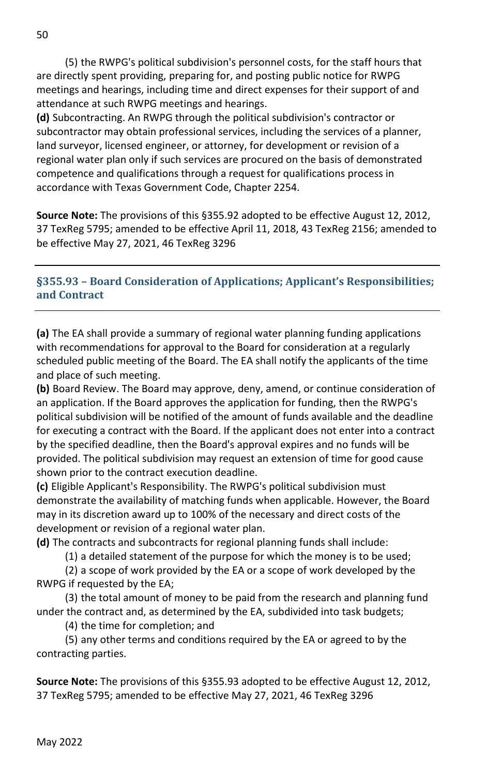(5) the RWPG's political subdivision's personnel costs, for the staff hours that are directly spent providing, preparing for, and posting public notice for RWPG meetings and hearings, including time and direct expenses for their support of and attendance at such RWPG meetings and hearings.

**(d)** Subcontracting. An RWPG through the political subdivision's contractor or subcontractor may obtain professional services, including the services of a planner, land surveyor, licensed engineer, or attorney, for development or revision of a regional water plan only if such services are procured on the basis of demonstrated competence and qualifications through a request for qualifications process in accordance with Texas Government Code, Chapter 2254.

**Source Note:** The provisions of this §355.92 adopted to be effective August 12, 2012, 37 TexReg 5795; amended to be effective April 11, 2018, 43 TexReg 2156; amended to be effective May 27, 2021, 46 TexReg 3296

## **§355.93 – Board Consideration of Applications; Applicant's Responsibilities; and Contract**

**(a)** The EA shall provide a summary of regional water planning funding applications with recommendations for approval to the Board for consideration at a regularly scheduled public meeting of the Board. The EA shall notify the applicants of the time and place of such meeting.

**(b)** Board Review. The Board may approve, deny, amend, or continue consideration of an application. If the Board approves the application for funding, then the RWPG's political subdivision will be notified of the amount of funds available and the deadline for executing a contract with the Board. If the applicant does not enter into a contract by the specified deadline, then the Board's approval expires and no funds will be provided. The political subdivision may request an extension of time for good cause shown prior to the contract execution deadline.

**(c)** Eligible Applicant's Responsibility. The RWPG's political subdivision must demonstrate the availability of matching funds when applicable. However, the Board may in its discretion award up to 100% of the necessary and direct costs of the development or revision of a regional water plan.

**(d)** The contracts and subcontracts for regional planning funds shall include:

(1) a detailed statement of the purpose for which the money is to be used;

(2) a scope of work provided by the EA or a scope of work developed by the RWPG if requested by the EA;

(3) the total amount of money to be paid from the research and planning fund under the contract and, as determined by the EA, subdivided into task budgets;

(4) the time for completion; and

(5) any other terms and conditions required by the EA or agreed to by the contracting parties.

**Source Note:** The provisions of this §355.93 adopted to be effective August 12, 2012, 37 TexReg 5795; amended to be effective May 27, 2021, 46 TexReg 3296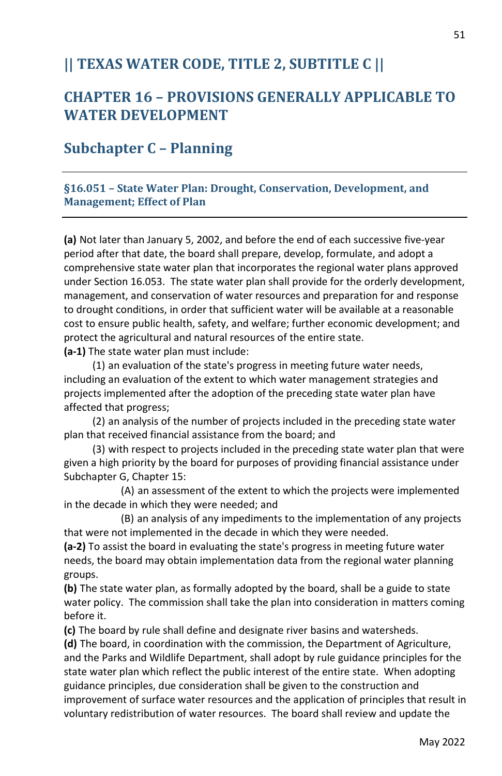# **|| TEXAS WATER CODE, TITLE 2, SUBTITLE C ||**

## **CHAPTER 16 – PROVISIONS GENERALLY APPLICABLE TO WATER DEVELOPMENT**

## **Subchapter C – Planning**

### **§16.051 – State Water Plan: Drought, Conservation, Development, and Management; Effect of Plan**

**(a)** Not later than January 5, 2002, and before the end of each successive five-year period after that date, the board shall prepare, develop, formulate, and adopt a comprehensive state water plan that incorporates the regional water plans approved under Section 16.053. The state water plan shall provide for the orderly development, management, and conservation of water resources and preparation for and response to drought conditions, in order that sufficient water will be available at a reasonable cost to ensure public health, safety, and welfare; further economic development; and protect the agricultural and natural resources of the entire state. **(a-1)** The state water plan must include:

(1) an evaluation of the state's progress in meeting future water needs, including an evaluation of the extent to which water management strategies and projects implemented after the adoption of the preceding state water plan have affected that progress;

(2) an analysis of the number of projects included in the preceding state water plan that received financial assistance from the board; and

(3) with respect to projects included in the preceding state water plan that were given a high priority by the board for purposes of providing financial assistance under Subchapter G, Chapter 15:

(A) an assessment of the extent to which the projects were implemented in the decade in which they were needed; and

(B) an analysis of any impediments to the implementation of any projects that were not implemented in the decade in which they were needed.

**(a-2)** To assist the board in evaluating the state's progress in meeting future water needs, the board may obtain implementation data from the regional water planning groups.

**(b)** The state water plan, as formally adopted by the board, shall be a guide to state water policy. The commission shall take the plan into consideration in matters coming before it.

**(c)** The board by rule shall define and designate river basins and watersheds.

**(d)** The board, in coordination with the commission, the Department of Agriculture, and the Parks and Wildlife Department, shall adopt by rule guidance principles for the state water plan which reflect the public interest of the entire state. When adopting guidance principles, due consideration shall be given to the construction and improvement of surface water resources and the application of principles that result in voluntary redistribution of water resources. The board shall review and update the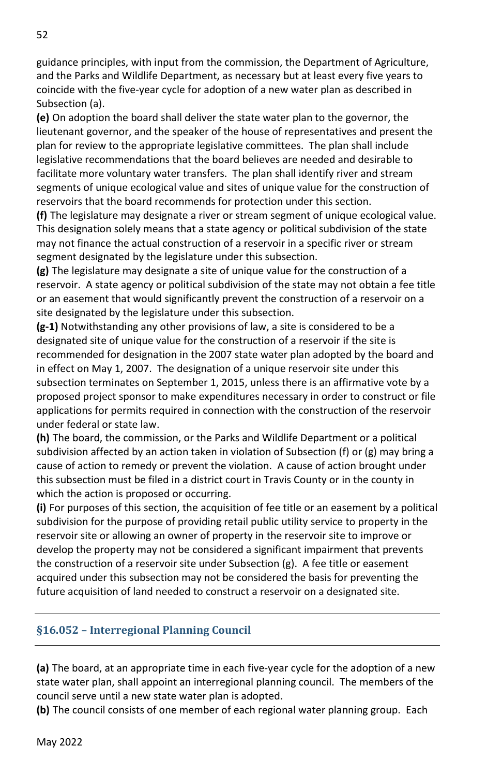guidance principles, with input from the commission, the Department of Agriculture, and the Parks and Wildlife Department, as necessary but at least every five years to coincide with the five-year cycle for adoption of a new water plan as described in Subsection (a).

**(e)** On adoption the board shall deliver the state water plan to the governor, the lieutenant governor, and the speaker of the house of representatives and present the plan for review to the appropriate legislative committees. The plan shall include legislative recommendations that the board believes are needed and desirable to facilitate more voluntary water transfers. The plan shall identify river and stream segments of unique ecological value and sites of unique value for the construction of reservoirs that the board recommends for protection under this section.

**(f)** The legislature may designate a river or stream segment of unique ecological value. This designation solely means that a state agency or political subdivision of the state may not finance the actual construction of a reservoir in a specific river or stream segment designated by the legislature under this subsection.

**(g)** The legislature may designate a site of unique value for the construction of a reservoir. A state agency or political subdivision of the state may not obtain a fee title or an easement that would significantly prevent the construction of a reservoir on a site designated by the legislature under this subsection.

**(g-1)** Notwithstanding any other provisions of law, a site is considered to be a designated site of unique value for the construction of a reservoir if the site is recommended for designation in the 2007 state water plan adopted by the board and in effect on May 1, 2007. The designation of a unique reservoir site under this subsection terminates on September 1, 2015, unless there is an affirmative vote by a proposed project sponsor to make expenditures necessary in order to construct or file applications for permits required in connection with the construction of the reservoir under federal or state law.

**(h)** The board, the commission, or the Parks and Wildlife Department or a political subdivision affected by an action taken in violation of Subsection (f) or (g) may bring a cause of action to remedy or prevent the violation. A cause of action brought under this subsection must be filed in a district court in Travis County or in the county in which the action is proposed or occurring.

**(i)** For purposes of this section, the acquisition of fee title or an easement by a political subdivision for the purpose of providing retail public utility service to property in the reservoir site or allowing an owner of property in the reservoir site to improve or develop the property may not be considered a significant impairment that prevents the construction of a reservoir site under Subsection (g). A fee title or easement acquired under this subsection may not be considered the basis for preventing the future acquisition of land needed to construct a reservoir on a designated site.

## **§16.052 – Interregional Planning Council**

**(a)** The board, at an appropriate time in each five-year cycle for the adoption of a new state water plan, shall appoint an interregional planning council. The members of the council serve until a new state water plan is adopted.

**(b)** The council consists of one member of each regional water planning group. Each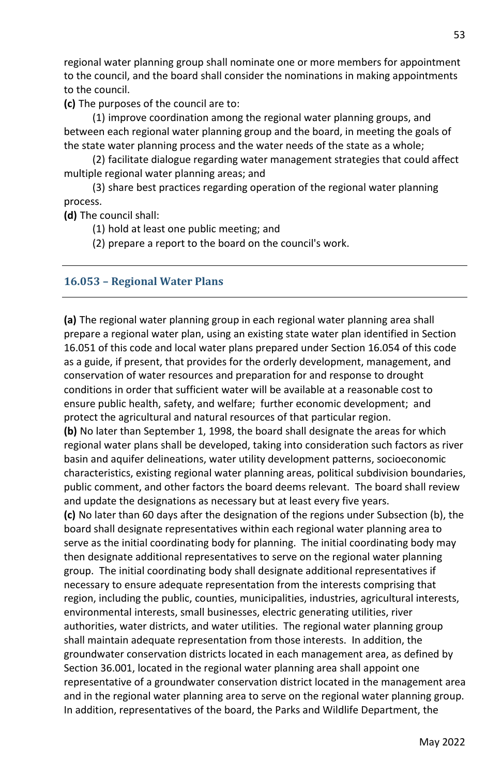regional water planning group shall nominate one or more members for appointment to the council, and the board shall consider the nominations in making appointments to the council.

**(c)** The purposes of the council are to:

(1) improve coordination among the regional water planning groups, and between each regional water planning group and the board, in meeting the goals of the state water planning process and the water needs of the state as a whole;

(2) facilitate dialogue regarding water management strategies that could affect multiple regional water planning areas; and

(3) share best practices regarding operation of the regional water planning process.

**(d)** The council shall:

(1) hold at least one public meeting; and

(2) prepare a report to the board on the council's work.

### **16.053 – Regional Water Plans**

**(a)** The regional water planning group in each regional water planning area shall prepare a regional water plan, using an existing state water plan identified in Section 16.051 of this code and local water plans prepared under Section 16.054 of this code as a guide, if present, that provides for the orderly development, management, and conservation of water resources and preparation for and response to drought conditions in order that sufficient water will be available at a reasonable cost to ensure public health, safety, and welfare; further economic development; and protect the agricultural and natural resources of that particular region.

**(b)** No later than September 1, 1998, the board shall designate the areas for which regional water plans shall be developed, taking into consideration such factors as river basin and aquifer delineations, water utility development patterns, socioeconomic characteristics, existing regional water planning areas, political subdivision boundaries, public comment, and other factors the board deems relevant. The board shall review and update the designations as necessary but at least every five years.

**(c)** No later than 60 days after the designation of the regions under Subsection (b), the board shall designate representatives within each regional water planning area to serve as the initial coordinating body for planning. The initial coordinating body may then designate additional representatives to serve on the regional water planning group. The initial coordinating body shall designate additional representatives if necessary to ensure adequate representation from the interests comprising that region, including the public, counties, municipalities, industries, agricultural interests, environmental interests, small businesses, electric generating utilities, river authorities, water districts, and water utilities. The regional water planning group shall maintain adequate representation from those interests. In addition, the groundwater conservation districts located in each management area, as defined by Section 36.001, located in the regional water planning area shall appoint one representative of a groundwater conservation district located in the management area and in the regional water planning area to serve on the regional water planning group. In addition, representatives of the board, the Parks and Wildlife Department, the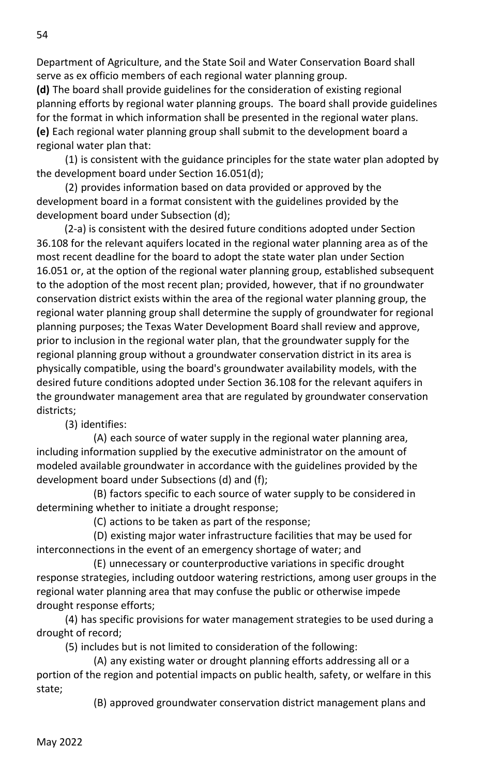Department of Agriculture, and the State Soil and Water Conservation Board shall serve as ex officio members of each regional water planning group.

**(d)** The board shall provide guidelines for the consideration of existing regional planning efforts by regional water planning groups. The board shall provide guidelines for the format in which information shall be presented in the regional water plans. **(e)** Each regional water planning group shall submit to the development board a regional water plan that:

(1) is consistent with the guidance principles for the state water plan adopted by the development board under Section 16.051(d);

(2) provides information based on data provided or approved by the development board in a format consistent with the guidelines provided by the development board under Subsection (d);

 (2-a) is consistent with the desired future conditions adopted under Section 36.108 for the relevant aquifers located in the regional water planning area as of the most recent deadline for the board to adopt the state water plan under Section 16.051 or, at the option of the regional water planning group, established subsequent to the adoption of the most recent plan; provided, however, that if no groundwater conservation district exists within the area of the regional water planning group, the regional water planning group shall determine the supply of groundwater for regional planning purposes; the Texas Water Development Board shall review and approve, prior to inclusion in the regional water plan, that the groundwater supply for the regional planning group without a groundwater conservation district in its area is physically compatible, using the board's groundwater availability models, with the desired future conditions adopted under Section 36.108 for the relevant aquifers in the groundwater management area that are regulated by groundwater conservation districts;

(3) identifies:

(A) each source of water supply in the regional water planning area, including information supplied by the executive administrator on the amount of modeled available groundwater in accordance with the guidelines provided by the development board under Subsections (d) and (f);

(B) factors specific to each source of water supply to be considered in determining whether to initiate a drought response;

(C) actions to be taken as part of the response;

(D) existing major water infrastructure facilities that may be used for interconnections in the event of an emergency shortage of water; and

(E) unnecessary or counterproductive variations in specific drought response strategies, including outdoor watering restrictions, among user groups in the regional water planning area that may confuse the public or otherwise impede drought response efforts;

(4) has specific provisions for water management strategies to be used during a drought of record;

(5) includes but is not limited to consideration of the following:

(A) any existing water or drought planning efforts addressing all or a portion of the region and potential impacts on public health, safety, or welfare in this state;

(B) approved groundwater conservation district management plans and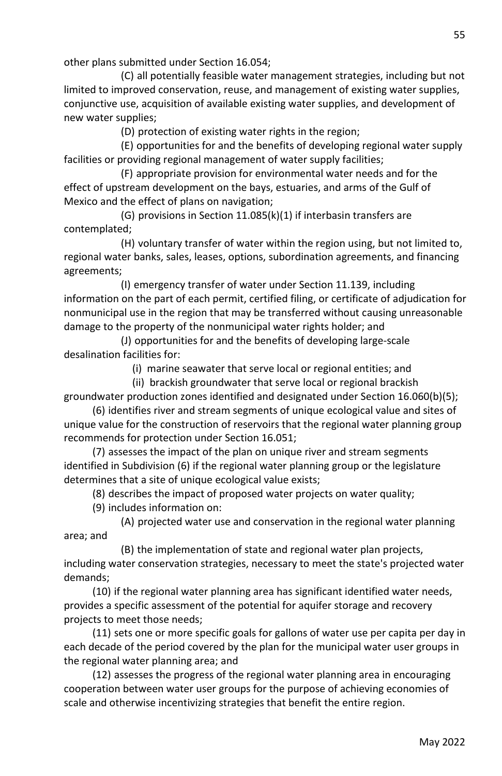other plans submitted under Section 16.054;

(C) all potentially feasible water management strategies, including but not limited to improved conservation, reuse, and management of existing water supplies, conjunctive use, acquisition of available existing water supplies, and development of new water supplies;

(D) protection of existing water rights in the region;

(E) opportunities for and the benefits of developing regional water supply facilities or providing regional management of water supply facilities;

(F) appropriate provision for environmental water needs and for the effect of upstream development on the bays, estuaries, and arms of the Gulf of Mexico and the effect of plans on navigation;

(G) provisions in Section 11.085(k)(1) if interbasin transfers are contemplated;

(H) voluntary transfer of water within the region using, but not limited to, regional water banks, sales, leases, options, subordination agreements, and financing agreements;

(I) emergency transfer of water under Section 11.139, including information on the part of each permit, certified filing, or certificate of adjudication for nonmunicipal use in the region that may be transferred without causing unreasonable damage to the property of the nonmunicipal water rights holder; and

(J) opportunities for and the benefits of developing large-scale desalination facilities for:

(i) marine seawater that serve local or regional entities; and

(ii) brackish groundwater that serve local or regional brackish groundwater production zones identified and designated under Section 16.060(b)(5);

(6) identifies river and stream segments of unique ecological value and sites of unique value for the construction of reservoirs that the regional water planning group recommends for protection under Section 16.051;

(7) assesses the impact of the plan on unique river and stream segments identified in Subdivision (6) if the regional water planning group or the legislature determines that a site of unique ecological value exists;

(8) describes the impact of proposed water projects on water quality;

(9) includes information on:

(A) projected water use and conservation in the regional water planning area; and

(B) the implementation of state and regional water plan projects, including water conservation strategies, necessary to meet the state's projected water demands;

(10) if the regional water planning area has significant identified water needs, provides a specific assessment of the potential for aquifer storage and recovery projects to meet those needs;

(11) sets one or more specific goals for gallons of water use per capita per day in each decade of the period covered by the plan for the municipal water user groups in the regional water planning area; and

(12) assesses the progress of the regional water planning area in encouraging cooperation between water user groups for the purpose of achieving economies of scale and otherwise incentivizing strategies that benefit the entire region.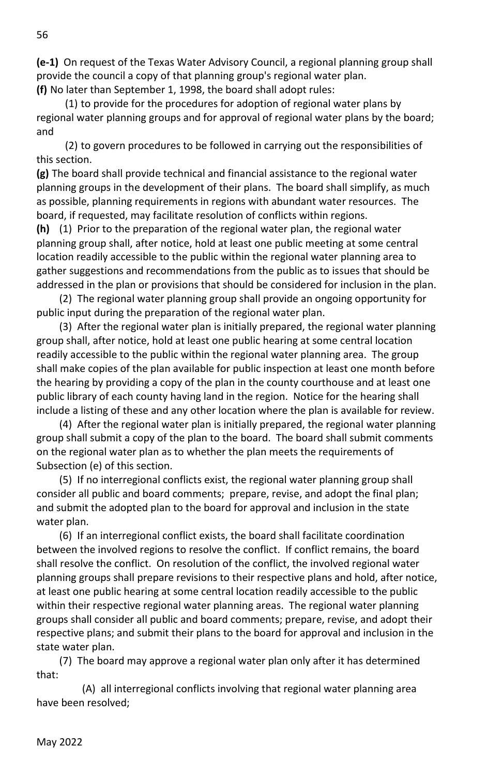**(e-1)** On request of the Texas Water Advisory Council, a regional planning group shall provide the council a copy of that planning group's regional water plan. **(f)** No later than September 1, 1998, the board shall adopt rules:

(1) to provide for the procedures for adoption of regional water plans by regional water planning groups and for approval of regional water plans by the board; and

(2) to govern procedures to be followed in carrying out the responsibilities of this section.

**(g)** The board shall provide technical and financial assistance to the regional water planning groups in the development of their plans. The board shall simplify, as much as possible, planning requirements in regions with abundant water resources. The board, if requested, may facilitate resolution of conflicts within regions.

**(h)** (1) Prior to the preparation of the regional water plan, the regional water planning group shall, after notice, hold at least one public meeting at some central location readily accessible to the public within the regional water planning area to gather suggestions and recommendations from the public as to issues that should be addressed in the plan or provisions that should be considered for inclusion in the plan.

(2) The regional water planning group shall provide an ongoing opportunity for public input during the preparation of the regional water plan.

(3) After the regional water plan is initially prepared, the regional water planning group shall, after notice, hold at least one public hearing at some central location readily accessible to the public within the regional water planning area. The group shall make copies of the plan available for public inspection at least one month before the hearing by providing a copy of the plan in the county courthouse and at least one public library of each county having land in the region. Notice for the hearing shall include a listing of these and any other location where the plan is available for review.

(4) After the regional water plan is initially prepared, the regional water planning group shall submit a copy of the plan to the board. The board shall submit comments on the regional water plan as to whether the plan meets the requirements of Subsection (e) of this section.

(5) If no interregional conflicts exist, the regional water planning group shall consider all public and board comments; prepare, revise, and adopt the final plan; and submit the adopted plan to the board for approval and inclusion in the state water plan.

(6) If an interregional conflict exists, the board shall facilitate coordination between the involved regions to resolve the conflict. If conflict remains, the board shall resolve the conflict. On resolution of the conflict, the involved regional water planning groups shall prepare revisions to their respective plans and hold, after notice, at least one public hearing at some central location readily accessible to the public within their respective regional water planning areas. The regional water planning groups shall consider all public and board comments; prepare, revise, and adopt their respective plans; and submit their plans to the board for approval and inclusion in the state water plan.

(7) The board may approve a regional water plan only after it has determined that:

(A) all interregional conflicts involving that regional water planning area have been resolved;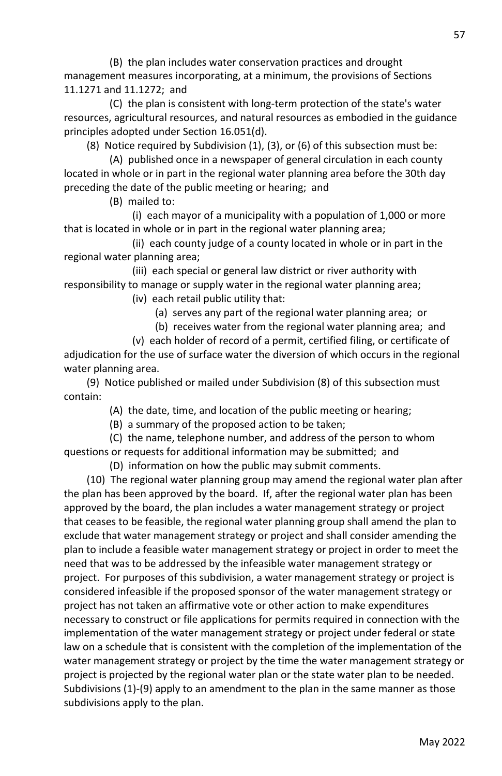(B) the plan includes water conservation practices and drought management measures incorporating, at a minimum, the provisions of Sections 11.1271 and 11.1272; and

(C) the plan is consistent with long-term protection of the state's water resources, agricultural resources, and natural resources as embodied in the guidance principles adopted under Section 16.051(d).

(8) Notice required by Subdivision (1), (3), or (6) of this subsection must be:

(A) published once in a newspaper of general circulation in each county located in whole or in part in the regional water planning area before the 30th day preceding the date of the public meeting or hearing; and

(B) mailed to:

(i) each mayor of a municipality with a population of 1,000 or more that is located in whole or in part in the regional water planning area;

(ii) each county judge of a county located in whole or in part in the regional water planning area;

(iii) each special or general law district or river authority with responsibility to manage or supply water in the regional water planning area;

(iv) each retail public utility that:

- (a) serves any part of the regional water planning area; or
- (b) receives water from the regional water planning area; and

(v) each holder of record of a permit, certified filing, or certificate of adjudication for the use of surface water the diversion of which occurs in the regional water planning area.

(9) Notice published or mailed under Subdivision (8) of this subsection must contain:

(A) the date, time, and location of the public meeting or hearing;

(B) a summary of the proposed action to be taken;

(C) the name, telephone number, and address of the person to whom questions or requests for additional information may be submitted; and

(D) information on how the public may submit comments.

(10) The regional water planning group may amend the regional water plan after the plan has been approved by the board. If, after the regional water plan has been approved by the board, the plan includes a water management strategy or project that ceases to be feasible, the regional water planning group shall amend the plan to exclude that water management strategy or project and shall consider amending the plan to include a feasible water management strategy or project in order to meet the need that was to be addressed by the infeasible water management strategy or project. For purposes of this subdivision, a water management strategy or project is considered infeasible if the proposed sponsor of the water management strategy or project has not taken an affirmative vote or other action to make expenditures necessary to construct or file applications for permits required in connection with the implementation of the water management strategy or project under federal or state law on a schedule that is consistent with the completion of the implementation of the water management strategy or project by the time the water management strategy or project is projected by the regional water plan or the state water plan to be needed. Subdivisions (1)-(9) apply to an amendment to the plan in the same manner as those subdivisions apply to the plan.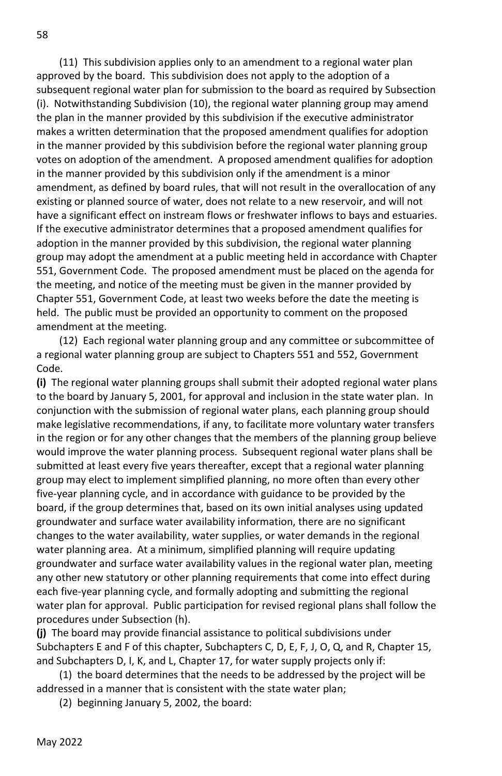(11) This subdivision applies only to an amendment to a regional water plan approved by the board. This subdivision does not apply to the adoption of a subsequent regional water plan for submission to the board as required by Subsection (i). Notwithstanding Subdivision (10), the regional water planning group may amend the plan in the manner provided by this subdivision if the executive administrator makes a written determination that the proposed amendment qualifies for adoption in the manner provided by this subdivision before the regional water planning group votes on adoption of the amendment. A proposed amendment qualifies for adoption in the manner provided by this subdivision only if the amendment is a minor amendment, as defined by board rules, that will not result in the overallocation of any existing or planned source of water, does not relate to a new reservoir, and will not have a significant effect on instream flows or freshwater inflows to bays and estuaries. If the executive administrator determines that a proposed amendment qualifies for adoption in the manner provided by this subdivision, the regional water planning group may adopt the amendment at a public meeting held in accordance with Chapter 551, Government Code. The proposed amendment must be placed on the agenda for the meeting, and notice of the meeting must be given in the manner provided by Chapter 551, Government Code, at least two weeks before the date the meeting is held. The public must be provided an opportunity to comment on the proposed amendment at the meeting.

(12) Each regional water planning group and any committee or subcommittee of a regional water planning group are subject to Chapters 551 and 552, Government Code.

**(i)** The regional water planning groups shall submit their adopted regional water plans to the board by January 5, 2001, for approval and inclusion in the state water plan. In conjunction with the submission of regional water plans, each planning group should make legislative recommendations, if any, to facilitate more voluntary water transfers in the region or for any other changes that the members of the planning group believe would improve the water planning process. Subsequent regional water plans shall be submitted at least every five years thereafter, except that a regional water planning group may elect to implement simplified planning, no more often than every other five-year planning cycle, and in accordance with guidance to be provided by the board, if the group determines that, based on its own initial analyses using updated groundwater and surface water availability information, there are no significant changes to the water availability, water supplies, or water demands in the regional water planning area. At a minimum, simplified planning will require updating groundwater and surface water availability values in the regional water plan, meeting any other new statutory or other planning requirements that come into effect during each five-year planning cycle, and formally adopting and submitting the regional water plan for approval. Public participation for revised regional plans shall follow the procedures under Subsection (h).

**(j)** The board may provide financial assistance to political subdivisions under Subchapters E and F of this chapter, Subchapters C, D, E, F, J, O, Q, and R, Chapter 15, and Subchapters D, I, K, and L, Chapter 17, for water supply projects only if:

(1) the board determines that the needs to be addressed by the project will be addressed in a manner that is consistent with the state water plan;

(2) beginning January 5, 2002, the board: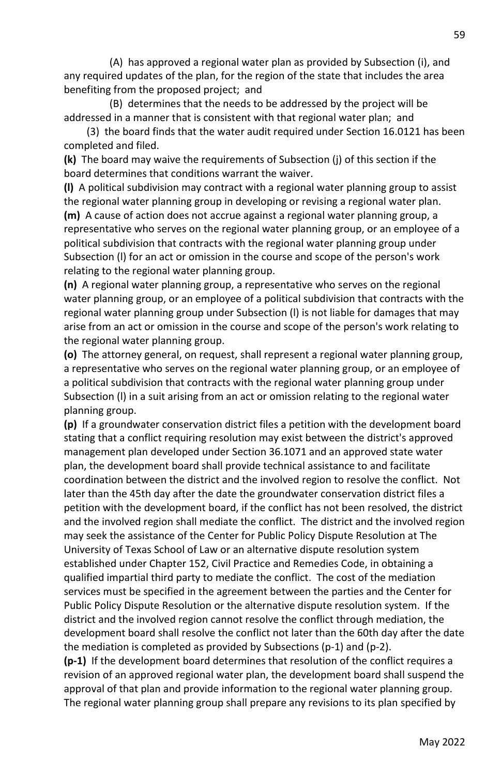(A) has approved a regional water plan as provided by Subsection (i), and any required updates of the plan, for the region of the state that includes the area benefiting from the proposed project; and

(B) determines that the needs to be addressed by the project will be addressed in a manner that is consistent with that regional water plan; and

(3) the board finds that the water audit required under Section 16.0121 has been completed and filed.

**(k)** The board may waive the requirements of Subsection (j) of this section if the board determines that conditions warrant the waiver.

**(l)** A political subdivision may contract with a regional water planning group to assist the regional water planning group in developing or revising a regional water plan. **(m)** A cause of action does not accrue against a regional water planning group, a representative who serves on the regional water planning group, or an employee of a political subdivision that contracts with the regional water planning group under Subsection (l) for an act or omission in the course and scope of the person's work relating to the regional water planning group.

**(n)** A regional water planning group, a representative who serves on the regional water planning group, or an employee of a political subdivision that contracts with the regional water planning group under Subsection (l) is not liable for damages that may arise from an act or omission in the course and scope of the person's work relating to the regional water planning group.

**(o)** The attorney general, on request, shall represent a regional water planning group, a representative who serves on the regional water planning group, or an employee of a political subdivision that contracts with the regional water planning group under Subsection (l) in a suit arising from an act or omission relating to the regional water planning group.

**(p)** If a groundwater conservation district files a petition with the development board stating that a conflict requiring resolution may exist between the district's approved management plan developed under Section 36.1071 and an approved state water plan, the development board shall provide technical assistance to and facilitate coordination between the district and the involved region to resolve the conflict. Not later than the 45th day after the date the groundwater conservation district files a petition with the development board, if the conflict has not been resolved, the district and the involved region shall mediate the conflict. The district and the involved region may seek the assistance of the Center for Public Policy Dispute Resolution at The University of Texas School of Law or an alternative dispute resolution system established under Chapter 152, Civil Practice and Remedies Code, in obtaining a qualified impartial third party to mediate the conflict. The cost of the mediation services must be specified in the agreement between the parties and the Center for Public Policy Dispute Resolution or the alternative dispute resolution system. If the district and the involved region cannot resolve the conflict through mediation, the development board shall resolve the conflict not later than the 60th day after the date the mediation is completed as provided by Subsections (p-1) and (p-2).

**(p-1)** If the development board determines that resolution of the conflict requires a revision of an approved regional water plan, the development board shall suspend the approval of that plan and provide information to the regional water planning group. The regional water planning group shall prepare any revisions to its plan specified by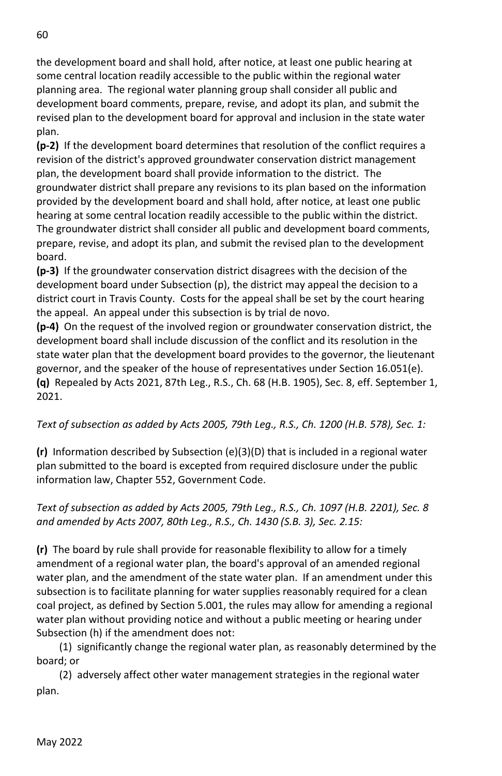the development board and shall hold, after notice, at least one public hearing at some central location readily accessible to the public within the regional water planning area. The regional water planning group shall consider all public and development board comments, prepare, revise, and adopt its plan, and submit the revised plan to the development board for approval and inclusion in the state water plan.

**(p-2)** If the development board determines that resolution of the conflict requires a revision of the district's approved groundwater conservation district management plan, the development board shall provide information to the district. The groundwater district shall prepare any revisions to its plan based on the information provided by the development board and shall hold, after notice, at least one public hearing at some central location readily accessible to the public within the district. The groundwater district shall consider all public and development board comments, prepare, revise, and adopt its plan, and submit the revised plan to the development board.

**(p-3)** If the groundwater conservation district disagrees with the decision of the development board under Subsection (p), the district may appeal the decision to a district court in Travis County. Costs for the appeal shall be set by the court hearing the appeal. An appeal under this subsection is by trial de novo.

**(p-4)** On the request of the involved region or groundwater conservation district, the development board shall include discussion of the conflict and its resolution in the state water plan that the development board provides to the governor, the lieutenant governor, and the speaker of the house of representatives under Section 16.051(e). **(q)** Repealed by Acts 2021, 87th Leg., R.S., Ch. 68 (H.B. 1905), Sec. 8, eff. September 1, 2021.

## *Text of subsection as added by Acts 2005, 79th Leg., R.S., Ch. 1200 (H.B. 578), Sec. 1:*

**(r)** Information described by Subsection (e)(3)(D) that is included in a regional water plan submitted to the board is excepted from required disclosure under the public information law, Chapter 552, Government Code.

## *Text of subsection as added by Acts 2005, 79th Leg., R.S., Ch. 1097 (H.B. 2201), Sec. 8 and amended by Acts 2007, 80th Leg., R.S., Ch. 1430 (S.B. 3), Sec. 2.15:*

**(r)** The board by rule shall provide for reasonable flexibility to allow for a timely amendment of a regional water plan, the board's approval of an amended regional water plan, and the amendment of the state water plan. If an amendment under this subsection is to facilitate planning for water supplies reasonably required for a clean coal project, as defined by Section 5.001, the rules may allow for amending a regional water plan without providing notice and without a public meeting or hearing under Subsection (h) if the amendment does not:

(1) significantly change the regional water plan, as reasonably determined by the board; or

(2) adversely affect other water management strategies in the regional water plan.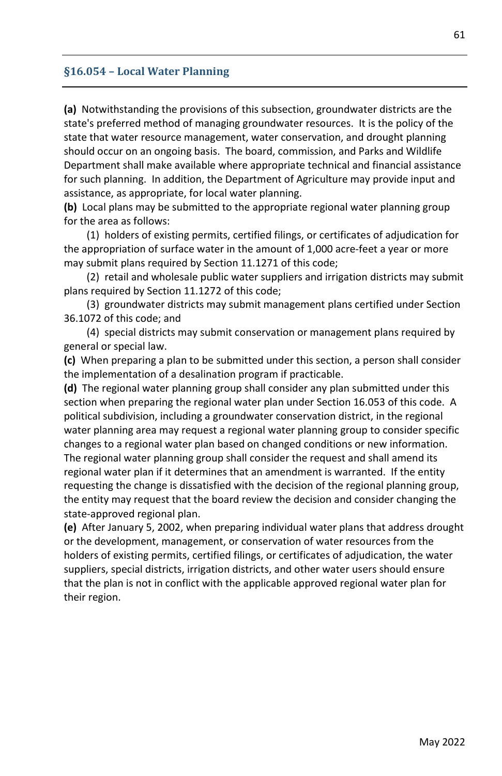#### **§16.054 – Local Water Planning**

**(a)** Notwithstanding the provisions of this subsection, groundwater districts are the state's preferred method of managing groundwater resources. It is the policy of the state that water resource management, water conservation, and drought planning should occur on an ongoing basis. The board, commission, and Parks and Wildlife Department shall make available where appropriate technical and financial assistance for such planning. In addition, the Department of Agriculture may provide input and assistance, as appropriate, for local water planning.

**(b)** Local plans may be submitted to the appropriate regional water planning group for the area as follows:

(1) holders of existing permits, certified filings, or certificates of adjudication for the appropriation of surface water in the amount of 1,000 acre-feet a year or more may submit plans required by Section 11.1271 of this code;

(2) retail and wholesale public water suppliers and irrigation districts may submit plans required by Section 11.1272 of this code;

(3) groundwater districts may submit management plans certified under Section 36.1072 of this code; and

(4) special districts may submit conservation or management plans required by general or special law.

**(c)** When preparing a plan to be submitted under this section, a person shall consider the implementation of a desalination program if practicable.

**(d)** The regional water planning group shall consider any plan submitted under this section when preparing the regional water plan under Section 16.053 of this code. A political subdivision, including a groundwater conservation district, in the regional water planning area may request a regional water planning group to consider specific changes to a regional water plan based on changed conditions or new information. The regional water planning group shall consider the request and shall amend its regional water plan if it determines that an amendment is warranted. If the entity requesting the change is dissatisfied with the decision of the regional planning group, the entity may request that the board review the decision and consider changing the state-approved regional plan.

**(e)** After January 5, 2002, when preparing individual water plans that address drought or the development, management, or conservation of water resources from the holders of existing permits, certified filings, or certificates of adjudication, the water suppliers, special districts, irrigation districts, and other water users should ensure that the plan is not in conflict with the applicable approved regional water plan for their region.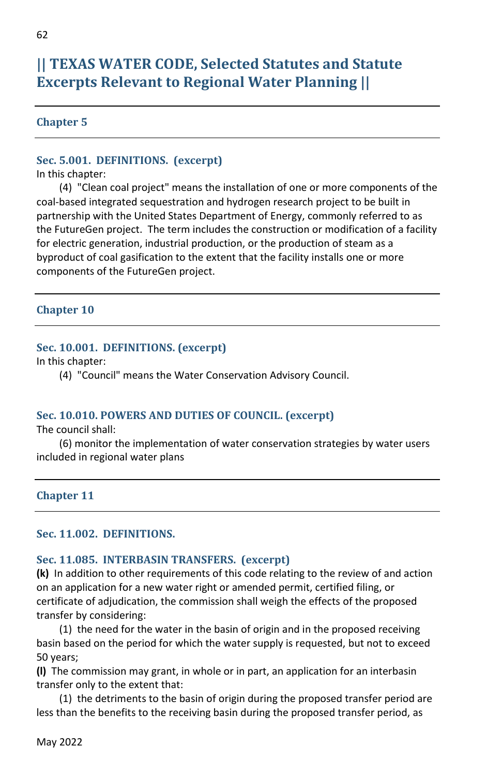# **|| TEXAS WATER CODE, Selected Statutes and Statute Excerpts Relevant to Regional Water Planning ||**

#### **Chapter 5**

### **Sec. 5.001. DEFINITIONS. (excerpt)**

In this chapter:

(4) "Clean coal project" means the installation of one or more components of the coal-based integrated sequestration and hydrogen research project to be built in partnership with the United States Department of Energy, commonly referred to as the FutureGen project. The term includes the construction or modification of a facility for electric generation, industrial production, or the production of steam as a byproduct of coal gasification to the extent that the facility installs one or more components of the FutureGen project.

### **Chapter 10**

#### **Sec. 10.001. DEFINITIONS. (excerpt)**

In this chapter:

(4) "Council" means the Water Conservation Advisory Council.

### **Sec. 10.010. POWERS AND DUTIES OF COUNCIL. (excerpt)**

The council shall:

(6) monitor the implementation of water conservation strategies by water users included in regional water plans

### **Chapter 11**

**Sec. 11.002. DEFINITIONS.** 

#### **Sec. 11.085. INTERBASIN TRANSFERS. (excerpt)**

**(k)** In addition to other requirements of this code relating to the review of and action on an application for a new water right or amended permit, certified filing, or certificate of adjudication, the commission shall weigh the effects of the proposed transfer by considering:

(1) the need for the water in the basin of origin and in the proposed receiving basin based on the period for which the water supply is requested, but not to exceed 50 years;

**(l)** The commission may grant, in whole or in part, an application for an interbasin transfer only to the extent that:

(1) the detriments to the basin of origin during the proposed transfer period are less than the benefits to the receiving basin during the proposed transfer period, as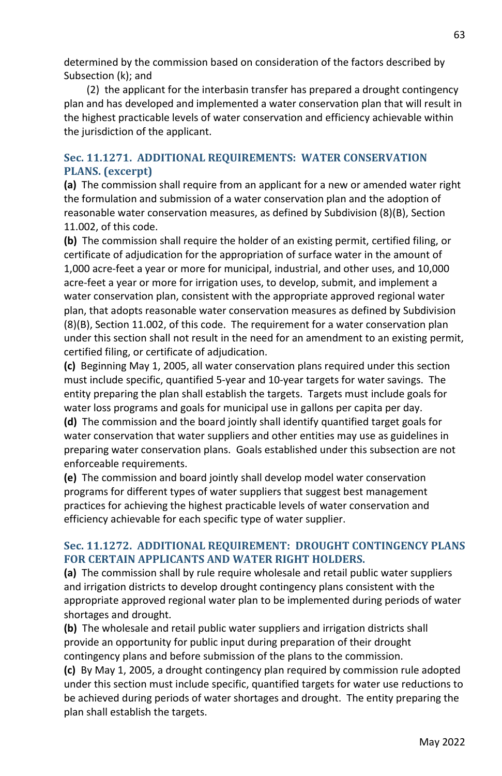determined by the commission based on consideration of the factors described by Subsection (k); and

(2) the applicant for the interbasin transfer has prepared a drought contingency plan and has developed and implemented a water conservation plan that will result in the highest practicable levels of water conservation and efficiency achievable within the jurisdiction of the applicant.

### **Sec. 11.1271. ADDITIONAL REQUIREMENTS: WATER CONSERVATION PLANS. (excerpt)**

**(a)** The commission shall require from an applicant for a new or amended water right the formulation and submission of a water conservation plan and the adoption of reasonable water conservation measures, as defined by Subdivision (8)(B), Section [11.002,](http://www.statutes.legis.state.tx.us/GetStatute.aspx?Code=WA&Value=11.002) of this code.

**(b)** The commission shall require the holder of an existing permit, certified filing, or certificate of adjudication for the appropriation of surface water in the amount of 1,000 acre-feet a year or more for municipal, industrial, and other uses, and 10,000 acre-feet a year or more for irrigation uses, to develop, submit, and implement a water conservation plan, consistent with the appropriate approved regional water plan, that adopts reasonable water conservation measures as defined by Subdivision (8)(B), Sectio[n 11.002,](http://www.statutes.legis.state.tx.us/GetStatute.aspx?Code=WA&Value=11.002) of this code. The requirement for a water conservation plan under this section shall not result in the need for an amendment to an existing permit, certified filing, or certificate of adjudication.

**(c)** Beginning May 1, 2005, all water conservation plans required under this section must include specific, quantified 5-year and 10-year targets for water savings. The entity preparing the plan shall establish the targets. Targets must include goals for water loss programs and goals for municipal use in gallons per capita per day.

**(d)** The commission and the board jointly shall identify quantified target goals for water conservation that water suppliers and other entities may use as guidelines in preparing water conservation plans. Goals established under this subsection are not enforceable requirements.

**(e)** The commission and board jointly shall develop model water conservation programs for different types of water suppliers that suggest best management practices for achieving the highest practicable levels of water conservation and efficiency achievable for each specific type of water supplier.

## **Sec. 11.1272. ADDITIONAL REQUIREMENT: DROUGHT CONTINGENCY PLANS FOR CERTAIN APPLICANTS AND WATER RIGHT HOLDERS.**

**(a)** The commission shall by rule require wholesale and retail public water suppliers and irrigation districts to develop drought contingency plans consistent with the appropriate approved regional water plan to be implemented during periods of water shortages and drought.

**(b)** The wholesale and retail public water suppliers and irrigation districts shall provide an opportunity for public input during preparation of their drought contingency plans and before submission of the plans to the commission.

**(c)** By May 1, 2005, a drought contingency plan required by commission rule adopted under this section must include specific, quantified targets for water use reductions to be achieved during periods of water shortages and drought. The entity preparing the plan shall establish the targets.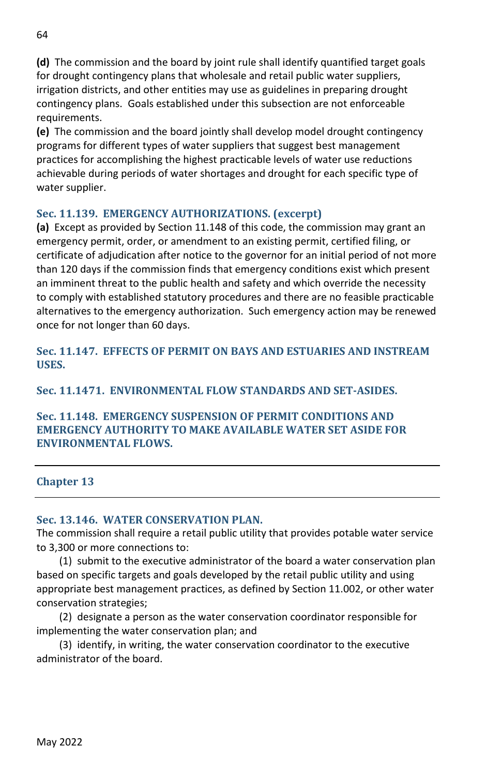**(d)** The commission and the board by joint rule shall identify quantified target goals for drought contingency plans that wholesale and retail public water suppliers, irrigation districts, and other entities may use as guidelines in preparing drought contingency plans. Goals established under this subsection are not enforceable requirements.

**(e)** The commission and the board jointly shall develop model drought contingency programs for different types of water suppliers that suggest best management practices for accomplishing the highest practicable levels of water use reductions achievable during periods of water shortages and drought for each specific type of water supplier.

## **Sec. 11.139. EMERGENCY AUTHORIZATIONS. (excerpt)**

**(a)** Except as provided by Sectio[n 11.148](http://www.statutes.legis.state.tx.us/GetStatute.aspx?Code=WA&Value=11.148) of this code, the commission may grant an emergency permit, order, or amendment to an existing permit, certified filing, or certificate of adjudication after notice to the governor for an initial period of not more than 120 days if the commission finds that emergency conditions exist which present an imminent threat to the public health and safety and which override the necessity to comply with established statutory procedures and there are no feasible practicable alternatives to the emergency authorization. Such emergency action may be renewed once for not longer than 60 days.

**Sec. 11.147. EFFECTS OF PERMIT ON BAYS AND ESTUARIES AND INSTREAM USES.** 

**Sec. 11.1471. ENVIRONMENTAL FLOW STANDARDS AND SET-ASIDES.** 

**Sec. 11.148. EMERGENCY SUSPENSION OF PERMIT CONDITIONS AND EMERGENCY AUTHORITY TO MAKE AVAILABLE WATER SET ASIDE FOR ENVIRONMENTAL FLOWS.** 

## **Chapter 13**

## **Sec. 13.146. WATER CONSERVATION PLAN.**

The commission shall require a retail public utility that provides potable water service to 3,300 or more connections to:

(1) submit to the executive administrator of the board a water conservation plan based on specific targets and goals developed by the retail public utility and using appropriate best management practices, as defined by Section 11.002, or other water conservation strategies;

(2) designate a person as the water conservation coordinator responsible for implementing the water conservation plan; and

(3) identify, in writing, the water conservation coordinator to the executive administrator of the board.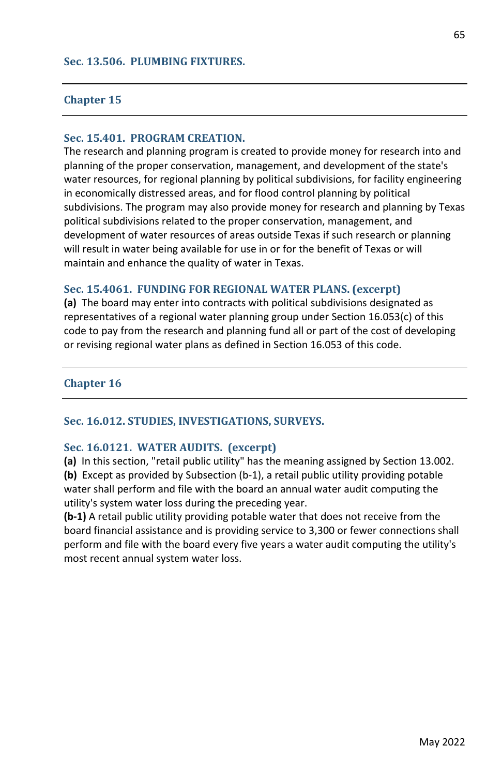#### **Sec. 13.506. PLUMBING FIXTURES.**

#### **Chapter 15**

#### **Sec. 15.401. PROGRAM CREATION.**

The research and planning program is created to provide money for research into and planning of the proper conservation, management, and development of the state's water resources, for regional planning by political subdivisions, for facility engineering in economically distressed areas, and for flood control planning by political subdivisions. The program may also provide money for research and planning by Texas political subdivisions related to the proper conservation, management, and development of water resources of areas outside Texas if such research or planning will result in water being available for use in or for the benefit of Texas or will maintain and enhance the quality of water in Texas.

#### **Sec. 15.4061. FUNDING FOR REGIONAL WATER PLANS. (excerpt)**

**(a)** The board may enter into contracts with political subdivisions designated as representatives of a regional water planning group under Section [16.053\(](http://www.statutes.legis.state.tx.us/GetStatute.aspx?Code=WA&Value=16.053)c) of this code to pay from the research and planning fund all or part of the cost of developing or revising regional water plans as defined in Section [16.053](http://www.statutes.legis.state.tx.us/GetStatute.aspx?Code=WA&Value=16.053) of this code.

#### **Chapter 16**

#### **Sec. 16.012. STUDIES, INVESTIGATIONS, SURVEYS.**

#### **Sec. 16.0121. WATER AUDITS. (excerpt)**

**(a)** In this section, "retail public utility" has the meaning assigned by Sectio[n 13.002.](http://www.statutes.legis.state.tx.us/GetStatute.aspx?Code=WA&Value=13.002)  **(b)** Except as provided by Subsection (b-1), a retail public utility providing potable water shall perform and file with the board an annual water audit computing the utility's system water loss during the preceding year.

**(b-1)** A retail public utility providing potable water that does not receive from the board financial assistance and is providing service to 3,300 or fewer connections shall perform and file with the board every five years a water audit computing the utility's most recent annual system water loss.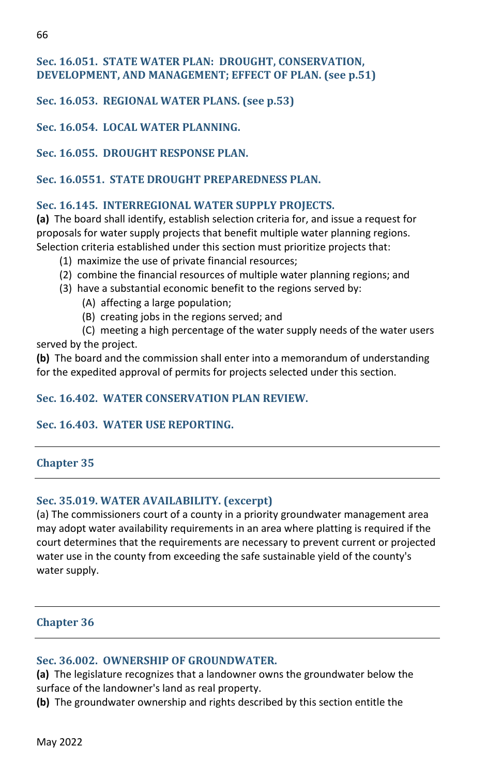## **Sec. 16.051. STATE WATER PLAN: DROUGHT, CONSERVATION, DEVELOPMENT, AND MANAGEMENT; EFFECT OF PLAN. (see p.51)**

**Sec. 16.053. REGIONAL WATER PLANS. (see p.53)**

**Sec. 16.054. LOCAL WATER PLANNING.** 

**Sec. 16.055. DROUGHT RESPONSE PLAN.** 

## **Sec. 16.0551. STATE DROUGHT PREPAREDNESS PLAN.**

## **Sec. 16.145. INTERREGIONAL WATER SUPPLY PROJECTS.**

**(a)** The board shall identify, establish selection criteria for, and issue a request for proposals for water supply projects that benefit multiple water planning regions. Selection criteria established under this section must prioritize projects that:

- (1) maximize the use of private financial resources;
- (2) combine the financial resources of multiple water planning regions; and
- (3) have a substantial economic benefit to the regions served by:
	- (A) affecting a large population;
	- (B) creating jobs in the regions served; and

 (C) meeting a high percentage of the water supply needs of the water users served by the project.

**(b)** The board and the commission shall enter into a memorandum of understanding for the expedited approval of permits for projects selected under this section.

## **Sec. 16.402. WATER CONSERVATION PLAN REVIEW.**

## **Sec. 16.403. WATER USE REPORTING.**

## **Chapter 35**

## **Sec. 35.019. WATER AVAILABILITY. (excerpt)**

(a) The commissioners court of a county in a priority groundwater management area may adopt water availability requirements in an area where platting is required if the court determines that the requirements are necessary to prevent current or projected water use in the county from exceeding the safe sustainable yield of the county's water supply.

### **Chapter 36**

### **Sec. 36.002. OWNERSHIP OF GROUNDWATER.**

**(a)** The legislature recognizes that a landowner owns the groundwater below the surface of the landowner's land as real property.

**(b)** The groundwater ownership and rights described by this section entitle the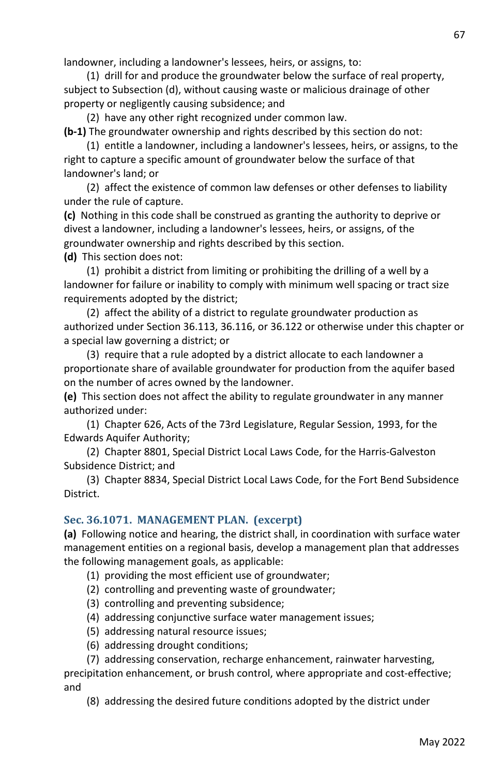landowner, including a landowner's lessees, heirs, or assigns, to:

(1) drill for and produce the groundwater below the surface of real property, subject to Subsection (d), without causing waste or malicious drainage of other property or negligently causing subsidence; and

(2) have any other right recognized under common law.

**(b-1)** The groundwater ownership and rights described by this section do not:

(1) entitle a landowner, including a landowner's lessees, heirs, or assigns, to the right to capture a specific amount of groundwater below the surface of that landowner's land; or

(2) affect the existence of common law defenses or other defenses to liability under the rule of capture.

**(c)** Nothing in this code shall be construed as granting the authority to deprive or divest a landowner, including a landowner's lessees, heirs, or assigns, of the groundwater ownership and rights described by this section.

**(d)** This section does not:

(1) prohibit a district from limiting or prohibiting the drilling of a well by a landowner for failure or inability to comply with minimum well spacing or tract size requirements adopted by the district;

(2) affect the ability of a district to regulate groundwater production as authorized under Section [36.113,](http://www.statutes.legis.state.tx.us/GetStatute.aspx?Code=WA&Value=36.113) [36.116,](http://www.statutes.legis.state.tx.us/GetStatute.aspx?Code=WA&Value=36.116) o[r 36.122](http://www.statutes.legis.state.tx.us/GetStatute.aspx?Code=WA&Value=36.122) or otherwise under this chapter or a special law governing a district; or

(3) require that a rule adopted by a district allocate to each landowner a proportionate share of available groundwater for production from the aquifer based on the number of acres owned by the landowner.

**(e)** This section does not affect the ability to regulate groundwater in any manner authorized under:

(1) Chapter 626, Acts of the 73rd Legislature, Regular Session, 1993, for the Edwards Aquifer Authority;

(2) Chapte[r 8801,](http://www.statutes.legis.state.tx.us/GetStatute.aspx?Code=SD&Value=8801) Special District Local Laws Code, for the Harris-Galveston Subsidence District; and

(3) Chapte[r 8834,](http://www.statutes.legis.state.tx.us/GetStatute.aspx?Code=SD&Value=8834) Special District Local Laws Code, for the Fort Bend Subsidence District.

## **Sec. 36.1071. MANAGEMENT PLAN. (excerpt)**

**(a)** Following notice and hearing, the district shall, in coordination with surface water management entities on a regional basis, develop a management plan that addresses the following management goals, as applicable:

- (1) providing the most efficient use of groundwater;
- (2) controlling and preventing waste of groundwater;
- (3) controlling and preventing subsidence;
- (4) addressing conjunctive surface water management issues;
- (5) addressing natural resource issues;
- (6) addressing drought conditions;
- (7) addressing conservation, recharge enhancement, rainwater harvesting,

precipitation enhancement, or brush control, where appropriate and cost-effective; and

(8) addressing the desired future conditions adopted by the district under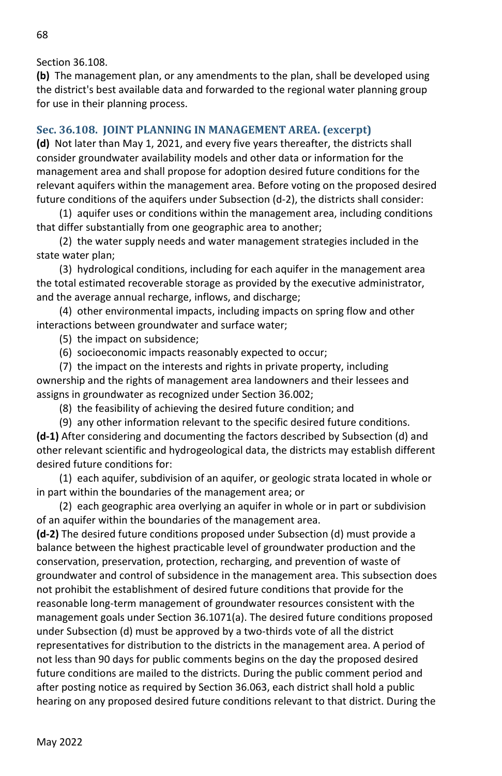Section [36.108.](http://www.statutes.legis.state.tx.us/GetStatute.aspx?Code=WA&Value=36.108)

**(b)** The management plan, or any amendments to the plan, shall be developed using the district's best available data and forwarded to the regional water planning group for use in their planning process.

## **Sec. 36.108. JOINT PLANNING IN MANAGEMENT AREA. (excerpt)**

**(d)** Not later than May 1, 2021, and every five years thereafter, the districts shall consider groundwater availability models and other data or information for the management area and shall propose for adoption desired future conditions for the relevant aquifers within the management area. Before voting on the proposed desired future conditions of the aquifers under Subsection (d-2), the districts shall consider:

(1) aquifer uses or conditions within the management area, including conditions that differ substantially from one geographic area to another;

(2) the water supply needs and water management strategies included in the state water plan;

(3) hydrological conditions, including for each aquifer in the management area the total estimated recoverable storage as provided by the executive administrator, and the average annual recharge, inflows, and discharge;

(4) other environmental impacts, including impacts on spring flow and other interactions between groundwater and surface water;

(5) the impact on subsidence;

(6) socioeconomic impacts reasonably expected to occur;

(7) the impact on the interests and rights in private property, including ownership and the rights of management area landowners and their lessees and assigns in groundwater as recognized under Section [36.002;](http://www.statutes.legis.state.tx.us/GetStatute.aspx?Code=WA&Value=36.002)

(8) the feasibility of achieving the desired future condition; and

(9) any other information relevant to the specific desired future conditions. **(d-1)** After considering and documenting the factors described by Subsection (d) and other relevant scientific and hydrogeological data, the districts may establish different desired future conditions for:

(1) each aquifer, subdivision of an aquifer, or geologic strata located in whole or in part within the boundaries of the management area; or

(2) each geographic area overlying an aquifer in whole or in part or subdivision of an aquifer within the boundaries of the management area.

**(d-2)** The desired future conditions proposed under Subsection (d) must provide a balance between the highest practicable level of groundwater production and the conservation, preservation, protection, recharging, and prevention of waste of groundwater and control of subsidence in the management area. This subsection does not prohibit the establishment of desired future conditions that provide for the reasonable long-term management of groundwater resources consistent with the management goals under Section 36.1071(a). The desired future conditions proposed under Subsection (d) must be approved by a two-thirds vote of all the district representatives for distribution to the districts in the management area. A period of not less than 90 days for public comments begins on the day the proposed desired future conditions are mailed to the districts. During the public comment period and after posting notice as required by Section 36.063, each district shall hold a public hearing on any proposed desired future conditions relevant to that district. During the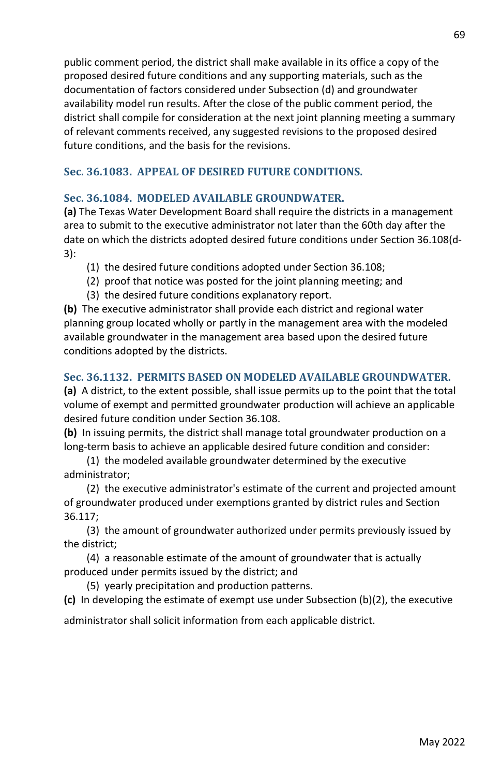public comment period, the district shall make available in its office a copy of the proposed desired future conditions and any supporting materials, such as the documentation of factors considered under Subsection (d) and groundwater availability model run results. After the close of the public comment period, the district shall compile for consideration at the next joint planning meeting a summary of relevant comments received, any suggested revisions to the proposed desired future conditions, and the basis for the revisions.

## **Sec. 36.1083. APPEAL OF DESIRED FUTURE CONDITIONS.**

## **Sec. 36.1084. MODELED AVAILABLE GROUNDWATER.**

**(a)** The Texas Water Development Board shall require the districts in a management area to submit to the executive administrator not later than the 60th day after the date on which the districts adopted desired future conditions under Sectio[n 36.108\(](http://www.statutes.legis.state.tx.us/GetStatute.aspx?Code=WA&Value=36.108)d-3):

- (1) the desired future conditions adopted under Sectio[n 36.108;](http://www.statutes.legis.state.tx.us/GetStatute.aspx?Code=WA&Value=36.108)
- (2) proof that notice was posted for the joint planning meeting; and
- (3) the desired future conditions explanatory report.

**(b)** The executive administrator shall provide each district and regional water planning group located wholly or partly in the management area with the modeled available groundwater in the management area based upon the desired future conditions adopted by the districts.

## **Sec. 36.1132. PERMITS BASED ON MODELED AVAILABLE GROUNDWATER.**

**(a)** A district, to the extent possible, shall issue permits up to the point that the total volume of exempt and permitted groundwater production will achieve an applicable desired future condition under Section [36.108.](http://www.statutes.legis.state.tx.us/GetStatute.aspx?Code=WA&Value=36.108)

**(b)** In issuing permits, the district shall manage total groundwater production on a long-term basis to achieve an applicable desired future condition and consider:

(1) the modeled available groundwater determined by the executive administrator;

(2) the executive administrator's estimate of the current and projected amount of groundwater produced under exemptions granted by district rules and Section [36.117;](http://www.statutes.legis.state.tx.us/GetStatute.aspx?Code=WA&Value=36.117)

(3) the amount of groundwater authorized under permits previously issued by the district;

(4) a reasonable estimate of the amount of groundwater that is actually produced under permits issued by the district; and

(5) yearly precipitation and production patterns.

**(c)** In developing the estimate of exempt use under Subsection (b)(2), the executive

administrator shall solicit information from each applicable district.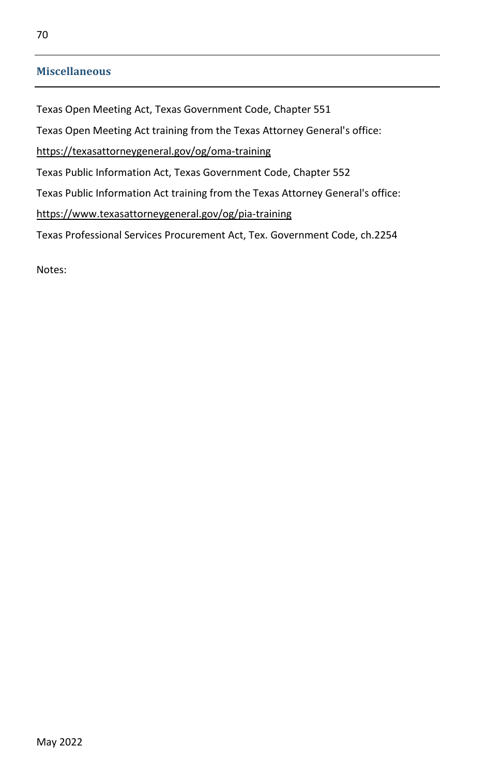## **Miscellaneous**

Texas Open Meeting Act, Texas Government Code, Chapter 551

Texas Open Meeting Act training from the Texas Attorney General's office:

<https://texasattorneygeneral.gov/og/oma-training>

Texas Public Information Act, Texas Government Code, Chapter 552

Texas Public Information Act training from the Texas Attorney General's office:

<https://www.texasattorneygeneral.gov/og/pia-training>

Texas Professional Services Procurement Act, Tex. Government Code, ch.2254

Notes: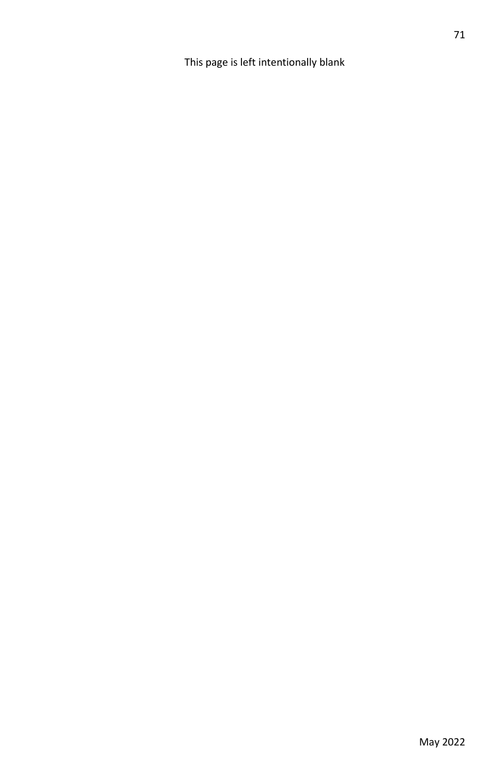This page is left intentionally blank